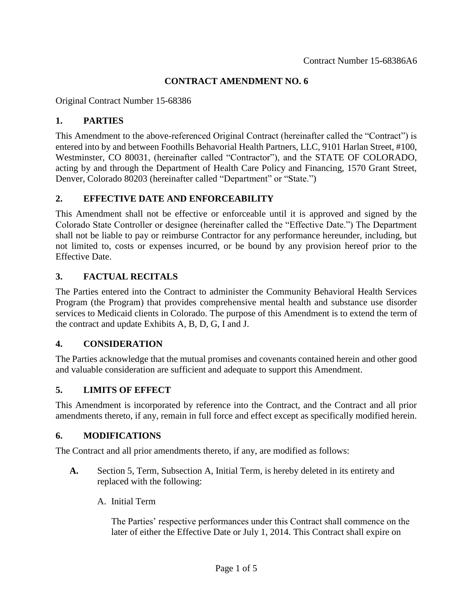## **CONTRACT AMENDMENT NO. 6**

Original Contract Number 15-68386

## **1. PARTIES**

This Amendment to the above-referenced Original Contract (hereinafter called the "Contract") is entered into by and between Foothills Behavorial Health Partners, LLC, 9101 Harlan Street, #100, Westminster, CO 80031, (hereinafter called "Contractor"), and the STATE OF COLORADO, acting by and through the Department of Health Care Policy and Financing, 1570 Grant Street, Denver, Colorado 80203 (hereinafter called "Department" or "State.")

## **2. EFFECTIVE DATE AND ENFORCEABILITY**

This Amendment shall not be effective or enforceable until it is approved and signed by the Colorado State Controller or designee (hereinafter called the "Effective Date.") The Department shall not be liable to pay or reimburse Contractor for any performance hereunder, including, but not limited to, costs or expenses incurred, or be bound by any provision hereof prior to the Effective Date.

## **3. FACTUAL RECITALS**

The Parties entered into the Contract to administer the Community Behavioral Health Services Program (the Program) that provides comprehensive mental health and substance use disorder services to Medicaid clients in Colorado. The purpose of this Amendment is to extend the term of the contract and update Exhibits A, B, D, G, I and J.

## **4. CONSIDERATION**

The Parties acknowledge that the mutual promises and covenants contained herein and other good and valuable consideration are sufficient and adequate to support this Amendment.

## **5. LIMITS OF EFFECT**

This Amendment is incorporated by reference into the Contract, and the Contract and all prior amendments thereto, if any, remain in full force and effect except as specifically modified herein.

## **6. MODIFICATIONS**

The Contract and all prior amendments thereto, if any, are modified as follows:

- **A.** Section 5, Term, Subsection A, Initial Term, is hereby deleted in its entirety and replaced with the following:
	- A. Initial Term

The Parties' respective performances under this Contract shall commence on the later of either the Effective Date or July 1, 2014. This Contract shall expire on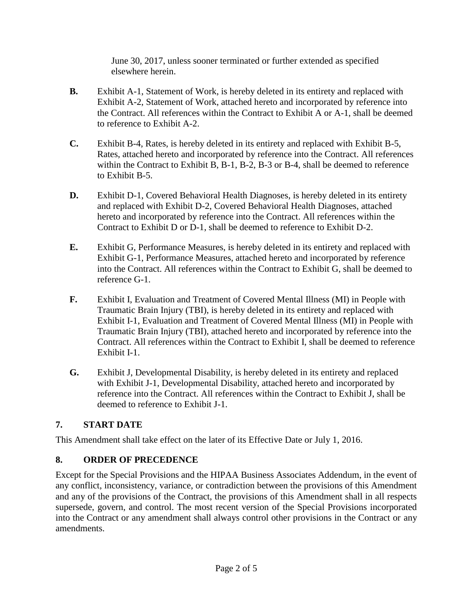June 30, 2017, unless sooner terminated or further extended as specified elsewhere herein.

- **B.** Exhibit A-1, Statement of Work, is hereby deleted in its entirety and replaced with Exhibit A-2, Statement of Work, attached hereto and incorporated by reference into the Contract. All references within the Contract to Exhibit A or A-1, shall be deemed to reference to Exhibit A-2.
- **C.** Exhibit B-4, Rates, is hereby deleted in its entirety and replaced with Exhibit B-5, Rates, attached hereto and incorporated by reference into the Contract. All references within the Contract to Exhibit B, B-1, B-2, B-3 or B-4, shall be deemed to reference to Exhibit B-5.
- **D.** Exhibit D-1, Covered Behavioral Health Diagnoses, is hereby deleted in its entirety and replaced with Exhibit D-2, Covered Behavioral Health Diagnoses, attached hereto and incorporated by reference into the Contract. All references within the Contract to Exhibit D or D-1, shall be deemed to reference to Exhibit D-2.
- **E.** Exhibit G, Performance Measures, is hereby deleted in its entirety and replaced with Exhibit G-1, Performance Measures, attached hereto and incorporated by reference into the Contract. All references within the Contract to Exhibit G, shall be deemed to reference G-1.
- **F.** Exhibit I, Evaluation and Treatment of Covered Mental Illness (MI) in People with Traumatic Brain Injury (TBI), is hereby deleted in its entirety and replaced with Exhibit I-1, Evaluation and Treatment of Covered Mental Illness (MI) in People with Traumatic Brain Injury (TBI), attached hereto and incorporated by reference into the Contract. All references within the Contract to Exhibit I, shall be deemed to reference Exhibit I-1.
- **G.** Exhibit J, Developmental Disability, is hereby deleted in its entirety and replaced with Exhibit J-1, Developmental Disability, attached hereto and incorporated by reference into the Contract. All references within the Contract to Exhibit J, shall be deemed to reference to Exhibit J-1.

# **7. START DATE**

This Amendment shall take effect on the later of its Effective Date or July 1, 2016.

# **8. ORDER OF PRECEDENCE**

Except for the Special Provisions and the HIPAA Business Associates Addendum, in the event of any conflict, inconsistency, variance, or contradiction between the provisions of this Amendment and any of the provisions of the Contract, the provisions of this Amendment shall in all respects supersede, govern, and control. The most recent version of the Special Provisions incorporated into the Contract or any amendment shall always control other provisions in the Contract or any amendments.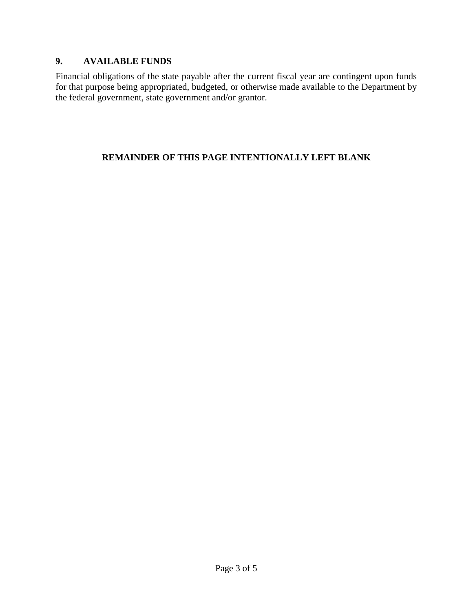## **9. AVAILABLE FUNDS**

Financial obligations of the state payable after the current fiscal year are contingent upon funds for that purpose being appropriated, budgeted, or otherwise made available to the Department by the federal government, state government and/or grantor.

# **REMAINDER OF THIS PAGE INTENTIONALLY LEFT BLANK**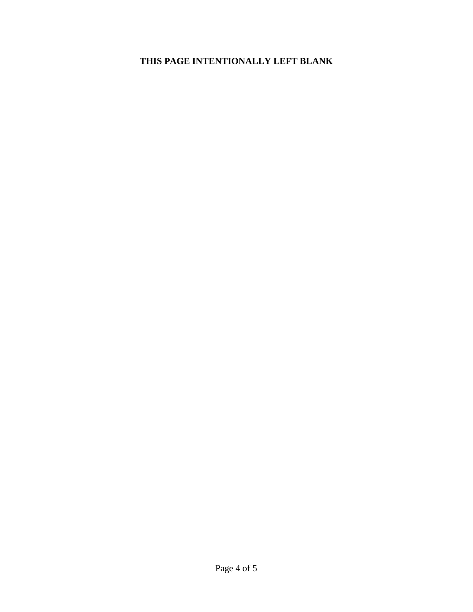# **THIS PAGE INTENTIONALLY LEFT BLANK**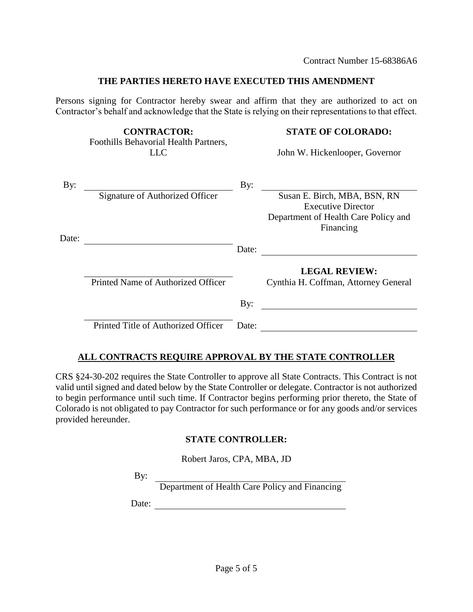#### **THE PARTIES HERETO HAVE EXECUTED THIS AMENDMENT**

Persons signing for Contractor hereby swear and affirm that they are authorized to act on Contractor's behalf and acknowledge that the State is relying on their representations to that effect.

Foothills Behavorial Health Partners,

#### **CONTRACTOR: STATE OF COLORADO:**

LLC John W. Hickenlooper, Governor

|                                     | By:   |                                      |
|-------------------------------------|-------|--------------------------------------|
| Signature of Authorized Officer     |       | Susan E. Birch, MBA, BSN, RN         |
|                                     |       | <b>Executive Director</b>            |
|                                     |       | Department of Health Care Policy and |
|                                     |       | Financing                            |
|                                     |       |                                      |
|                                     | Date: |                                      |
|                                     |       |                                      |
|                                     |       | <b>LEGAL REVIEW:</b>                 |
| Printed Name of Authorized Officer  |       | Cynthia H. Coffman, Attorney General |
|                                     |       |                                      |
|                                     | By:   |                                      |
|                                     |       |                                      |
| Printed Title of Authorized Officer | Date: |                                      |
|                                     |       |                                      |

#### **ALL CONTRACTS REQUIRE APPROVAL BY THE STATE CONTROLLER**

CRS §24-30-202 requires the State Controller to approve all State Contracts. This Contract is not valid until signed and dated below by the State Controller or delegate. Contractor is not authorized to begin performance until such time. If Contractor begins performing prior thereto, the State of Colorado is not obligated to pay Contractor for such performance or for any goods and/or services provided hereunder.

#### **STATE CONTROLLER:**

Robert Jaros, CPA, MBA, JD

By:

Department of Health Care Policy and Financing

Date: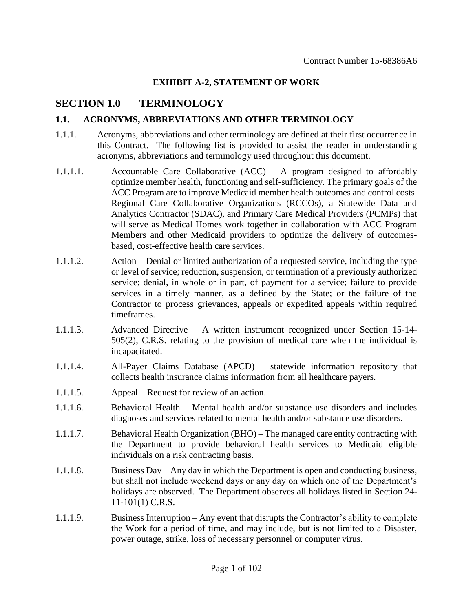## **EXHIBIT A-2, STATEMENT OF WORK**

# **SECTION 1.0 TERMINOLOGY**

### **1.1. ACRONYMS, ABBREVIATIONS AND OTHER TERMINOLOGY**

- 1.1.1. Acronyms, abbreviations and other terminology are defined at their first occurrence in this Contract. The following list is provided to assist the reader in understanding acronyms, abbreviations and terminology used throughout this document.
- 1.1.1.1. Accountable Care Collaborative (ACC) A program designed to affordably optimize member health, functioning and self-sufficiency. The primary goals of the ACC Program are to improve Medicaid member health outcomes and control costs. Regional Care Collaborative Organizations (RCCOs), a Statewide Data and Analytics Contractor (SDAC), and Primary Care Medical Providers (PCMPs) that will serve as Medical Homes work together in collaboration with ACC Program Members and other Medicaid providers to optimize the delivery of outcomesbased, cost-effective health care services.
- 1.1.1.2. Action Denial or limited authorization of a requested service, including the type or level of service; reduction, suspension, or termination of a previously authorized service; denial, in whole or in part, of payment for a service; failure to provide services in a timely manner, as a defined by the State; or the failure of the Contractor to process grievances, appeals or expedited appeals within required timeframes.
- 1.1.1.3. Advanced Directive A written instrument recognized under Section 15-14- 505(2), C.R.S. relating to the provision of medical care when the individual is incapacitated.
- 1.1.1.4. All-Payer Claims Database (APCD) statewide information repository that collects health insurance claims information from all healthcare payers.
- 1.1.1.5. Appeal Request for review of an action.
- 1.1.1.6. Behavioral Health Mental health and/or substance use disorders and includes diagnoses and services related to mental health and/or substance use disorders.
- 1.1.1.7. Behavioral Health Organization (BHO) The managed care entity contracting with the Department to provide behavioral health services to Medicaid eligible individuals on a risk contracting basis.
- 1.1.1.8. Business Day Any day in which the Department is open and conducting business, but shall not include weekend days or any day on which one of the Department's holidays are observed. The Department observes all holidays listed in Section 24- 11-101(1) C.R.S.
- 1.1.1.9. Business Interruption Any event that disrupts the Contractor's ability to complete the Work for a period of time, and may include, but is not limited to a Disaster, power outage, strike, loss of necessary personnel or computer virus.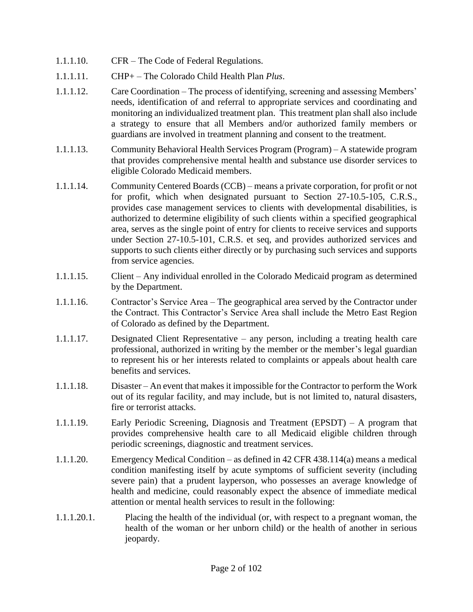- 1.1.1.10. CFR The Code of Federal Regulations.
- 1.1.1.11. CHP+ The Colorado Child Health Plan *Plus*.
- 1.1.1.12. Care Coordination The process of identifying, screening and assessing Members' needs, identification of and referral to appropriate services and coordinating and monitoring an individualized treatment plan. This treatment plan shall also include a strategy to ensure that all Members and/or authorized family members or guardians are involved in treatment planning and consent to the treatment.
- 1.1.1.13. Community Behavioral Health Services Program (Program) A statewide program that provides comprehensive mental health and substance use disorder services to eligible Colorado Medicaid members.
- 1.1.1.14. Community Centered Boards (CCB) means a private corporation, for profit or not for profit, which when designated pursuant to Section 27-10.5-105, C.R.S., provides case management services to clients with developmental disabilities, is authorized to determine eligibility of such clients within a specified geographical area, serves as the single point of entry for clients to receive services and supports under Section 27-10.5-101, C.R.S. et seq, and provides authorized services and supports to such clients either directly or by purchasing such services and supports from service agencies.
- 1.1.1.15. Client Any individual enrolled in the Colorado Medicaid program as determined by the Department.
- 1.1.1.16. Contractor's Service Area The geographical area served by the Contractor under the Contract. This Contractor's Service Area shall include the Metro East Region of Colorado as defined by the Department.
- 1.1.1.17. Designated Client Representative any person, including a treating health care professional, authorized in writing by the member or the member's legal guardian to represent his or her interests related to complaints or appeals about health care benefits and services.
- 1.1.1.18. Disaster An event that makes it impossible for the Contractor to perform the Work out of its regular facility, and may include, but is not limited to, natural disasters, fire or terrorist attacks.
- 1.1.1.19. Early Periodic Screening, Diagnosis and Treatment (EPSDT) A program that provides comprehensive health care to all Medicaid eligible children through periodic screenings, diagnostic and treatment services.
- 1.1.1.20. Emergency Medical Condition as defined in 42 CFR 438.114(a) means a medical condition manifesting itself by acute symptoms of sufficient severity (including severe pain) that a prudent layperson, who possesses an average knowledge of health and medicine, could reasonably expect the absence of immediate medical attention or mental health services to result in the following:
- 1.1.1.20.1. Placing the health of the individual (or, with respect to a pregnant woman, the health of the woman or her unborn child) or the health of another in serious jeopardy.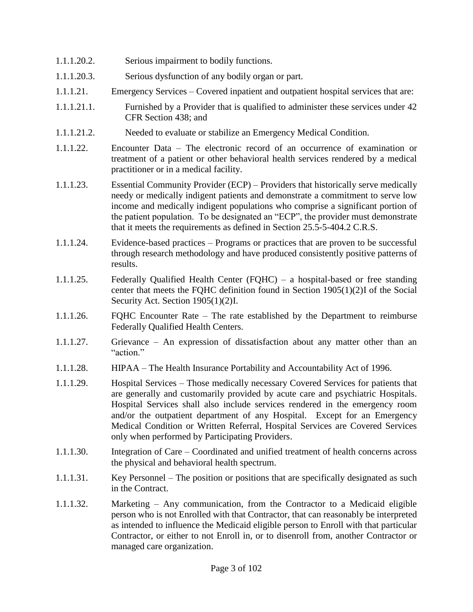- 1.1.1.20.2. Serious impairment to bodily functions.
- 1.1.1.20.3. Serious dysfunction of any bodily organ or part.
- 1.1.1.21. Emergency Services Covered inpatient and outpatient hospital services that are:
- 1.1.1.21.1. Furnished by a Provider that is qualified to administer these services under 42 CFR Section 438; and
- 1.1.1.21.2. Needed to evaluate or stabilize an Emergency Medical Condition.
- 1.1.1.22. Encounter Data The electronic record of an occurrence of examination or treatment of a patient or other behavioral health services rendered by a medical practitioner or in a medical facility.
- 1.1.1.23. Essential Community Provider (ECP) Providers that historically serve medically needy or medically indigent patients and demonstrate a commitment to serve low income and medically indigent populations who comprise a significant portion of the patient population. To be designated an "ECP", the provider must demonstrate that it meets the requirements as defined in Section 25.5-5-404.2 C.R.S.
- 1.1.1.24. Evidence-based practices Programs or practices that are proven to be successful through research methodology and have produced consistently positive patterns of results.
- 1.1.1.25. Federally Qualified Health Center (FQHC) a hospital-based or free standing center that meets the FQHC definition found in Section 1905(1)(2)I of the Social Security Act. Section 1905(1)(2)I.
- 1.1.1.26. FQHC Encounter Rate The rate established by the Department to reimburse Federally Qualified Health Centers.
- 1.1.1.27. Grievance An expression of dissatisfaction about any matter other than an "action."
- 1.1.1.28. HIPAA The Health Insurance Portability and Accountability Act of 1996.
- 1.1.1.29. Hospital Services Those medically necessary Covered Services for patients that are generally and customarily provided by acute care and psychiatric Hospitals. Hospital Services shall also include services rendered in the emergency room and/or the outpatient department of any Hospital. Except for an Emergency Medical Condition or Written Referral, Hospital Services are Covered Services only when performed by Participating Providers.
- 1.1.1.30. Integration of Care Coordinated and unified treatment of health concerns across the physical and behavioral health spectrum.
- 1.1.1.31. Key Personnel The position or positions that are specifically designated as such in the Contract.
- 1.1.1.32. Marketing Any communication, from the Contractor to a Medicaid eligible person who is not Enrolled with that Contractor, that can reasonably be interpreted as intended to influence the Medicaid eligible person to Enroll with that particular Contractor, or either to not Enroll in, or to disenroll from, another Contractor or managed care organization.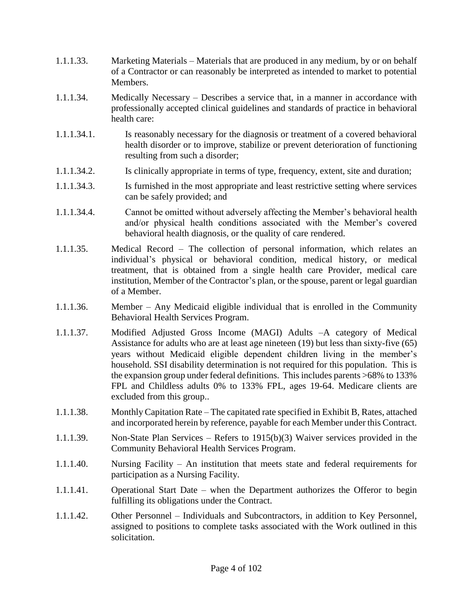- 1.1.1.33. Marketing Materials Materials that are produced in any medium, by or on behalf of a Contractor or can reasonably be interpreted as intended to market to potential Members.
- 1.1.1.34. Medically Necessary Describes a service that, in a manner in accordance with professionally accepted clinical guidelines and standards of practice in behavioral health care:
- 1.1.1.34.1. Is reasonably necessary for the diagnosis or treatment of a covered behavioral health disorder or to improve, stabilize or prevent deterioration of functioning resulting from such a disorder;
- 1.1.1.34.2. Is clinically appropriate in terms of type, frequency, extent, site and duration;
- 1.1.1.34.3. Is furnished in the most appropriate and least restrictive setting where services can be safely provided; and
- 1.1.1.34.4. Cannot be omitted without adversely affecting the Member's behavioral health and/or physical health conditions associated with the Member's covered behavioral health diagnosis, or the quality of care rendered.
- 1.1.1.35. Medical Record The collection of personal information, which relates an individual's physical or behavioral condition, medical history, or medical treatment, that is obtained from a single health care Provider, medical care institution, Member of the Contractor's plan, or the spouse, parent or legal guardian of a Member.
- 1.1.1.36. Member Any Medicaid eligible individual that is enrolled in the Community Behavioral Health Services Program.
- 1.1.1.37. Modified Adjusted Gross Income (MAGI) Adults –A category of Medical Assistance for adults who are at least age nineteen (19) but less than sixty-five (65) years without Medicaid eligible dependent children living in the member's household. SSI disability determination is not required for this population. This is the expansion group under federal definitions. This includes parents >68% to 133% FPL and Childless adults 0% to 133% FPL, ages 19-64. Medicare clients are excluded from this group..
- 1.1.1.38. Monthly Capitation Rate The capitated rate specified in Exhibit B, Rates, attached and incorporated herein by reference, payable for each Member under this Contract.
- 1.1.1.39. Non-State Plan Services Refers to 1915(b)(3) Waiver services provided in the Community Behavioral Health Services Program.
- 1.1.1.40. Nursing Facility An institution that meets state and federal requirements for participation as a Nursing Facility.
- 1.1.1.41. Operational Start Date when the Department authorizes the Offeror to begin fulfilling its obligations under the Contract.
- 1.1.1.42. Other Personnel Individuals and Subcontractors, in addition to Key Personnel, assigned to positions to complete tasks associated with the Work outlined in this solicitation.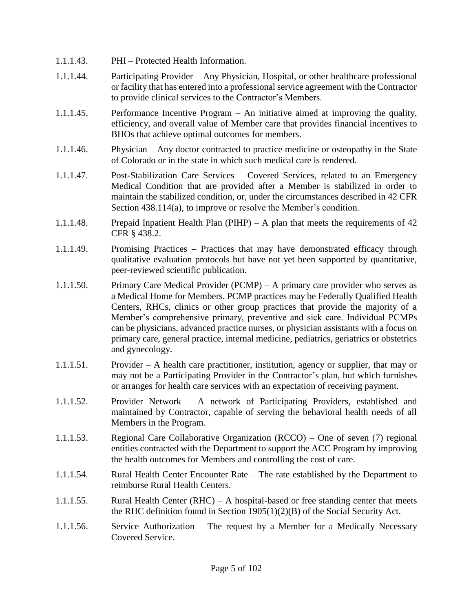- 1.1.1.43. PHI Protected Health Information.
- 1.1.1.44. Participating Provider Any Physician, Hospital, or other healthcare professional or facility that has entered into a professional service agreement with the Contractor to provide clinical services to the Contractor's Members.
- 1.1.1.45. Performance Incentive Program An initiative aimed at improving the quality, efficiency, and overall value of Member care that provides financial incentives to BHOs that achieve optimal outcomes for members.
- 1.1.1.46. Physician Any doctor contracted to practice medicine or osteopathy in the State of Colorado or in the state in which such medical care is rendered.
- 1.1.1.47. Post-Stabilization Care Services Covered Services, related to an Emergency Medical Condition that are provided after a Member is stabilized in order to maintain the stabilized condition, or, under the circumstances described in 42 CFR Section 438.114(a), to improve or resolve the Member's condition.
- 1.1.1.48. Prepaid Inpatient Health Plan (PIHP) A plan that meets the requirements of 42 CFR § 438.2.
- 1.1.1.49. Promising Practices Practices that may have demonstrated efficacy through qualitative evaluation protocols but have not yet been supported by quantitative, peer-reviewed scientific publication.
- 1.1.1.50. Primary Care Medical Provider (PCMP) A primary care provider who serves as a Medical Home for Members. PCMP practices may be Federally Qualified Health Centers, RHCs, clinics or other group practices that provide the majority of a Member's comprehensive primary, preventive and sick care. Individual PCMPs can be physicians, advanced practice nurses, or physician assistants with a focus on primary care, general practice, internal medicine, pediatrics, geriatrics or obstetrics and gynecology.
- 1.1.1.51. Provider A health care practitioner, institution, agency or supplier, that may or may not be a Participating Provider in the Contractor's plan, but which furnishes or arranges for health care services with an expectation of receiving payment.
- 1.1.1.52. Provider Network A network of Participating Providers, established and maintained by Contractor, capable of serving the behavioral health needs of all Members in the Program.
- 1.1.1.53. Regional Care Collaborative Organization (RCCO) One of seven (7) regional entities contracted with the Department to support the ACC Program by improving the health outcomes for Members and controlling the cost of care.
- 1.1.1.54. Rural Health Center Encounter Rate The rate established by the Department to reimburse Rural Health Centers.
- 1.1.1.55. Rural Health Center (RHC) A hospital-based or free standing center that meets the RHC definition found in Section  $1905(1)(2)(B)$  of the Social Security Act.
- 1.1.1.56. Service Authorization The request by a Member for a Medically Necessary Covered Service.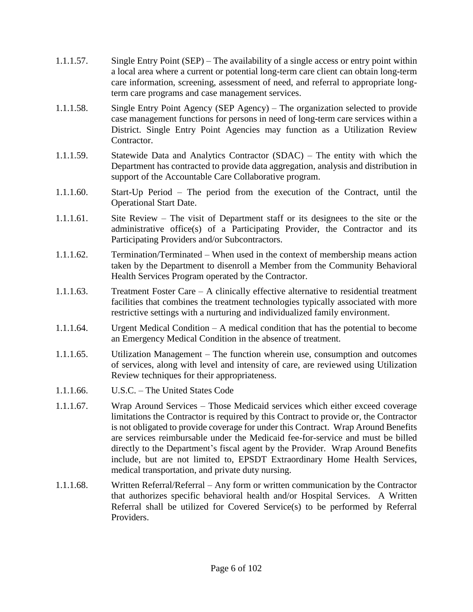- 1.1.1.57. Single Entry Point (SEP) The availability of a single access or entry point within a local area where a current or potential long-term care client can obtain long-term care information, screening, assessment of need, and referral to appropriate longterm care programs and case management services.
- 1.1.1.58. Single Entry Point Agency (SEP Agency) The organization selected to provide case management functions for persons in need of long-term care services within a District. Single Entry Point Agencies may function as a Utilization Review Contractor.
- 1.1.1.59. Statewide Data and Analytics Contractor (SDAC) The entity with which the Department has contracted to provide data aggregation, analysis and distribution in support of the Accountable Care Collaborative program.
- 1.1.1.60. Start-Up Period The period from the execution of the Contract, until the Operational Start Date.
- 1.1.1.61. Site Review The visit of Department staff or its designees to the site or the administrative office(s) of a Participating Provider, the Contractor and its Participating Providers and/or Subcontractors.
- 1.1.1.62. Termination/Terminated When used in the context of membership means action taken by the Department to disenroll a Member from the Community Behavioral Health Services Program operated by the Contractor.
- 1.1.1.63. Treatment Foster Care A clinically effective alternative to residential treatment facilities that combines the treatment technologies typically associated with more restrictive settings with a nurturing and individualized family environment.
- 1.1.1.64. Urgent Medical Condition A medical condition that has the potential to become an Emergency Medical Condition in the absence of treatment.
- 1.1.1.65. Utilization Management The function wherein use, consumption and outcomes of services, along with level and intensity of care, are reviewed using Utilization Review techniques for their appropriateness.
- 1.1.1.66. U.S.C. The United States Code
- 1.1.1.67. Wrap Around Services Those Medicaid services which either exceed coverage limitations the Contractor is required by this Contract to provide or, the Contractor is not obligated to provide coverage for under this Contract. Wrap Around Benefits are services reimbursable under the Medicaid fee-for-service and must be billed directly to the Department's fiscal agent by the Provider. Wrap Around Benefits include, but are not limited to, EPSDT Extraordinary Home Health Services, medical transportation, and private duty nursing.
- 1.1.1.68. Written Referral/Referral Any form or written communication by the Contractor that authorizes specific behavioral health and/or Hospital Services. A Written Referral shall be utilized for Covered Service(s) to be performed by Referral Providers.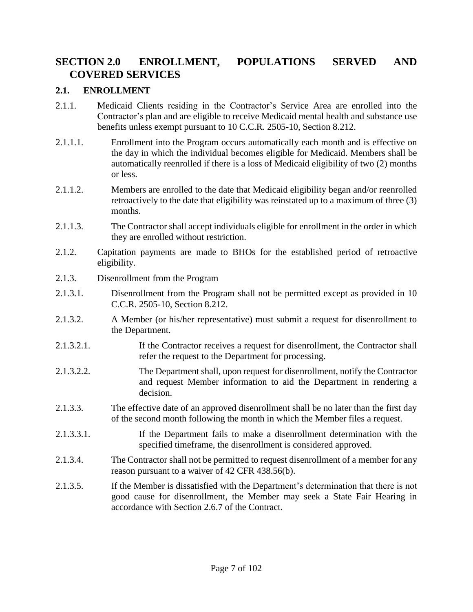# **SECTION 2.0 ENROLLMENT, POPULATIONS SERVED AND COVERED SERVICES**

## **2.1. ENROLLMENT**

- 2.1.1. Medicaid Clients residing in the Contractor's Service Area are enrolled into the Contractor's plan and are eligible to receive Medicaid mental health and substance use benefits unless exempt pursuant to 10 C.C.R. 2505-10, Section 8.212.
- 2.1.1.1. Enrollment into the Program occurs automatically each month and is effective on the day in which the individual becomes eligible for Medicaid. Members shall be automatically reenrolled if there is a loss of Medicaid eligibility of two (2) months or less.
- 2.1.1.2. Members are enrolled to the date that Medicaid eligibility began and/or reenrolled retroactively to the date that eligibility was reinstated up to a maximum of three (3) months.
- 2.1.1.3. The Contractor shall accept individuals eligible for enrollment in the order in which they are enrolled without restriction.
- 2.1.2. Capitation payments are made to BHOs for the established period of retroactive eligibility.
- 2.1.3. Disenrollment from the Program
- 2.1.3.1. Disenrollment from the Program shall not be permitted except as provided in 10 C.C.R. 2505-10, Section 8.212.
- 2.1.3.2. A Member (or his/her representative) must submit a request for disenrollment to the Department.
- 2.1.3.2.1. If the Contractor receives a request for disenrollment, the Contractor shall refer the request to the Department for processing.
- 2.1.3.2.2. The Department shall, upon request for disenrollment, notify the Contractor and request Member information to aid the Department in rendering a decision.
- 2.1.3.3. The effective date of an approved disenrollment shall be no later than the first day of the second month following the month in which the Member files a request.
- 2.1.3.3.1. If the Department fails to make a disenrollment determination with the specified timeframe, the disenrollment is considered approved.
- 2.1.3.4. The Contractor shall not be permitted to request disenrollment of a member for any reason pursuant to a waiver of 42 CFR 438.56(b).
- 2.1.3.5. If the Member is dissatisfied with the Department's determination that there is not good cause for disenrollment, the Member may seek a State Fair Hearing in accordance with Section 2.6.7 of the Contract.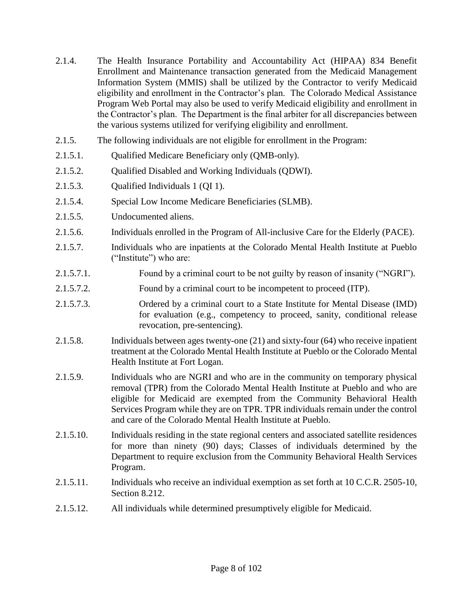- 2.1.4. The Health Insurance Portability and Accountability Act (HIPAA) 834 Benefit Enrollment and Maintenance transaction generated from the Medicaid Management Information System (MMIS) shall be utilized by the Contractor to verify Medicaid eligibility and enrollment in the Contractor's plan. The Colorado Medical Assistance Program Web Portal may also be used to verify Medicaid eligibility and enrollment in the Contractor's plan. The Department is the final arbiter for all discrepancies between the various systems utilized for verifying eligibility and enrollment.
- 2.1.5. The following individuals are not eligible for enrollment in the Program:
- 2.1.5.1. Qualified Medicare Beneficiary only (QMB-only).
- 2.1.5.2. Qualified Disabled and Working Individuals (QDWI).
- 2.1.5.3. Qualified Individuals 1 (QI 1).
- 2.1.5.4. Special Low Income Medicare Beneficiaries (SLMB).
- 2.1.5.5. Undocumented aliens.
- 2.1.5.6. Individuals enrolled in the Program of All-inclusive Care for the Elderly (PACE).
- 2.1.5.7. Individuals who are inpatients at the Colorado Mental Health Institute at Pueblo ("Institute") who are:
- 2.1.5.7.1. Found by a criminal court to be not guilty by reason of insanity ("NGRI").
- 2.1.5.7.2. Found by a criminal court to be incompetent to proceed (ITP).
- 2.1.5.7.3. Ordered by a criminal court to a State Institute for Mental Disease (IMD) for evaluation (e.g., competency to proceed, sanity, conditional release revocation, pre-sentencing).
- 2.1.5.8. Individuals between ages twenty-one (21) and sixty-four (64) who receive inpatient treatment at the Colorado Mental Health Institute at Pueblo or the Colorado Mental Health Institute at Fort Logan.
- 2.1.5.9. Individuals who are NGRI and who are in the community on temporary physical removal (TPR) from the Colorado Mental Health Institute at Pueblo and who are eligible for Medicaid are exempted from the Community Behavioral Health Services Program while they are on TPR. TPR individuals remain under the control and care of the Colorado Mental Health Institute at Pueblo.
- 2.1.5.10. Individuals residing in the state regional centers and associated satellite residences for more than ninety (90) days; Classes of individuals determined by the Department to require exclusion from the Community Behavioral Health Services Program.
- 2.1.5.11. Individuals who receive an individual exemption as set forth at 10 C.C.R. 2505-10, Section 8.212.
- 2.1.5.12. All individuals while determined presumptively eligible for Medicaid.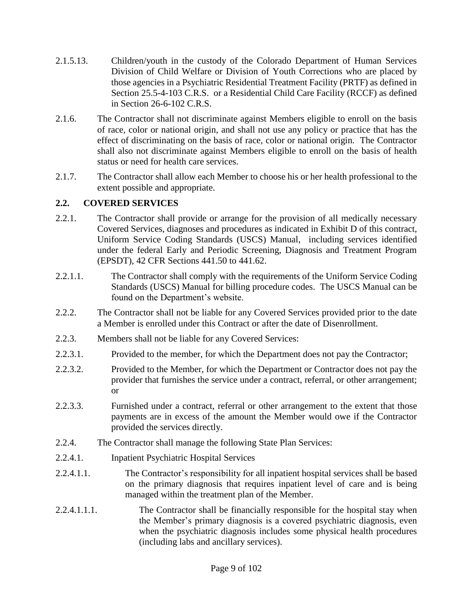- 2.1.5.13. Children/youth in the custody of the Colorado Department of Human Services Division of Child Welfare or Division of Youth Corrections who are placed by those agencies in a Psychiatric Residential Treatment Facility (PRTF) as defined in Section 25.5-4-103 C.R.S. or a Residential Child Care Facility (RCCF) as defined in Section 26-6-102 C.R.S.
- 2.1.6. The Contractor shall not discriminate against Members eligible to enroll on the basis of race, color or national origin, and shall not use any policy or practice that has the effect of discriminating on the basis of race, color or national origin. The Contractor shall also not discriminate against Members eligible to enroll on the basis of health status or need for health care services.
- 2.1.7. The Contractor shall allow each Member to choose his or her health professional to the extent possible and appropriate.

## **2.2. COVERED SERVICES**

- 2.2.1. The Contractor shall provide or arrange for the provision of all medically necessary Covered Services, diagnoses and procedures as indicated in Exhibit D of this contract, Uniform Service Coding Standards (USCS) Manual, including services identified under the federal Early and Periodic Screening, Diagnosis and Treatment Program (EPSDT), 42 CFR Sections 441.50 to 441.62.
- 2.2.1.1. The Contractor shall comply with the requirements of the Uniform Service Coding Standards (USCS) Manual for billing procedure codes. The USCS Manual can be found on the Department's website.
- 2.2.2. The Contractor shall not be liable for any Covered Services provided prior to the date a Member is enrolled under this Contract or after the date of Disenrollment.
- 2.2.3. Members shall not be liable for any Covered Services:
- 2.2.3.1. Provided to the member, for which the Department does not pay the Contractor;
- 2.2.3.2. Provided to the Member, for which the Department or Contractor does not pay the provider that furnishes the service under a contract, referral, or other arrangement; or
- 2.2.3.3. Furnished under a contract, referral or other arrangement to the extent that those payments are in excess of the amount the Member would owe if the Contractor provided the services directly.
- 2.2.4. The Contractor shall manage the following State Plan Services:
- 2.2.4.1. Inpatient Psychiatric Hospital Services
- 2.2.4.1.1. The Contractor's responsibility for all inpatient hospital services shall be based on the primary diagnosis that requires inpatient level of care and is being managed within the treatment plan of the Member.
- 2.2.4.1.1.1. The Contractor shall be financially responsible for the hospital stay when the Member's primary diagnosis is a covered psychiatric diagnosis, even when the psychiatric diagnosis includes some physical health procedures (including labs and ancillary services).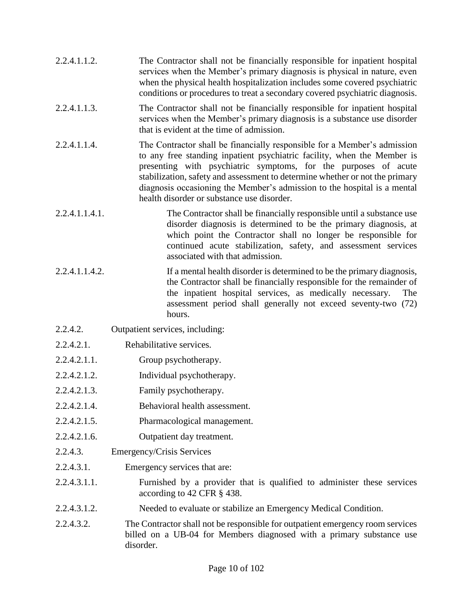| 2.2.4.1.1.2. | The Contractor shall not be financially responsible for inpatient hospital   |
|--------------|------------------------------------------------------------------------------|
|              | services when the Member's primary diagnosis is physical in nature, even     |
|              | when the physical health hospitalization includes some covered psychiatric   |
|              | conditions or procedures to treat a secondary covered psychiatric diagnosis. |

- 2.2.4.1.1.3. The Contractor shall not be financially responsible for inpatient hospital services when the Member's primary diagnosis is a substance use disorder that is evident at the time of admission.
- 2.2.4.1.1.4. The Contractor shall be financially responsible for a Member's admission to any free standing inpatient psychiatric facility, when the Member is presenting with psychiatric symptoms, for the purposes of acute stabilization, safety and assessment to determine whether or not the primary diagnosis occasioning the Member's admission to the hospital is a mental health disorder or substance use disorder.
- 2.2.4.1.1.4.1. The Contractor shall be financially responsible until a substance use disorder diagnosis is determined to be the primary diagnosis, at which point the Contractor shall no longer be responsible for continued acute stabilization, safety, and assessment services associated with that admission.
- 2.2.4.1.1.4.2. If a mental health disorder is determined to be the primary diagnosis, the Contractor shall be financially responsible for the remainder of the inpatient hospital services, as medically necessary. The assessment period shall generally not exceed seventy-two (72) hours.
- 2.2.4.2. Outpatient services, including:
- 2.2.4.2.1. Rehabilitative services.
- 2.2.4.2.1.1. Group psychotherapy.
- 2.2.4.2.1.2. Individual psychotherapy.
- 2.2.4.2.1.3. Family psychotherapy.
- 2.2.4.2.1.4. Behavioral health assessment.
- 2.2.4.2.1.5. Pharmacological management.
- 2.2.4.2.1.6. Outpatient day treatment.
- 2.2.4.3. Emergency/Crisis Services
- 2.2.4.3.1. Emergency services that are:
- 2.2.4.3.1.1. Furnished by a provider that is qualified to administer these services according to 42 CFR § 438.
- 2.2.4.3.1.2. Needed to evaluate or stabilize an Emergency Medical Condition.
- 2.2.4.3.2. The Contractor shall not be responsible for outpatient emergency room services billed on a UB-04 for Members diagnosed with a primary substance use disorder.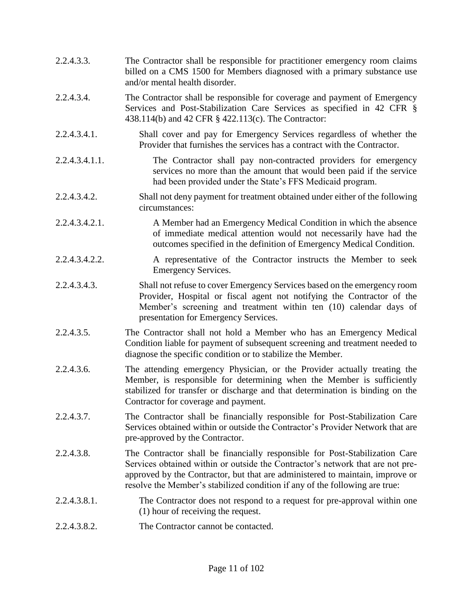- 2.2.4.3.3. The Contractor shall be responsible for practitioner emergency room claims billed on a CMS 1500 for Members diagnosed with a primary substance use and/or mental health disorder.
- 2.2.4.3.4. The Contractor shall be responsible for coverage and payment of Emergency Services and Post-Stabilization Care Services as specified in 42 CFR § 438.114(b) and 42 CFR § 422.113(c). The Contractor:
- 2.2.4.3.4.1. Shall cover and pay for Emergency Services regardless of whether the Provider that furnishes the services has a contract with the Contractor.
- 2.2.4.3.4.1.1. The Contractor shall pay non-contracted providers for emergency services no more than the amount that would been paid if the service had been provided under the State's FFS Medicaid program.
- 2.2.4.3.4.2. Shall not deny payment for treatment obtained under either of the following circumstances:
- 2.2.4.3.4.2.1. A Member had an Emergency Medical Condition in which the absence of immediate medical attention would not necessarily have had the outcomes specified in the definition of Emergency Medical Condition.
- 2.2.4.3.4.2.2. A representative of the Contractor instructs the Member to seek Emergency Services.
- 2.2.4.3.4.3. Shall not refuse to cover Emergency Services based on the emergency room Provider, Hospital or fiscal agent not notifying the Contractor of the Member's screening and treatment within ten (10) calendar days of presentation for Emergency Services.
- 2.2.4.3.5. The Contractor shall not hold a Member who has an Emergency Medical Condition liable for payment of subsequent screening and treatment needed to diagnose the specific condition or to stabilize the Member.
- 2.2.4.3.6. The attending emergency Physician, or the Provider actually treating the Member, is responsible for determining when the Member is sufficiently stabilized for transfer or discharge and that determination is binding on the Contractor for coverage and payment.
- 2.2.4.3.7. The Contractor shall be financially responsible for Post-Stabilization Care Services obtained within or outside the Contractor's Provider Network that are pre-approved by the Contractor.
- 2.2.4.3.8. The Contractor shall be financially responsible for Post-Stabilization Care Services obtained within or outside the Contractor's network that are not preapproved by the Contractor, but that are administered to maintain, improve or resolve the Member's stabilized condition if any of the following are true:
- 2.2.4.3.8.1. The Contractor does not respond to a request for pre-approval within one (1) hour of receiving the request.
- 2.2.4.3.8.2. The Contractor cannot be contacted.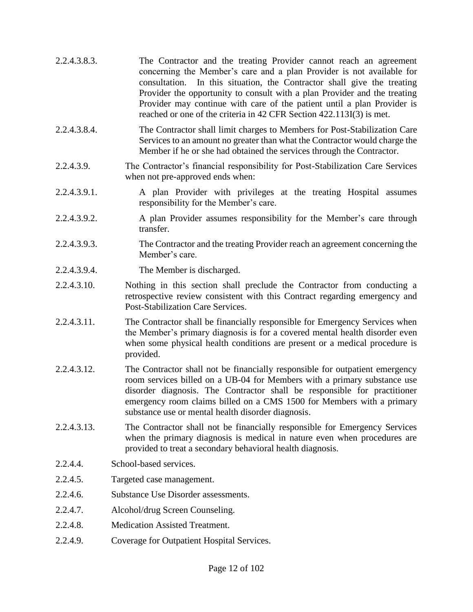- 2.2.4.3.8.3. The Contractor and the treating Provider cannot reach an agreement concerning the Member's care and a plan Provider is not available for consultation. In this situation, the Contractor shall give the treating Provider the opportunity to consult with a plan Provider and the treating Provider may continue with care of the patient until a plan Provider is reached or one of the criteria in 42 CFR Section 422.113I(3) is met.
- 2.2.4.3.8.4. The Contractor shall limit charges to Members for Post-Stabilization Care Services to an amount no greater than what the Contractor would charge the Member if he or she had obtained the services through the Contractor.
- 2.2.4.3.9. The Contractor's financial responsibility for Post-Stabilization Care Services when not pre-approved ends when:
- 2.2.4.3.9.1. A plan Provider with privileges at the treating Hospital assumes responsibility for the Member's care.
- 2.2.4.3.9.2. A plan Provider assumes responsibility for the Member's care through transfer.
- 2.2.4.3.9.3. The Contractor and the treating Provider reach an agreement concerning the Member's care.
- 2.2.4.3.9.4. The Member is discharged.
- 2.2.4.3.10. Nothing in this section shall preclude the Contractor from conducting a retrospective review consistent with this Contract regarding emergency and Post-Stabilization Care Services.
- 2.2.4.3.11. The Contractor shall be financially responsible for Emergency Services when the Member's primary diagnosis is for a covered mental health disorder even when some physical health conditions are present or a medical procedure is provided.
- 2.2.4.3.12. The Contractor shall not be financially responsible for outpatient emergency room services billed on a UB-04 for Members with a primary substance use disorder diagnosis. The Contractor shall be responsible for practitioner emergency room claims billed on a CMS 1500 for Members with a primary substance use or mental health disorder diagnosis.
- 2.2.4.3.13. The Contractor shall not be financially responsible for Emergency Services when the primary diagnosis is medical in nature even when procedures are provided to treat a secondary behavioral health diagnosis.
- 2.2.4.4. School-based services.
- 2.2.4.5. Targeted case management.
- 2.2.4.6. Substance Use Disorder assessments.
- 2.2.4.7. Alcohol/drug Screen Counseling.
- 2.2.4.8. Medication Assisted Treatment.
- 2.2.4.9. Coverage for Outpatient Hospital Services.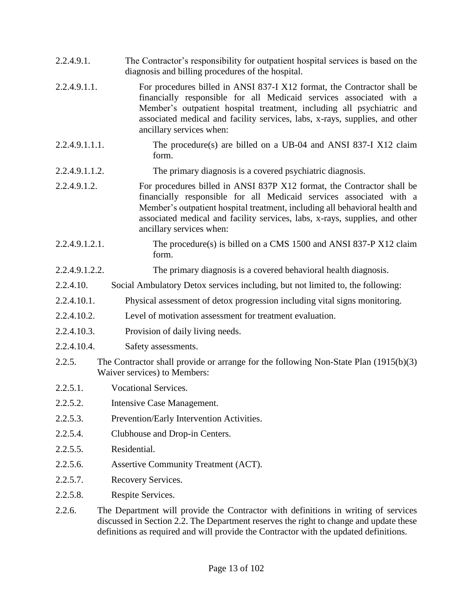- 2.2.4.9.1. The Contractor's responsibility for outpatient hospital services is based on the diagnosis and billing procedures of the hospital.
- 2.2.4.9.1.1. For procedures billed in ANSI 837-I X12 format, the Contractor shall be financially responsible for all Medicaid services associated with a Member's outpatient hospital treatment, including all psychiatric and associated medical and facility services, labs, x-rays, supplies, and other ancillary services when:
- 2.2.4.9.1.1.1. The procedure(s) are billed on a UB-04 and ANSI 837-I X12 claim form.
- 2.2.4.9.1.1.2. The primary diagnosis is a covered psychiatric diagnosis.
- 2.2.4.9.1.2. For procedures billed in ANSI 837P X12 format, the Contractor shall be financially responsible for all Medicaid services associated with a Member's outpatient hospital treatment, including all behavioral health and associated medical and facility services, labs, x-rays, supplies, and other ancillary services when:
- 2.2.4.9.1.2.1. The procedure(s) is billed on a CMS 1500 and ANSI 837-P X12 claim form.
- 2.2.4.9.1.2.2. The primary diagnosis is a covered behavioral health diagnosis.
- 2.2.4.10. Social Ambulatory Detox services including, but not limited to, the following:
- 2.2.4.10.1. Physical assessment of detox progression including vital signs monitoring.
- 2.2.4.10.2. Level of motivation assessment for treatment evaluation.
- 2.2.4.10.3. Provision of daily living needs.
- 2.2.4.10.4. Safety assessments.
- 2.2.5. The Contractor shall provide or arrange for the following Non-State Plan (1915(b)(3) Waiver services) to Members:
- 2.2.5.1. Vocational Services.
- 2.2.5.2. Intensive Case Management.
- 2.2.5.3. Prevention/Early Intervention Activities.
- 2.2.5.4. Clubhouse and Drop-in Centers.
- 2.2.5.5. Residential.
- 2.2.5.6. Assertive Community Treatment (ACT).
- 2.2.5.7. Recovery Services.
- 2.2.5.8. Respite Services.
- 2.2.6. The Department will provide the Contractor with definitions in writing of services discussed in Section 2.2. The Department reserves the right to change and update these definitions as required and will provide the Contractor with the updated definitions.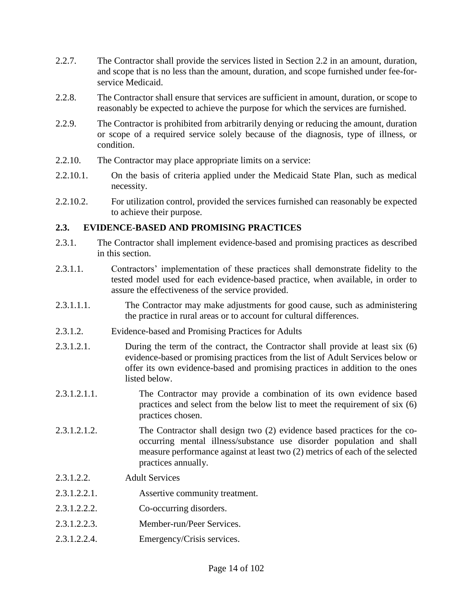- 2.2.7. The Contractor shall provide the services listed in Section 2.2 in an amount, duration, and scope that is no less than the amount, duration, and scope furnished under fee-forservice Medicaid.
- 2.2.8. The Contractor shall ensure that services are sufficient in amount, duration, or scope to reasonably be expected to achieve the purpose for which the services are furnished.
- 2.2.9. The Contractor is prohibited from arbitrarily denying or reducing the amount, duration or scope of a required service solely because of the diagnosis, type of illness, or condition.
- 2.2.10. The Contractor may place appropriate limits on a service:
- 2.2.10.1. On the basis of criteria applied under the Medicaid State Plan, such as medical necessity.
- 2.2.10.2. For utilization control, provided the services furnished can reasonably be expected to achieve their purpose.

## **2.3. EVIDENCE-BASED AND PROMISING PRACTICES**

- 2.3.1. The Contractor shall implement evidence-based and promising practices as described in this section.
- 2.3.1.1. Contractors' implementation of these practices shall demonstrate fidelity to the tested model used for each evidence-based practice, when available, in order to assure the effectiveness of the service provided.
- 2.3.1.1.1. The Contractor may make adjustments for good cause, such as administering the practice in rural areas or to account for cultural differences.
- 2.3.1.2. Evidence-based and Promising Practices for Adults
- 2.3.1.2.1. During the term of the contract, the Contractor shall provide at least six (6) evidence-based or promising practices from the list of Adult Services below or offer its own evidence-based and promising practices in addition to the ones listed below.
- 2.3.1.2.1.1. The Contractor may provide a combination of its own evidence based practices and select from the below list to meet the requirement of six (6) practices chosen.
- 2.3.1.2.1.2. The Contractor shall design two (2) evidence based practices for the cooccurring mental illness/substance use disorder population and shall measure performance against at least two (2) metrics of each of the selected practices annually.
- 2.3.1.2.2. Adult Services
- 2.3.1.2.2.1. Assertive community treatment.
- 2.3.1.2.2.2. Co-occurring disorders.
- 2.3.1.2.2.3. Member-run/Peer Services.
- 2.3.1.2.2.4. Emergency/Crisis services.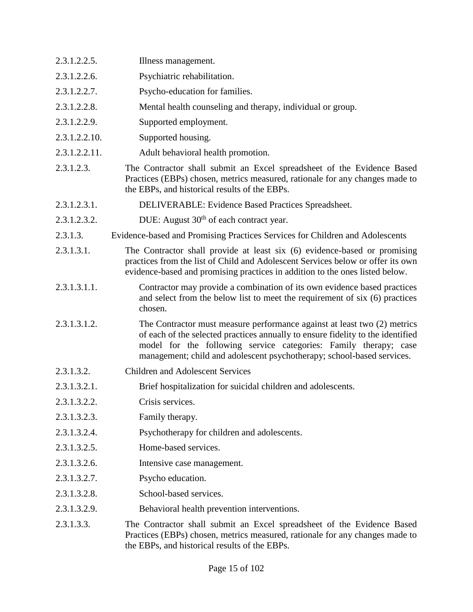| 2.3.1.2.2.5.  | Illness management.                                                                                                                                                                                                                                                                                       |
|---------------|-----------------------------------------------------------------------------------------------------------------------------------------------------------------------------------------------------------------------------------------------------------------------------------------------------------|
| 2.3.1.2.2.6.  | Psychiatric rehabilitation.                                                                                                                                                                                                                                                                               |
| 2.3.1.2.2.7.  | Psycho-education for families.                                                                                                                                                                                                                                                                            |
| 2.3.1.2.2.8.  | Mental health counseling and therapy, individual or group.                                                                                                                                                                                                                                                |
| 2.3.1.2.2.9.  | Supported employment.                                                                                                                                                                                                                                                                                     |
| 2.3.1.2.2.10. | Supported housing.                                                                                                                                                                                                                                                                                        |
| 2.3.1.2.2.11. | Adult behavioral health promotion.                                                                                                                                                                                                                                                                        |
| 2.3.1.2.3.    | The Contractor shall submit an Excel spreadsheet of the Evidence Based<br>Practices (EBPs) chosen, metrics measured, rationale for any changes made to<br>the EBPs, and historical results of the EBPs.                                                                                                   |
| 2.3.1.2.3.1.  | <b>DELIVERABLE: Evidence Based Practices Spreadsheet.</b>                                                                                                                                                                                                                                                 |
| 2.3.1.2.3.2.  | DUE: August 30 <sup>th</sup> of each contract year.                                                                                                                                                                                                                                                       |
| 2.3.1.3.      | Evidence-based and Promising Practices Services for Children and Adolescents                                                                                                                                                                                                                              |
| 2.3.1.3.1.    | The Contractor shall provide at least six (6) evidence-based or promising<br>practices from the list of Child and Adolescent Services below or offer its own<br>evidence-based and promising practices in addition to the ones listed below.                                                              |
| 2.3.1.3.1.1.  | Contractor may provide a combination of its own evidence based practices<br>and select from the below list to meet the requirement of six (6) practices<br>chosen.                                                                                                                                        |
| 2.3.1.3.1.2.  | The Contractor must measure performance against at least two (2) metrics<br>of each of the selected practices annually to ensure fidelity to the identified<br>model for the following service categories: Family therapy; case<br>management; child and adolescent psychotherapy; school-based services. |
| 2.3.1.3.2.    | <b>Children and Adolescent Services</b>                                                                                                                                                                                                                                                                   |
| 2.3.1.3.2.1.  | Brief hospitalization for suicidal children and adolescents.                                                                                                                                                                                                                                              |
| 2.3.1.3.2.2.  | Crisis services.                                                                                                                                                                                                                                                                                          |
| 2.3.1.3.2.3.  | Family therapy.                                                                                                                                                                                                                                                                                           |
| 2.3.1.3.2.4.  | Psychotherapy for children and adolescents.                                                                                                                                                                                                                                                               |
| 2.3.1.3.2.5.  | Home-based services.                                                                                                                                                                                                                                                                                      |
| 2.3.1.3.2.6.  | Intensive case management.                                                                                                                                                                                                                                                                                |
| 2.3.1.3.2.7.  | Psycho education.                                                                                                                                                                                                                                                                                         |
| 2.3.1.3.2.8.  | School-based services.                                                                                                                                                                                                                                                                                    |
| 2.3.1.3.2.9.  | Behavioral health prevention interventions.                                                                                                                                                                                                                                                               |
| 2.3.1.3.3.    | The Contractor shall submit an Excel spreadsheet of the Evidence Based<br>Practices (EBPs) chosen, metrics measured, rationale for any changes made to<br>the EBPs, and historical results of the EBPs.                                                                                                   |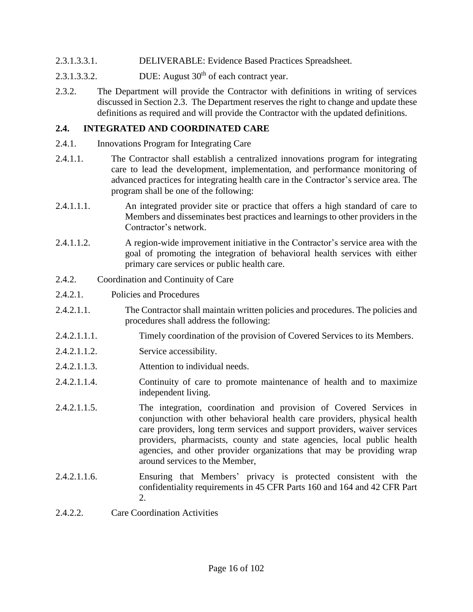- 2.3.1.3.3.1. DELIVERABLE: Evidence Based Practices Spreadsheet.
- 2.3.1.3.3.2. DUE: August  $30<sup>th</sup>$  of each contract year.
- 2.3.2. The Department will provide the Contractor with definitions in writing of services discussed in Section 2.3. The Department reserves the right to change and update these definitions as required and will provide the Contractor with the updated definitions.

### **2.4. INTEGRATED AND COORDINATED CARE**

- 2.4.1. Innovations Program for Integrating Care
- 2.4.1.1. The Contractor shall establish a centralized innovations program for integrating care to lead the development, implementation, and performance monitoring of advanced practices for integrating health care in the Contractor's service area. The program shall be one of the following:
- 2.4.1.1.1. An integrated provider site or practice that offers a high standard of care to Members and disseminates best practices and learnings to other providers in the Contractor's network.
- 2.4.1.1.2. A region-wide improvement initiative in the Contractor's service area with the goal of promoting the integration of behavioral health services with either primary care services or public health care.
- 2.4.2. Coordination and Continuity of Care
- 2.4.2.1. Policies and Procedures
- 2.4.2.1.1. The Contractor shall maintain written policies and procedures. The policies and procedures shall address the following:
- 2.4.2.1.1.1. Timely coordination of the provision of Covered Services to its Members.
- 2.4.2.1.1.2. Service accessibility.
- 2.4.2.1.1.3. Attention to individual needs.
- 2.4.2.1.1.4. Continuity of care to promote maintenance of health and to maximize independent living.
- 2.4.2.1.1.5. The integration, coordination and provision of Covered Services in conjunction with other behavioral health care providers, physical health care providers, long term services and support providers, waiver services providers, pharmacists, county and state agencies, local public health agencies, and other provider organizations that may be providing wrap around services to the Member,
- 2.4.2.1.1.6. Ensuring that Members' privacy is protected consistent with the confidentiality requirements in 45 CFR Parts 160 and 164 and 42 CFR Part 2.
- 2.4.2.2. Care Coordination Activities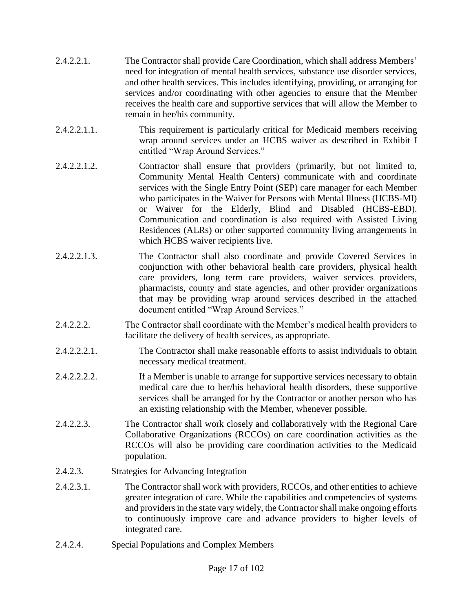- 2.4.2.2.1. The Contractor shall provide Care Coordination, which shall address Members' need for integration of mental health services, substance use disorder services, and other health services. This includes identifying, providing, or arranging for services and/or coordinating with other agencies to ensure that the Member receives the health care and supportive services that will allow the Member to remain in her/his community.
- 2.4.2.2.1.1. This requirement is particularly critical for Medicaid members receiving wrap around services under an HCBS waiver as described in Exhibit I entitled "Wrap Around Services."
- 2.4.2.2.1.2. Contractor shall ensure that providers (primarily, but not limited to, Community Mental Health Centers) communicate with and coordinate services with the Single Entry Point (SEP) care manager for each Member who participates in the Waiver for Persons with Mental Illness (HCBS-MI) or Waiver for the Elderly, Blind and Disabled (HCBS-EBD). Communication and coordination is also required with Assisted Living Residences (ALRs) or other supported community living arrangements in which HCBS waiver recipients live.
- 2.4.2.2.1.3. The Contractor shall also coordinate and provide Covered Services in conjunction with other behavioral health care providers, physical health care providers, long term care providers, waiver services providers, pharmacists, county and state agencies, and other provider organizations that may be providing wrap around services described in the attached document entitled "Wrap Around Services."
- 2.4.2.2.2. The Contractor shall coordinate with the Member's medical health providers to facilitate the delivery of health services, as appropriate.
- 2.4.2.2.2.1. The Contractor shall make reasonable efforts to assist individuals to obtain necessary medical treatment.
- 2.4.2.2.2.2. If a Member is unable to arrange for supportive services necessary to obtain medical care due to her/his behavioral health disorders, these supportive services shall be arranged for by the Contractor or another person who has an existing relationship with the Member, whenever possible.
- 2.4.2.2.3. The Contractor shall work closely and collaboratively with the Regional Care Collaborative Organizations (RCCOs) on care coordination activities as the RCCOs will also be providing care coordination activities to the Medicaid population.
- 2.4.2.3. Strategies for Advancing Integration
- 2.4.2.3.1. The Contractor shall work with providers, RCCOs, and other entities to achieve greater integration of care. While the capabilities and competencies of systems and providers in the state vary widely, the Contractor shall make ongoing efforts to continuously improve care and advance providers to higher levels of integrated care.
- 2.4.2.4. Special Populations and Complex Members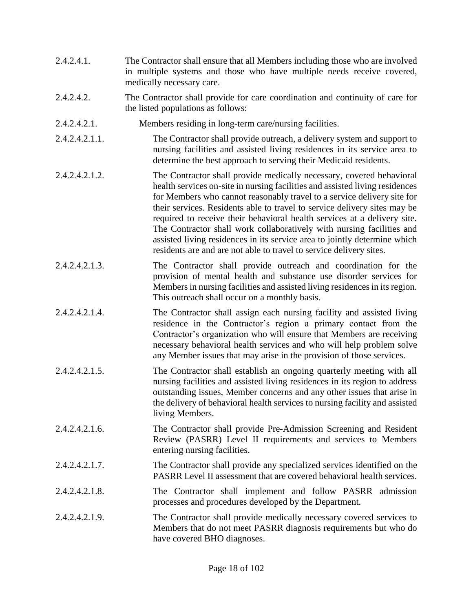- 2.4.2.4.1. The Contractor shall ensure that all Members including those who are involved in multiple systems and those who have multiple needs receive covered, medically necessary care.
- 2.4.2.4.2. The Contractor shall provide for care coordination and continuity of care for the listed populations as follows:
- 2.4.2.4.2.1. Members residing in long-term care/nursing facilities.
- 2.4.2.4.2.1.1. The Contractor shall provide outreach, a delivery system and support to nursing facilities and assisted living residences in its service area to determine the best approach to serving their Medicaid residents.
- 2.4.2.4.2.1.2. The Contractor shall provide medically necessary, covered behavioral health services on-site in nursing facilities and assisted living residences for Members who cannot reasonably travel to a service delivery site for their services. Residents able to travel to service delivery sites may be required to receive their behavioral health services at a delivery site. The Contractor shall work collaboratively with nursing facilities and assisted living residences in its service area to jointly determine which residents are and are not able to travel to service delivery sites.
- 2.4.2.4.2.1.3. The Contractor shall provide outreach and coordination for the provision of mental health and substance use disorder services for Members in nursing facilities and assisted living residences in its region. This outreach shall occur on a monthly basis.
- 2.4.2.4.2.1.4. The Contractor shall assign each nursing facility and assisted living residence in the Contractor's region a primary contact from the Contractor's organization who will ensure that Members are receiving necessary behavioral health services and who will help problem solve any Member issues that may arise in the provision of those services.
- 2.4.2.4.2.1.5. The Contractor shall establish an ongoing quarterly meeting with all nursing facilities and assisted living residences in its region to address outstanding issues, Member concerns and any other issues that arise in the delivery of behavioral health services to nursing facility and assisted living Members.
- 2.4.2.4.2.1.6. The Contractor shall provide Pre-Admission Screening and Resident Review (PASRR) Level II requirements and services to Members entering nursing facilities.
- 2.4.2.4.2.1.7. The Contractor shall provide any specialized services identified on the PASRR Level II assessment that are covered behavioral health services.
- 2.4.2.4.2.1.8. The Contractor shall implement and follow PASRR admission processes and procedures developed by the Department.
- 2.4.2.4.2.1.9. The Contractor shall provide medically necessary covered services to Members that do not meet PASRR diagnosis requirements but who do have covered BHO diagnoses.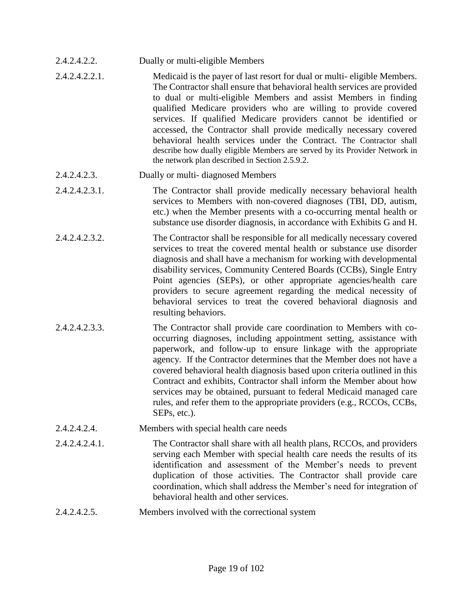- 2.4.2.4.2.2. Dually or multi-eligible Members
- 2.4.2.4.2.2.1. Medicaid is the payer of last resort for dual or multi- eligible Members. The Contractor shall ensure that behavioral health services are provided to dual or multi-eligible Members and assist Members in finding qualified Medicare providers who are willing to provide covered services. If qualified Medicare providers cannot be identified or accessed, the Contractor shall provide medically necessary covered behavioral health services under the Contract. The Contractor shall describe how dually eligible Members are served by its Provider Network in the network plan described in Section 2.5.9.2.
- 2.4.2.4.2.3. Dually or multi- diagnosed Members
- 2.4.2.4.2.3.1. The Contractor shall provide medically necessary behavioral health services to Members with non-covered diagnoses (TBI, DD, autism, etc.) when the Member presents with a co-occurring mental health or substance use disorder diagnosis, in accordance with Exhibits G and H.
- 2.4.2.4.2.3.2. The Contractor shall be responsible for all medically necessary covered services to treat the covered mental health or substance use disorder diagnosis and shall have a mechanism for working with developmental disability services, Community Centered Boards (CCBs), Single Entry Point agencies (SEPs), or other appropriate agencies/health care providers to secure agreement regarding the medical necessity of behavioral services to treat the covered behavioral diagnosis and resulting behaviors.
- 2.4.2.4.2.3.3. The Contractor shall provide care coordination to Members with cooccurring diagnoses, including appointment setting, assistance with paperwork, and follow-up to ensure linkage with the appropriate agency. If the Contractor determines that the Member does not have a covered behavioral health diagnosis based upon criteria outlined in this Contract and exhibits, Contractor shall inform the Member about how services may be obtained, pursuant to federal Medicaid managed care rules, and refer them to the appropriate providers (e.g., RCCOs, CCBs, SEP<sub>s</sub>, etc.).
- 2.4.2.4.2.4. Members with special health care needs
- 2.4.2.4.2.4.1. The Contractor shall share with all health plans, RCCOs, and providers serving each Member with special health care needs the results of its identification and assessment of the Member's needs to prevent duplication of those activities. The Contractor shall provide care coordination, which shall address the Member's need for integration of behavioral health and other services.
- 2.4.2.4.2.5. Members involved with the correctional system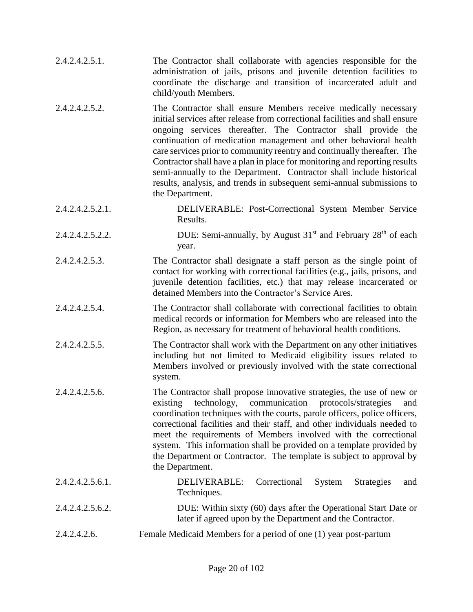- 2.4.2.4.2.5.1. The Contractor shall collaborate with agencies responsible for the administration of jails, prisons and juvenile detention facilities to coordinate the discharge and transition of incarcerated adult and child/youth Members.
- 2.4.2.4.2.5.2. The Contractor shall ensure Members receive medically necessary initial services after release from correctional facilities and shall ensure ongoing services thereafter. The Contractor shall provide the continuation of medication management and other behavioral health care services prior to community reentry and continually thereafter. The Contractor shall have a plan in place for monitoring and reporting results semi-annually to the Department. Contractor shall include historical results, analysis, and trends in subsequent semi-annual submissions to the Department.
- 2.4.2.4.2.5.2.1. DELIVERABLE: Post-Correctional System Member Service Results.
- 2.4.2.4.2.5.2.2. DUE: Semi-annually, by August  $31<sup>st</sup>$  and February  $28<sup>th</sup>$  of each year.
- 2.4.2.4.2.5.3. The Contractor shall designate a staff person as the single point of contact for working with correctional facilities (e.g., jails, prisons, and juvenile detention facilities, etc.) that may release incarcerated or detained Members into the Contractor's Service Ares.
- 2.4.2.4.2.5.4. The Contractor shall collaborate with correctional facilities to obtain medical records or information for Members who are released into the Region, as necessary for treatment of behavioral health conditions.
- 2.4.2.4.2.5.5. The Contractor shall work with the Department on any other initiatives including but not limited to Medicaid eligibility issues related to Members involved or previously involved with the state correctional system.
- 2.4.2.4.2.5.6. The Contractor shall propose innovative strategies, the use of new or existing technology, communication protocols/strategies and coordination techniques with the courts, parole officers, police officers, correctional facilities and their staff, and other individuals needed to meet the requirements of Members involved with the correctional system. This information shall be provided on a template provided by the Department or Contractor. The template is subject to approval by the Department.
- 2.4.2.4.2.5.6.1. DELIVERABLE: Correctional System Strategies and Techniques. 2.4.2.4.2.5.6.2. DUE: Within sixty (60) days after the Operational Start Date or later if agreed upon by the Department and the Contractor.
- 2.4.2.4.2.6. Female Medicaid Members for a period of one (1) year post-partum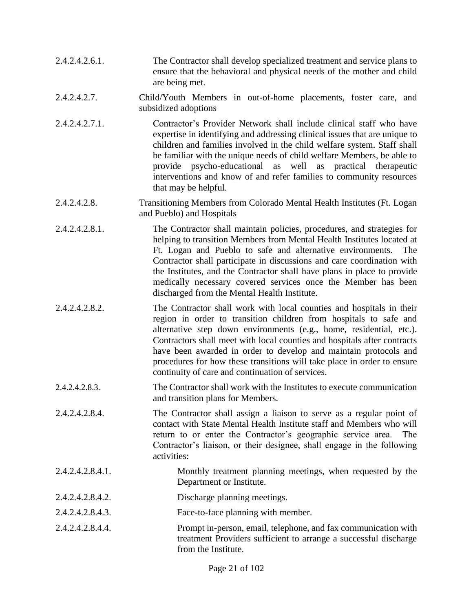- 2.4.2.4.2.6.1. The Contractor shall develop specialized treatment and service plans to ensure that the behavioral and physical needs of the mother and child are being met.
- 2.4.2.4.2.7. Child/Youth Members in out-of-home placements, foster care, and subsidized adoptions
- 2.4.2.4.2.7.1. Contractor's Provider Network shall include clinical staff who have expertise in identifying and addressing clinical issues that are unique to children and families involved in the child welfare system. Staff shall be familiar with the unique needs of child welfare Members, be able to provide psycho-educational as well as practical therapeutic interventions and know of and refer families to community resources that may be helpful.
- 2.4.2.4.2.8. Transitioning Members from Colorado Mental Health Institutes (Ft. Logan and Pueblo) and Hospitals
- 2.4.2.4.2.8.1. The Contractor shall maintain policies, procedures, and strategies for helping to transition Members from Mental Health Institutes located at Ft. Logan and Pueblo to safe and alternative environments. The Contractor shall participate in discussions and care coordination with the Institutes, and the Contractor shall have plans in place to provide medically necessary covered services once the Member has been discharged from the Mental Health Institute.
- 2.4.2.4.2.8.2. The Contractor shall work with local counties and hospitals in their region in order to transition children from hospitals to safe and alternative step down environments (e.g., home, residential, etc.). Contractors shall meet with local counties and hospitals after contracts have been awarded in order to develop and maintain protocols and procedures for how these transitions will take place in order to ensure continuity of care and continuation of services.
- 2.4.2.4.2.8.3. The Contractor shall work with the Institutes to execute communication and transition plans for Members.
- 2.4.2.4.2.8.4. The Contractor shall assign a liaison to serve as a regular point of contact with State Mental Health Institute staff and Members who will return to or enter the Contractor's geographic service area. Contractor's liaison, or their designee, shall engage in the following activities:
- 2.4.2.4.2.8.4.1. Monthly treatment planning meetings, when requested by the Department or Institute.
- 2.4.2.4.2.8.4.2. Discharge planning meetings.
- 2.4.2.4.2.8.4.3. Face-to-face planning with member.
- 2.4.2.4.2.8.4.4. Prompt in-person, email, telephone, and fax communication with treatment Providers sufficient to arrange a successful discharge from the Institute.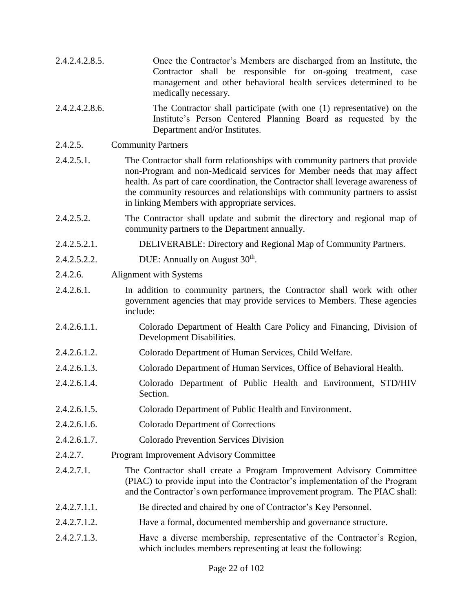- 2.4.2.4.2.8.5. Once the Contractor's Members are discharged from an Institute, the Contractor shall be responsible for on-going treatment, case management and other behavioral health services determined to be medically necessary.
- 2.4.2.4.2.8.6. The Contractor shall participate (with one (1) representative) on the Institute's Person Centered Planning Board as requested by the Department and/or Institutes.
- 2.4.2.5. Community Partners
- 2.4.2.5.1. The Contractor shall form relationships with community partners that provide non-Program and non-Medicaid services for Member needs that may affect health. As part of care coordination, the Contractor shall leverage awareness of the community resources and relationships with community partners to assist in linking Members with appropriate services.
- 2.4.2.5.2. The Contractor shall update and submit the directory and regional map of community partners to the Department annually.
- 2.4.2.5.2.1. DELIVERABLE: Directory and Regional Map of Community Partners.
- 2.4.2.5.2.2. DUE: Annually on August  $30<sup>th</sup>$ .
- 2.4.2.6. Alignment with Systems
- 2.4.2.6.1. In addition to community partners, the Contractor shall work with other government agencies that may provide services to Members. These agencies include:
- 2.4.2.6.1.1. Colorado Department of Health Care Policy and Financing, Division of Development Disabilities.
- 2.4.2.6.1.2. Colorado Department of Human Services, Child Welfare.
- 2.4.2.6.1.3. Colorado Department of Human Services, Office of Behavioral Health.
- 2.4.2.6.1.4. Colorado Department of Public Health and Environment, STD/HIV Section.
- 2.4.2.6.1.5. Colorado Department of Public Health and Environment.
- 2.4.2.6.1.6. Colorado Department of Corrections
- 2.4.2.6.1.7. Colorado Prevention Services Division
- 2.4.2.7. Program Improvement Advisory Committee
- 2.4.2.7.1. The Contractor shall create a Program Improvement Advisory Committee (PIAC) to provide input into the Contractor's implementation of the Program and the Contractor's own performance improvement program. The PIAC shall:
- 2.4.2.7.1.1. Be directed and chaired by one of Contractor's Key Personnel.
- 2.4.2.7.1.2. Have a formal, documented membership and governance structure.
- 2.4.2.7.1.3. Have a diverse membership, representative of the Contractor's Region, which includes members representing at least the following: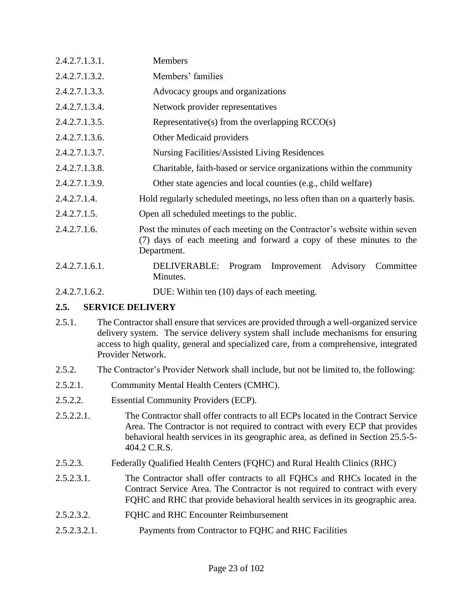| 2.4.2.7.1.3.1. | <b>Members</b>                                                                                                                                                  |
|----------------|-----------------------------------------------------------------------------------------------------------------------------------------------------------------|
| 2.4.2.7.1.3.2. | Members' families                                                                                                                                               |
| 2.4.2.7.1.3.3. | Advocacy groups and organizations                                                                                                                               |
| 2.4.2.7.1.3.4. | Network provider representatives                                                                                                                                |
| 2.4.2.7.1.3.5. | Representative(s) from the overlapping $RCCO(s)$                                                                                                                |
| 2.4.2.7.1.3.6. | Other Medicaid providers                                                                                                                                        |
| 2.4.2.7.1.3.7. | Nursing Facilities/Assisted Living Residences                                                                                                                   |
| 2.4.2.7.1.3.8. | Charitable, faith-based or service organizations within the community                                                                                           |
| 2.4.2.7.1.3.9. | Other state agencies and local counties (e.g., child welfare)                                                                                                   |
| 2.4.2.7.1.4.   | Hold regularly scheduled meetings, no less often than on a quarterly basis.                                                                                     |
| 2.4.2.7.1.5.   | Open all scheduled meetings to the public.                                                                                                                      |
| 2.4.2.7.1.6.   | Post the minutes of each meeting on the Contractor's website within seven<br>(7) days of each meeting and forward a copy of these minutes to the<br>Department. |
| 2.4.2.7.1.6.1. | Improvement Advisory<br>DELIVERABLE:<br>Program<br>Committee<br>Minutes.                                                                                        |

2.4.2.7.1.6.2. DUE: Within ten (10) days of each meeting.

## **2.5. SERVICE DELIVERY**

- 2.5.1. The Contractor shall ensure that services are provided through a well-organized service delivery system. The service delivery system shall include mechanisms for ensuring access to high quality, general and specialized care, from a comprehensive, integrated Provider Network.
- 2.5.2. The Contractor's Provider Network shall include, but not be limited to, the following:
- 2.5.2.1. Community Mental Health Centers (CMHC).
- 2.5.2.2. Essential Community Providers (ECP).
- 2.5.2.2.1. The Contractor shall offer contracts to all ECPs located in the Contract Service Area. The Contractor is not required to contract with every ECP that provides behavioral health services in its geographic area, as defined in Section 25.5-5- 404.2 C.R.S.
- 2.5.2.3. Federally Qualified Health Centers (FQHC) and Rural Health Clinics (RHC)
- 2.5.2.3.1. The Contractor shall offer contracts to all FQHCs and RHCs located in the Contract Service Area. The Contractor is not required to contract with every FQHC and RHC that provide behavioral health services in its geographic area.
- 2.5.2.3.2. FQHC and RHC Encounter Reimbursement
- 2.5.2.3.2.1. Payments from Contractor to FQHC and RHC Facilities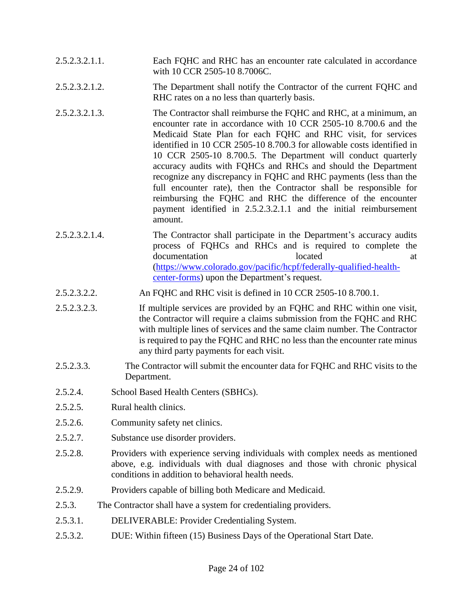- 2.5.2.3.2.1.1. Each FQHC and RHC has an encounter rate calculated in accordance with 10 CCR 2505-10 8.7006C.
- 2.5.2.3.2.1.2. The Department shall notify the Contractor of the current FQHC and RHC rates on a no less than quarterly basis.
- 2.5.2.3.2.1.3. The Contractor shall reimburse the FQHC and RHC, at a minimum, an encounter rate in accordance with 10 CCR 2505-10 8.700.6 and the Medicaid State Plan for each FQHC and RHC visit, for services identified in 10 CCR 2505-10 8.700.3 for allowable costs identified in 10 CCR 2505-10 8.700.5. The Department will conduct quarterly accuracy audits with FQHCs and RHCs and should the Department recognize any discrepancy in FQHC and RHC payments (less than the full encounter rate), then the Contractor shall be responsible for reimbursing the FQHC and RHC the difference of the encounter payment identified in 2.5.2.3.2.1.1 and the initial reimbursement amount.
- 2.5.2.3.2.1.4. The Contractor shall participate in the Department's accuracy audits process of FQHCs and RHCs and is required to complete the documentation located at a located at a located at a set of  $\alpha$  at a located at a located at a located at a located at a located at a located at a located at a located at a located at  $\alpha$  located at a located at  $\alpha$  loc [\(https://www.colorado.gov/pacific/hcpf/federally-qualified-health](https://www.colorado.gov/pacific/hcpf/federally-qualified-health-center-forms)[center-forms\)](https://www.colorado.gov/pacific/hcpf/federally-qualified-health-center-forms) upon the Department's request.
- 2.5.2.3.2.2. An FQHC and RHC visit is defined in 10 CCR 2505-10 8.700.1.
- 2.5.2.3.2.3. If multiple services are provided by an FQHC and RHC within one visit, the Contractor will require a claims submission from the FQHC and RHC with multiple lines of services and the same claim number. The Contractor is required to pay the FQHC and RHC no less than the encounter rate minus any third party payments for each visit.
- 2.5.2.3.3. The Contractor will submit the encounter data for FQHC and RHC visits to the Department.
- 2.5.2.4. School Based Health Centers (SBHCs).
- 2.5.2.5. Rural health clinics.
- 2.5.2.6. Community safety net clinics.
- 2.5.2.7. Substance use disorder providers.
- 2.5.2.8. Providers with experience serving individuals with complex needs as mentioned above, e.g. individuals with dual diagnoses and those with chronic physical conditions in addition to behavioral health needs.
- 2.5.2.9. Providers capable of billing both Medicare and Medicaid.
- 2.5.3. The Contractor shall have a system for credentialing providers.
- 2.5.3.1. DELIVERABLE: Provider Credentialing System.
- 2.5.3.2. DUE: Within fifteen (15) Business Days of the Operational Start Date.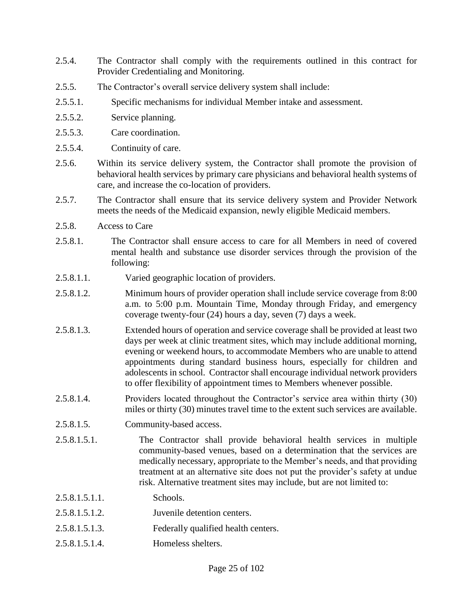- 2.5.4. The Contractor shall comply with the requirements outlined in this contract for Provider Credentialing and Monitoring.
- 2.5.5. The Contractor's overall service delivery system shall include:
- 2.5.5.1. Specific mechanisms for individual Member intake and assessment.
- 2.5.5.2. Service planning.
- 2.5.5.3. Care coordination.
- 2.5.5.4. Continuity of care.
- 2.5.6. Within its service delivery system, the Contractor shall promote the provision of behavioral health services by primary care physicians and behavioral health systems of care, and increase the co-location of providers.
- 2.5.7. The Contractor shall ensure that its service delivery system and Provider Network meets the needs of the Medicaid expansion, newly eligible Medicaid members.
- 2.5.8. Access to Care
- 2.5.8.1. The Contractor shall ensure access to care for all Members in need of covered mental health and substance use disorder services through the provision of the following:
- 2.5.8.1.1. Varied geographic location of providers.
- 2.5.8.1.2. Minimum hours of provider operation shall include service coverage from 8:00 a.m. to 5:00 p.m. Mountain Time, Monday through Friday, and emergency coverage twenty-four (24) hours a day, seven (7) days a week.
- 2.5.8.1.3. Extended hours of operation and service coverage shall be provided at least two days per week at clinic treatment sites, which may include additional morning, evening or weekend hours, to accommodate Members who are unable to attend appointments during standard business hours, especially for children and adolescents in school. Contractor shall encourage individual network providers to offer flexibility of appointment times to Members whenever possible.
- 2.5.8.1.4. Providers located throughout the Contractor's service area within thirty (30) miles or thirty (30) minutes travel time to the extent such services are available.
- 2.5.8.1.5. Community-based access.
- 2.5.8.1.5.1. The Contractor shall provide behavioral health services in multiple community-based venues, based on a determination that the services are medically necessary, appropriate to the Member's needs, and that providing treatment at an alternative site does not put the provider's safety at undue risk. Alternative treatment sites may include, but are not limited to:
- 2.5.8.1.5.1.1. Schools.
- 2.5.8.1.5.1.2. Juvenile detention centers.
- 2.5.8.1.5.1.3. Federally qualified health centers.
- 2.5.8.1.5.1.4. Homeless shelters.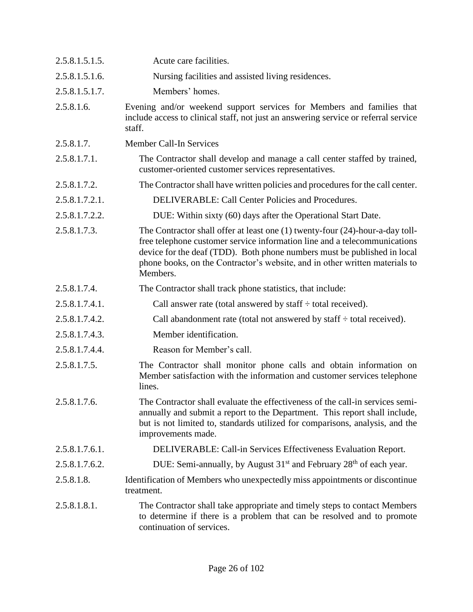| 2.5.8.1.5.1.5. | Acute care facilities.                                                                                                                                                                                                                                                                                                            |
|----------------|-----------------------------------------------------------------------------------------------------------------------------------------------------------------------------------------------------------------------------------------------------------------------------------------------------------------------------------|
| 2.5.8.1.5.1.6. | Nursing facilities and assisted living residences.                                                                                                                                                                                                                                                                                |
| 2.5.8.1.5.1.7. | Members' homes.                                                                                                                                                                                                                                                                                                                   |
| 2.5.8.1.6.     | Evening and/or weekend support services for Members and families that<br>include access to clinical staff, not just an answering service or referral service<br>staff.                                                                                                                                                            |
| 2.5.8.1.7.     | <b>Member Call-In Services</b>                                                                                                                                                                                                                                                                                                    |
| 2.5.8.1.7.1.   | The Contractor shall develop and manage a call center staffed by trained,<br>customer-oriented customer services representatives.                                                                                                                                                                                                 |
| 2.5.8.1.7.2.   | The Contractor shall have written policies and procedures for the call center.                                                                                                                                                                                                                                                    |
| 2.5.8.1.7.2.1. | <b>DELIVERABLE: Call Center Policies and Procedures.</b>                                                                                                                                                                                                                                                                          |
| 2.5.8.1.7.2.2. | DUE: Within sixty (60) days after the Operational Start Date.                                                                                                                                                                                                                                                                     |
| 2.5.8.1.7.3.   | The Contractor shall offer at least one (1) twenty-four (24)-hour-a-day toll-<br>free telephone customer service information line and a telecommunications<br>device for the deaf (TDD). Both phone numbers must be published in local<br>phone books, on the Contractor's website, and in other written materials to<br>Members. |
| 2.5.8.1.7.4.   | The Contractor shall track phone statistics, that include:                                                                                                                                                                                                                                                                        |
| 2.5.8.1.7.4.1. | Call answer rate (total answered by staff $\div$ total received).                                                                                                                                                                                                                                                                 |
| 2.5.8.1.7.4.2. | Call abandonment rate (total not answered by staff $\div$ total received).                                                                                                                                                                                                                                                        |
| 2.5.8.1.7.4.3. | Member identification.                                                                                                                                                                                                                                                                                                            |
| 2.5.8.1.7.4.4. | Reason for Member's call.                                                                                                                                                                                                                                                                                                         |
| 2.5.8.1.7.5.   | The Contractor shall monitor phone calls and obtain information on<br>Member satisfaction with the information and customer services telephone<br>lines.                                                                                                                                                                          |
| 2.5.8.1.7.6.   | The Contractor shall evaluate the effectiveness of the call-in services semi-<br>annually and submit a report to the Department. This report shall include,<br>but is not limited to, standards utilized for comparisons, analysis, and the<br>improvements made.                                                                 |
| 2.5.8.1.7.6.1. | DELIVERABLE: Call-in Services Effectiveness Evaluation Report.                                                                                                                                                                                                                                                                    |
| 2.5.8.1.7.6.2. | DUE: Semi-annually, by August 31 <sup>st</sup> and February 28 <sup>th</sup> of each year.                                                                                                                                                                                                                                        |
| 2.5.8.1.8.     | Identification of Members who unexpectedly miss appointments or discontinue<br>treatment.                                                                                                                                                                                                                                         |
| 2.5.8.1.8.1.   | The Contractor shall take appropriate and timely steps to contact Members<br>to determine if there is a problem that can be resolved and to promote<br>continuation of services.                                                                                                                                                  |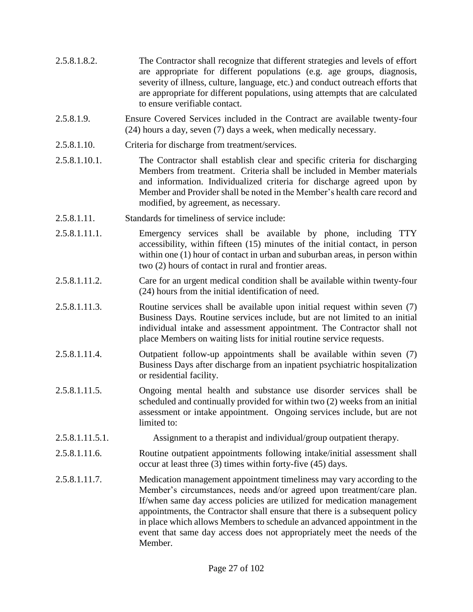- 2.5.8.1.8.2. The Contractor shall recognize that different strategies and levels of effort are appropriate for different populations (e.g. age groups, diagnosis, severity of illness, culture, language, etc.) and conduct outreach efforts that are appropriate for different populations, using attempts that are calculated to ensure verifiable contact.
- 2.5.8.1.9. Ensure Covered Services included in the Contract are available twenty-four (24) hours a day, seven (7) days a week, when medically necessary.
- 2.5.8.1.10. Criteria for discharge from treatment/services.
- 2.5.8.1.10.1. The Contractor shall establish clear and specific criteria for discharging Members from treatment. Criteria shall be included in Member materials and information. Individualized criteria for discharge agreed upon by Member and Provider shall be noted in the Member's health care record and modified, by agreement, as necessary.
- 2.5.8.1.11. Standards for timeliness of service include:
- 2.5.8.1.11.1. Emergency services shall be available by phone, including TTY accessibility, within fifteen (15) minutes of the initial contact, in person within one (1) hour of contact in urban and suburban areas, in person within two (2) hours of contact in rural and frontier areas.
- 2.5.8.1.11.2. Care for an urgent medical condition shall be available within twenty-four (24) hours from the initial identification of need.
- 2.5.8.1.11.3. Routine services shall be available upon initial request within seven (7) Business Days. Routine services include, but are not limited to an initial individual intake and assessment appointment. The Contractor shall not place Members on waiting lists for initial routine service requests.
- 2.5.8.1.11.4. Outpatient follow-up appointments shall be available within seven (7) Business Days after discharge from an inpatient psychiatric hospitalization or residential facility.
- 2.5.8.1.11.5. Ongoing mental health and substance use disorder services shall be scheduled and continually provided for within two (2) weeks from an initial assessment or intake appointment. Ongoing services include, but are not limited to:
- 2.5.8.1.11.5.1. Assignment to a therapist and individual/group outpatient therapy.
- 2.5.8.1.11.6. Routine outpatient appointments following intake/initial assessment shall occur at least three (3) times within forty-five (45) days.
- 2.5.8.1.11.7. Medication management appointment timeliness may vary according to the Member's circumstances, needs and/or agreed upon treatment/care plan. If/when same day access policies are utilized for medication management appointments, the Contractor shall ensure that there is a subsequent policy in place which allows Members to schedule an advanced appointment in the event that same day access does not appropriately meet the needs of the Member.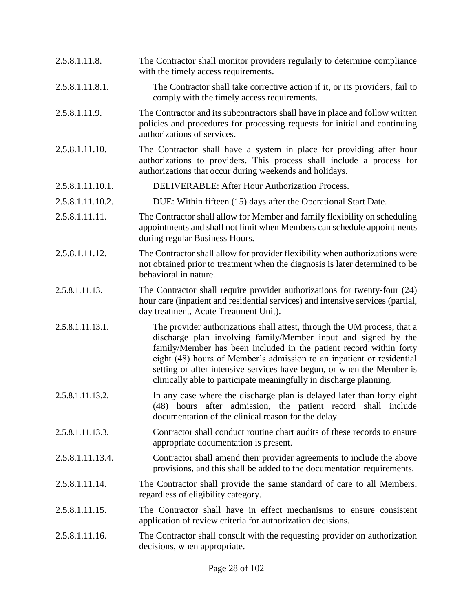- 2.5.8.1.11.8. The Contractor shall monitor providers regularly to determine compliance with the timely access requirements.
- 2.5.8.1.11.8.1. The Contractor shall take corrective action if it, or its providers, fail to comply with the timely access requirements.
- 2.5.8.1.11.9. The Contractor and its subcontractors shall have in place and follow written policies and procedures for processing requests for initial and continuing authorizations of services.
- 2.5.8.1.11.10. The Contractor shall have a system in place for providing after hour authorizations to providers. This process shall include a process for authorizations that occur during weekends and holidays.
- 2.5.8.1.11.10.1. DELIVERABLE: After Hour Authorization Process.
- 2.5.8.1.11.10.2. DUE: Within fifteen (15) days after the Operational Start Date.
- 2.5.8.1.11.11. The Contractor shall allow for Member and family flexibility on scheduling appointments and shall not limit when Members can schedule appointments during regular Business Hours.
- 2.5.8.1.11.12. The Contractor shall allow for provider flexibility when authorizations were not obtained prior to treatment when the diagnosis is later determined to be behavioral in nature.
- 2.5.8.1.11.13. The Contractor shall require provider authorizations for twenty-four (24) hour care (inpatient and residential services) and intensive services (partial, day treatment, Acute Treatment Unit).
- 2.5.8.1.11.13.1. The provider authorizations shall attest, through the UM process, that a discharge plan involving family/Member input and signed by the family/Member has been included in the patient record within forty eight (48) hours of Member's admission to an inpatient or residential setting or after intensive services have begun, or when the Member is clinically able to participate meaningfully in discharge planning.
- 2.5.8.1.11.13.2. In any case where the discharge plan is delayed later than forty eight (48) hours after admission, the patient record shall include documentation of the clinical reason for the delay.
- 2.5.8.1.11.13.3. Contractor shall conduct routine chart audits of these records to ensure appropriate documentation is present.
- 2.5.8.1.11.13.4. Contractor shall amend their provider agreements to include the above provisions, and this shall be added to the documentation requirements.
- 2.5.8.1.11.14. The Contractor shall provide the same standard of care to all Members, regardless of eligibility category.
- 2.5.8.1.11.15. The Contractor shall have in effect mechanisms to ensure consistent application of review criteria for authorization decisions.
- 2.5.8.1.11.16. The Contractor shall consult with the requesting provider on authorization decisions, when appropriate.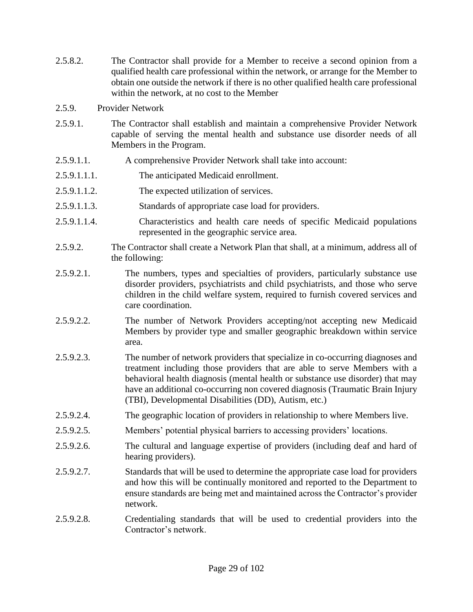- 2.5.8.2. The Contractor shall provide for a Member to receive a second opinion from a qualified health care professional within the network, or arrange for the Member to obtain one outside the network if there is no other qualified health care professional within the network, at no cost to the Member
- 2.5.9. Provider Network
- 2.5.9.1. The Contractor shall establish and maintain a comprehensive Provider Network capable of serving the mental health and substance use disorder needs of all Members in the Program.
- 2.5.9.1.1. A comprehensive Provider Network shall take into account:
- 2.5.9.1.1.1. The anticipated Medicaid enrollment.
- 2.5.9.1.1.2. The expected utilization of services.
- 2.5.9.1.1.3. Standards of appropriate case load for providers.
- 2.5.9.1.1.4. Characteristics and health care needs of specific Medicaid populations represented in the geographic service area.
- 2.5.9.2. The Contractor shall create a Network Plan that shall, at a minimum, address all of the following:
- 2.5.9.2.1. The numbers, types and specialties of providers, particularly substance use disorder providers, psychiatrists and child psychiatrists, and those who serve children in the child welfare system, required to furnish covered services and care coordination.
- 2.5.9.2.2. The number of Network Providers accepting/not accepting new Medicaid Members by provider type and smaller geographic breakdown within service area.
- 2.5.9.2.3. The number of network providers that specialize in co-occurring diagnoses and treatment including those providers that are able to serve Members with a behavioral health diagnosis (mental health or substance use disorder) that may have an additional co-occurring non covered diagnosis (Traumatic Brain Injury (TBI), Developmental Disabilities (DD), Autism, etc.)
- 2.5.9.2.4. The geographic location of providers in relationship to where Members live.
- 2.5.9.2.5. Members' potential physical barriers to accessing providers' locations.
- 2.5.9.2.6. The cultural and language expertise of providers (including deaf and hard of hearing providers).
- 2.5.9.2.7. Standards that will be used to determine the appropriate case load for providers and how this will be continually monitored and reported to the Department to ensure standards are being met and maintained across the Contractor's provider network.
- 2.5.9.2.8. Credentialing standards that will be used to credential providers into the Contractor's network.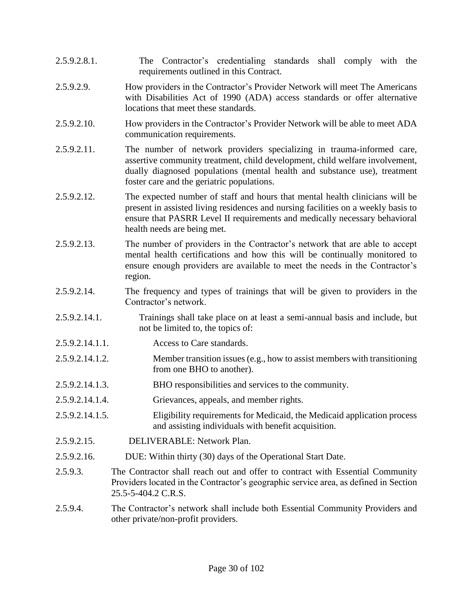- 2.5.9.2.8.1. The Contractor's credentialing standards shall comply with the requirements outlined in this Contract.
- 2.5.9.2.9. How providers in the Contractor's Provider Network will meet The Americans with Disabilities Act of 1990 (ADA) access standards or offer alternative locations that meet these standards.
- 2.5.9.2.10. How providers in the Contractor's Provider Network will be able to meet ADA communication requirements.
- 2.5.9.2.11. The number of network providers specializing in trauma-informed care, assertive community treatment, child development, child welfare involvement, dually diagnosed populations (mental health and substance use), treatment foster care and the geriatric populations.
- 2.5.9.2.12. The expected number of staff and hours that mental health clinicians will be present in assisted living residences and nursing facilities on a weekly basis to ensure that PASRR Level II requirements and medically necessary behavioral health needs are being met.
- 2.5.9.2.13. The number of providers in the Contractor's network that are able to accept mental health certifications and how this will be continually monitored to ensure enough providers are available to meet the needs in the Contractor's region.
- 2.5.9.2.14. The frequency and types of trainings that will be given to providers in the Contractor's network.
- 2.5.9.2.14.1. Trainings shall take place on at least a semi-annual basis and include, but not be limited to, the topics of:
- 2.5.9.2.14.1.1. Access to Care standards.
- 2.5.9.2.14.1.2. Member transition issues (e.g., how to assist members with transitioning from one BHO to another).
- 2.5.9.2.14.1.3. BHO responsibilities and services to the community.
- 2.5.9.2.14.1.4. Grievances, appeals, and member rights.
- 2.5.9.2.14.1.5. Eligibility requirements for Medicaid, the Medicaid application process and assisting individuals with benefit acquisition.
- 2.5.9.2.15. DELIVERABLE: Network Plan.
- 2.5.9.2.16. DUE: Within thirty (30) days of the Operational Start Date.
- 2.5.9.3. The Contractor shall reach out and offer to contract with Essential Community Providers located in the Contractor's geographic service area, as defined in Section 25.5-5-404.2 C.R.S.
- 2.5.9.4. The Contractor's network shall include both Essential Community Providers and other private/non-profit providers.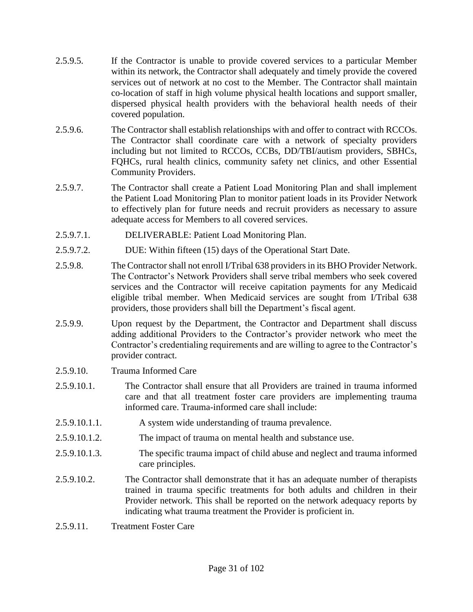- 2.5.9.5. If the Contractor is unable to provide covered services to a particular Member within its network, the Contractor shall adequately and timely provide the covered services out of network at no cost to the Member. The Contractor shall maintain co-location of staff in high volume physical health locations and support smaller, dispersed physical health providers with the behavioral health needs of their covered population.
- 2.5.9.6. The Contractor shall establish relationships with and offer to contract with RCCOs. The Contractor shall coordinate care with a network of specialty providers including but not limited to RCCOs, CCBs, DD/TBI/autism providers, SBHCs, FQHCs, rural health clinics, community safety net clinics, and other Essential Community Providers.
- 2.5.9.7. The Contractor shall create a Patient Load Monitoring Plan and shall implement the Patient Load Monitoring Plan to monitor patient loads in its Provider Network to effectively plan for future needs and recruit providers as necessary to assure adequate access for Members to all covered services.
- 2.5.9.7.1. DELIVERABLE: Patient Load Monitoring Plan.
- 2.5.9.7.2. DUE: Within fifteen (15) days of the Operational Start Date.
- 2.5.9.8. The Contractor shall not enroll I/Tribal 638 providers in its BHO Provider Network. The Contractor's Network Providers shall serve tribal members who seek covered services and the Contractor will receive capitation payments for any Medicaid eligible tribal member. When Medicaid services are sought from I/Tribal 638 providers, those providers shall bill the Department's fiscal agent.
- 2.5.9.9. Upon request by the Department, the Contractor and Department shall discuss adding additional Providers to the Contractor's provider network who meet the Contractor's credentialing requirements and are willing to agree to the Contractor's provider contract.
- 2.5.9.10. Trauma Informed Care
- 2.5.9.10.1. The Contractor shall ensure that all Providers are trained in trauma informed care and that all treatment foster care providers are implementing trauma informed care. Trauma-informed care shall include:
- 2.5.9.10.1.1. A system wide understanding of trauma prevalence.
- 2.5.9.10.1.2. The impact of trauma on mental health and substance use.
- 2.5.9.10.1.3. The specific trauma impact of child abuse and neglect and trauma informed care principles.
- 2.5.9.10.2. The Contractor shall demonstrate that it has an adequate number of therapists trained in trauma specific treatments for both adults and children in their Provider network. This shall be reported on the network adequacy reports by indicating what trauma treatment the Provider is proficient in.
- 2.5.9.11. Treatment Foster Care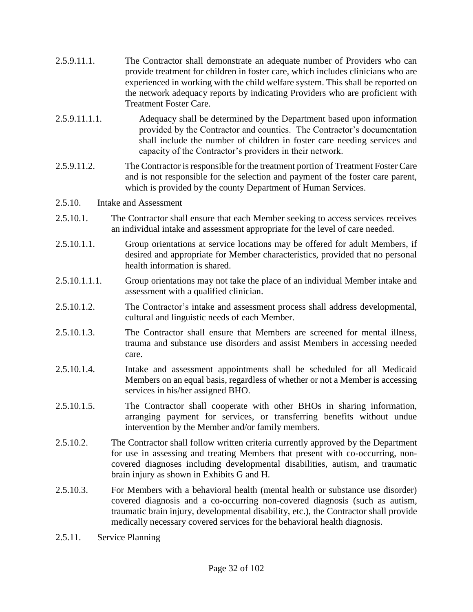- 2.5.9.11.1. The Contractor shall demonstrate an adequate number of Providers who can provide treatment for children in foster care, which includes clinicians who are experienced in working with the child welfare system. This shall be reported on the network adequacy reports by indicating Providers who are proficient with Treatment Foster Care.
- 2.5.9.11.1.1. Adequacy shall be determined by the Department based upon information provided by the Contractor and counties. The Contractor's documentation shall include the number of children in foster care needing services and capacity of the Contractor's providers in their network.
- 2.5.9.11.2. The Contractor is responsible for the treatment portion of Treatment Foster Care and is not responsible for the selection and payment of the foster care parent, which is provided by the county Department of Human Services.
- 2.5.10. Intake and Assessment
- 2.5.10.1. The Contractor shall ensure that each Member seeking to access services receives an individual intake and assessment appropriate for the level of care needed.
- 2.5.10.1.1. Group orientations at service locations may be offered for adult Members, if desired and appropriate for Member characteristics, provided that no personal health information is shared.
- 2.5.10.1.1.1. Group orientations may not take the place of an individual Member intake and assessment with a qualified clinician.
- 2.5.10.1.2. The Contractor's intake and assessment process shall address developmental, cultural and linguistic needs of each Member.
- 2.5.10.1.3. The Contractor shall ensure that Members are screened for mental illness, trauma and substance use disorders and assist Members in accessing needed care.
- 2.5.10.1.4. Intake and assessment appointments shall be scheduled for all Medicaid Members on an equal basis, regardless of whether or not a Member is accessing services in his/her assigned BHO.
- 2.5.10.1.5. The Contractor shall cooperate with other BHOs in sharing information, arranging payment for services, or transferring benefits without undue intervention by the Member and/or family members.
- 2.5.10.2. The Contractor shall follow written criteria currently approved by the Department for use in assessing and treating Members that present with co-occurring, noncovered diagnoses including developmental disabilities, autism, and traumatic brain injury as shown in Exhibits G and H.
- 2.5.10.3. For Members with a behavioral health (mental health or substance use disorder) covered diagnosis and a co-occurring non-covered diagnosis (such as autism, traumatic brain injury, developmental disability, etc.), the Contractor shall provide medically necessary covered services for the behavioral health diagnosis.
- 2.5.11. Service Planning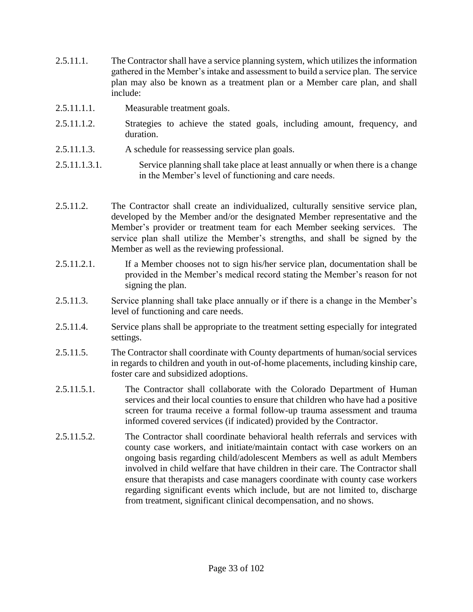- 2.5.11.1. The Contractor shall have a service planning system, which utilizes the information gathered in the Member's intake and assessment to build a service plan. The service plan may also be known as a treatment plan or a Member care plan, and shall include:
- 2.5.11.1.1. Measurable treatment goals.
- 2.5.11.1.2. Strategies to achieve the stated goals, including amount, frequency, and duration.
- 2.5.11.1.3. A schedule for reassessing service plan goals.
- 2.5.11.1.3.1. Service planning shall take place at least annually or when there is a change in the Member's level of functioning and care needs.
- 2.5.11.2. The Contractor shall create an individualized, culturally sensitive service plan, developed by the Member and/or the designated Member representative and the Member's provider or treatment team for each Member seeking services. The service plan shall utilize the Member's strengths, and shall be signed by the Member as well as the reviewing professional.
- 2.5.11.2.1. If a Member chooses not to sign his/her service plan, documentation shall be provided in the Member's medical record stating the Member's reason for not signing the plan.
- 2.5.11.3. Service planning shall take place annually or if there is a change in the Member's level of functioning and care needs.
- 2.5.11.4. Service plans shall be appropriate to the treatment setting especially for integrated settings.
- 2.5.11.5. The Contractor shall coordinate with County departments of human/social services in regards to children and youth in out-of-home placements, including kinship care, foster care and subsidized adoptions.
- 2.5.11.5.1. The Contractor shall collaborate with the Colorado Department of Human services and their local counties to ensure that children who have had a positive screen for trauma receive a formal follow-up trauma assessment and trauma informed covered services (if indicated) provided by the Contractor.
- 2.5.11.5.2. The Contractor shall coordinate behavioral health referrals and services with county case workers, and initiate/maintain contact with case workers on an ongoing basis regarding child/adolescent Members as well as adult Members involved in child welfare that have children in their care. The Contractor shall ensure that therapists and case managers coordinate with county case workers regarding significant events which include, but are not limited to, discharge from treatment, significant clinical decompensation, and no shows.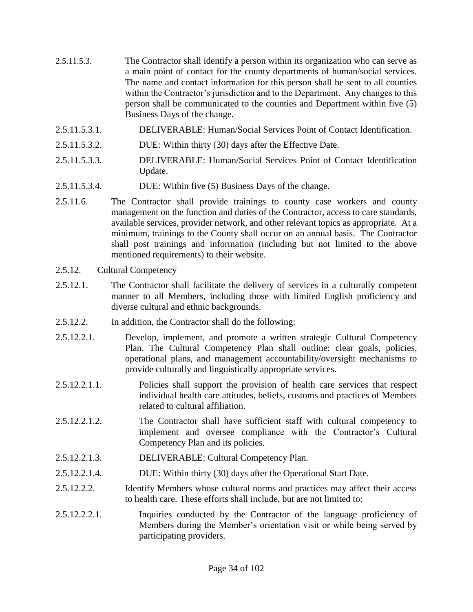- 2.5.11.5.3. The Contractor shall identify a person within its organization who can serve as a main point of contact for the county departments of human/social services. The name and contact information for this person shall be sent to all counties within the Contractor's jurisdiction and to the Department. Any changes to this person shall be communicated to the counties and Department within five (5) Business Days of the change.
- 2.5.11.5.3.1. DELIVERABLE: Human/Social Services Point of Contact Identification.
- 2.5.11.5.3.2. DUE: Within thirty (30) days after the Effective Date.
- 2.5.11.5.3.3. DELIVERABLE: Human/Social Services Point of Contact Identification Update.
- 2.5.11.5.3.4. DUE: Within five (5) Business Days of the change.
- 2.5.11.6. The Contractor shall provide trainings to county case workers and county management on the function and duties of the Contractor, access to care standards, available services, provider network, and other relevant topics as appropriate. At a minimum, trainings to the County shall occur on an annual basis. The Contractor shall post trainings and information (including but not limited to the above mentioned requirements) to their website.
- 2.5.12. Cultural Competency
- 2.5.12.1. The Contractor shall facilitate the delivery of services in a culturally competent manner to all Members, including those with limited English proficiency and diverse cultural and ethnic backgrounds.
- 2.5.12.2. In addition, the Contractor shall do the following:
- 2.5.12.2.1. Develop, implement, and promote a written strategic Cultural Competency Plan. The Cultural Competency Plan shall outline: clear goals, policies, operational plans, and management accountability/oversight mechanisms to provide culturally and linguistically appropriate services.
- 2.5.12.2.1.1. Policies shall support the provision of health care services that respect individual health care attitudes, beliefs, customs and practices of Members related to cultural affiliation.
- 2.5.12.2.1.2. The Contractor shall have sufficient staff with cultural competency to implement and oversee compliance with the Contractor's Cultural Competency Plan and its policies.
- 2.5.12.2.1.3. DELIVERABLE: Cultural Competency Plan.
- 2.5.12.2.1.4. DUE: Within thirty (30) days after the Operational Start Date.
- 2.5.12.2.2. Identify Members whose cultural norms and practices may affect their access to health care. These efforts shall include, but are not limited to:
- 2.5.12.2.2.1. Inquiries conducted by the Contractor of the language proficiency of Members during the Member's orientation visit or while being served by participating providers.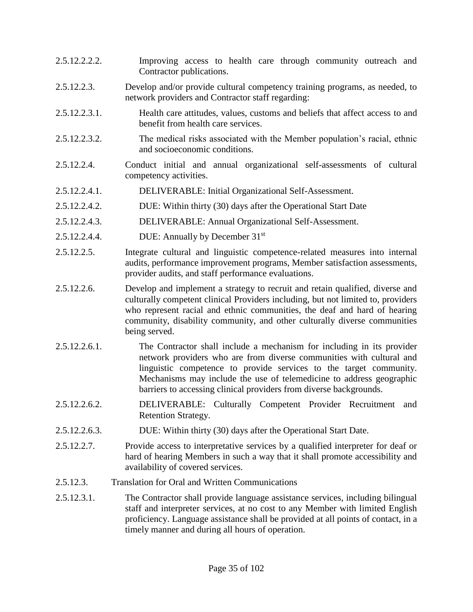- 2.5.12.2.2.2. Improving access to health care through community outreach and Contractor publications.
- 2.5.12.2.3. Develop and/or provide cultural competency training programs, as needed, to network providers and Contractor staff regarding:
- 2.5.12.2.3.1. Health care attitudes, values, customs and beliefs that affect access to and benefit from health care services.
- 2.5.12.2.3.2. The medical risks associated with the Member population's racial, ethnic and socioeconomic conditions.
- 2.5.12.2.4. Conduct initial and annual organizational self-assessments of cultural competency activities.
- 2.5.12.2.4.1. DELIVERABLE: Initial Organizational Self-Assessment.
- 2.5.12.2.4.2. DUE: Within thirty (30) days after the Operational Start Date
- 2.5.12.2.4.3. DELIVERABLE: Annual Organizational Self-Assessment.
- 2.5.12.2.4.4. DUE: Annually by December  $31<sup>st</sup>$
- 2.5.12.2.5. Integrate cultural and linguistic competence-related measures into internal audits, performance improvement programs, Member satisfaction assessments, provider audits, and staff performance evaluations.
- 2.5.12.2.6. Develop and implement a strategy to recruit and retain qualified, diverse and culturally competent clinical Providers including, but not limited to, providers who represent racial and ethnic communities, the deaf and hard of hearing community, disability community, and other culturally diverse communities being served.
- 2.5.12.2.6.1. The Contractor shall include a mechanism for including in its provider network providers who are from diverse communities with cultural and linguistic competence to provide services to the target community. Mechanisms may include the use of telemedicine to address geographic barriers to accessing clinical providers from diverse backgrounds.
- 2.5.12.2.6.2. DELIVERABLE: Culturally Competent Provider Recruitment and Retention Strategy.
- 2.5.12.2.6.3. DUE: Within thirty (30) days after the Operational Start Date.
- 2.5.12.2.7. Provide access to interpretative services by a qualified interpreter for deaf or hard of hearing Members in such a way that it shall promote accessibility and availability of covered services.
- 2.5.12.3. Translation for Oral and Written Communications
- 2.5.12.3.1. The Contractor shall provide language assistance services, including bilingual staff and interpreter services, at no cost to any Member with limited English proficiency. Language assistance shall be provided at all points of contact, in a timely manner and during all hours of operation.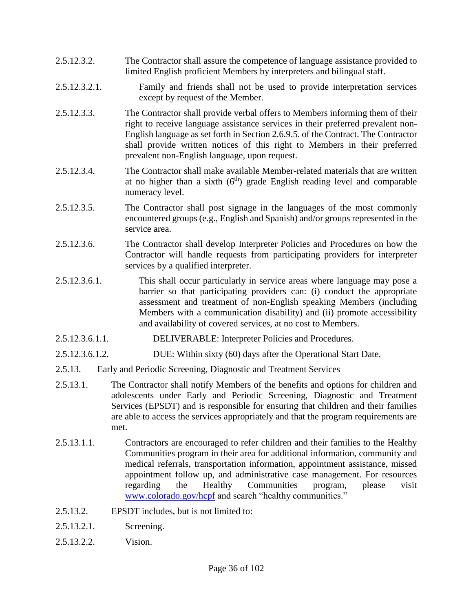- 2.5.12.3.2. The Contractor shall assure the competence of language assistance provided to limited English proficient Members by interpreters and bilingual staff.
- 2.5.12.3.2.1. Family and friends shall not be used to provide interpretation services except by request of the Member.
- 2.5.12.3.3. The Contractor shall provide verbal offers to Members informing them of their right to receive language assistance services in their preferred prevalent non-English language as set forth in Section 2.6.9.5. of the Contract. The Contractor shall provide written notices of this right to Members in their preferred prevalent non-English language, upon request.
- 2.5.12.3.4. The Contractor shall make available Member-related materials that are written at no higher than a sixth  $(6<sup>th</sup>)$  grade English reading level and comparable numeracy level.
- 2.5.12.3.5. The Contractor shall post signage in the languages of the most commonly encountered groups (e.g., English and Spanish) and/or groups represented in the service area.
- 2.5.12.3.6. The Contractor shall develop Interpreter Policies and Procedures on how the Contractor will handle requests from participating providers for interpreter services by a qualified interpreter.
- 2.5.12.3.6.1. This shall occur particularly in service areas where language may pose a barrier so that participating providers can: (i) conduct the appropriate assessment and treatment of non-English speaking Members (including Members with a communication disability) and (ii) promote accessibility and availability of covered services, at no cost to Members.
- 2.5.12.3.6.1.1. DELIVERABLE: Interpreter Policies and Procedures.
- 2.5.12.3.6.1.2. DUE: Within sixty (60) days after the Operational Start Date.
- 2.5.13. Early and Periodic Screening, Diagnostic and Treatment Services
- 2.5.13.1. The Contractor shall notify Members of the benefits and options for children and adolescents under Early and Periodic Screening, Diagnostic and Treatment Services (EPSDT) and is responsible for ensuring that children and their families are able to access the services appropriately and that the program requirements are met.
- 2.5.13.1.1. Contractors are encouraged to refer children and their families to the Healthy Communities program in their area for additional information, community and medical referrals, transportation information, appointment assistance, missed appointment follow up, and administrative case management. For resources regarding the Healthy Communities program, please visit [www.colorado.gov/hcpf](http://www.colorado.gov/hcpf) and search "healthy communities."
- 2.5.13.2. EPSDT includes, but is not limited to:
- 2.5.13.2.1. Screening.
- 2.5.13.2.2. Vision.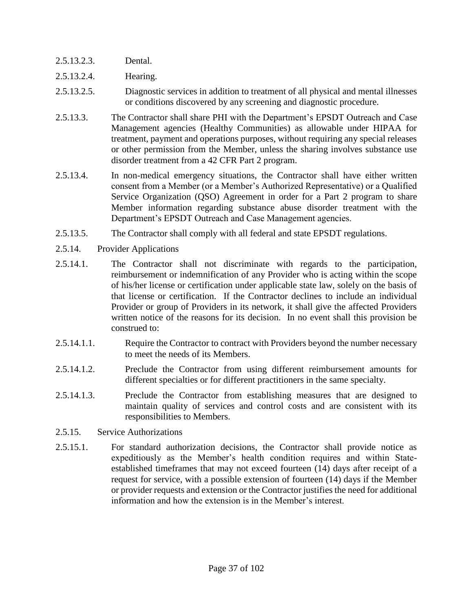- 2.5.13.2.3. Dental.
- 2.5.13.2.4. Hearing.
- 2.5.13.2.5. Diagnostic services in addition to treatment of all physical and mental illnesses or conditions discovered by any screening and diagnostic procedure.
- 2.5.13.3. The Contractor shall share PHI with the Department's EPSDT Outreach and Case Management agencies (Healthy Communities) as allowable under HIPAA for treatment, payment and operations purposes, without requiring any special releases or other permission from the Member, unless the sharing involves substance use disorder treatment from a 42 CFR Part 2 program.
- 2.5.13.4. In non-medical emergency situations, the Contractor shall have either written consent from a Member (or a Member's Authorized Representative) or a Qualified Service Organization (QSO) Agreement in order for a Part 2 program to share Member information regarding substance abuse disorder treatment with the Department's EPSDT Outreach and Case Management agencies.
- 2.5.13.5. The Contractor shall comply with all federal and state EPSDT regulations.
- 2.5.14. Provider Applications
- 2.5.14.1. The Contractor shall not discriminate with regards to the participation, reimbursement or indemnification of any Provider who is acting within the scope of his/her license or certification under applicable state law, solely on the basis of that license or certification. If the Contractor declines to include an individual Provider or group of Providers in its network, it shall give the affected Providers written notice of the reasons for its decision. In no event shall this provision be construed to:
- 2.5.14.1.1. Require the Contractor to contract with Providers beyond the number necessary to meet the needs of its Members.
- 2.5.14.1.2. Preclude the Contractor from using different reimbursement amounts for different specialties or for different practitioners in the same specialty.
- 2.5.14.1.3. Preclude the Contractor from establishing measures that are designed to maintain quality of services and control costs and are consistent with its responsibilities to Members.
- 2.5.15. Service Authorizations
- 2.5.15.1. For standard authorization decisions, the Contractor shall provide notice as expeditiously as the Member's health condition requires and within Stateestablished timeframes that may not exceed fourteen (14) days after receipt of a request for service, with a possible extension of fourteen (14) days if the Member or provider requests and extension or the Contractor justifies the need for additional information and how the extension is in the Member's interest.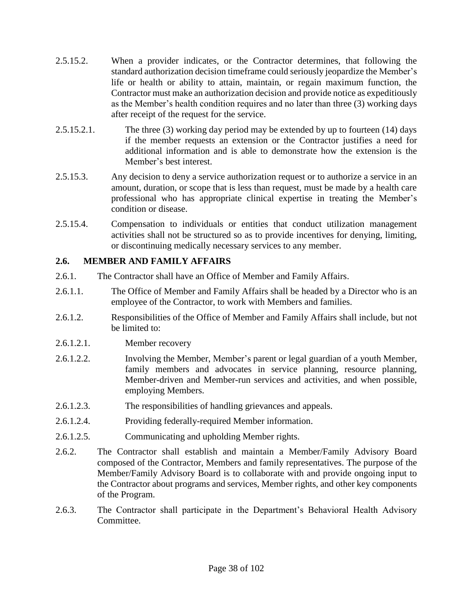- 2.5.15.2. When a provider indicates, or the Contractor determines, that following the standard authorization decision timeframe could seriously jeopardize the Member's life or health or ability to attain, maintain, or regain maximum function, the Contractor must make an authorization decision and provide notice as expeditiously as the Member's health condition requires and no later than three (3) working days after receipt of the request for the service.
- 2.5.15.2.1. The three (3) working day period may be extended by up to fourteen (14) days if the member requests an extension or the Contractor justifies a need for additional information and is able to demonstrate how the extension is the Member's best interest.
- 2.5.15.3. Any decision to deny a service authorization request or to authorize a service in an amount, duration, or scope that is less than request, must be made by a health care professional who has appropriate clinical expertise in treating the Member's condition or disease.
- 2.5.15.4. Compensation to individuals or entities that conduct utilization management activities shall not be structured so as to provide incentives for denying, limiting, or discontinuing medically necessary services to any member.

# **2.6. MEMBER AND FAMILY AFFAIRS**

- 2.6.1. The Contractor shall have an Office of Member and Family Affairs.
- 2.6.1.1. The Office of Member and Family Affairs shall be headed by a Director who is an employee of the Contractor, to work with Members and families.
- 2.6.1.2. Responsibilities of the Office of Member and Family Affairs shall include, but not be limited to:
- 2.6.1.2.1. Member recovery
- 2.6.1.2.2. Involving the Member, Member's parent or legal guardian of a youth Member, family members and advocates in service planning, resource planning, Member-driven and Member-run services and activities, and when possible, employing Members.
- 2.6.1.2.3. The responsibilities of handling grievances and appeals.
- 2.6.1.2.4. Providing federally-required Member information.
- 2.6.1.2.5. Communicating and upholding Member rights.
- 2.6.2. The Contractor shall establish and maintain a Member/Family Advisory Board composed of the Contractor, Members and family representatives. The purpose of the Member/Family Advisory Board is to collaborate with and provide ongoing input to the Contractor about programs and services, Member rights, and other key components of the Program.
- 2.6.3. The Contractor shall participate in the Department's Behavioral Health Advisory Committee.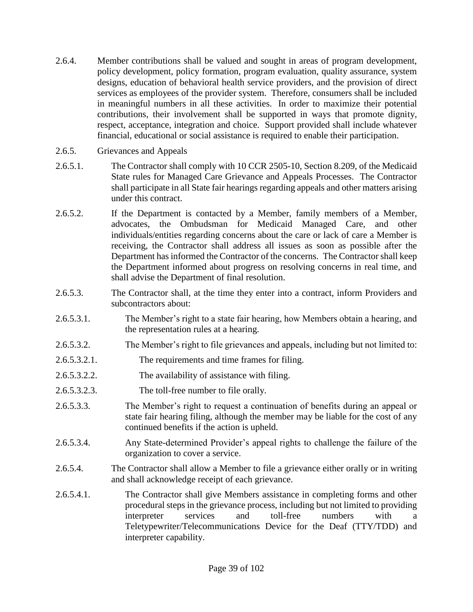- 2.6.4. Member contributions shall be valued and sought in areas of program development, policy development, policy formation, program evaluation, quality assurance, system designs, education of behavioral health service providers, and the provision of direct services as employees of the provider system. Therefore, consumers shall be included in meaningful numbers in all these activities. In order to maximize their potential contributions, their involvement shall be supported in ways that promote dignity, respect, acceptance, integration and choice. Support provided shall include whatever financial, educational or social assistance is required to enable their participation.
- 2.6.5. Grievances and Appeals
- 2.6.5.1. The Contractor shall comply with 10 CCR 2505-10, Section 8.209, of the Medicaid State rules for Managed Care Grievance and Appeals Processes. The Contractor shall participate in all State fair hearings regarding appeals and other matters arising under this contract.
- 2.6.5.2. If the Department is contacted by a Member, family members of a Member, advocates, the Ombudsman for Medicaid Managed Care, and other individuals/entities regarding concerns about the care or lack of care a Member is receiving, the Contractor shall address all issues as soon as possible after the Department has informed the Contractor of the concerns. The Contractor shall keep the Department informed about progress on resolving concerns in real time, and shall advise the Department of final resolution.
- 2.6.5.3. The Contractor shall, at the time they enter into a contract, inform Providers and subcontractors about:
- 2.6.5.3.1. The Member's right to a state fair hearing, how Members obtain a hearing, and the representation rules at a hearing.
- 2.6.5.3.2. The Member's right to file grievances and appeals, including but not limited to:
- 2.6.5.3.2.1. The requirements and time frames for filing.
- 2.6.5.3.2.2. The availability of assistance with filing.
- 2.6.5.3.2.3. The toll-free number to file orally.
- 2.6.5.3.3. The Member's right to request a continuation of benefits during an appeal or state fair hearing filing, although the member may be liable for the cost of any continued benefits if the action is upheld.
- 2.6.5.3.4. Any State-determined Provider's appeal rights to challenge the failure of the organization to cover a service.
- 2.6.5.4. The Contractor shall allow a Member to file a grievance either orally or in writing and shall acknowledge receipt of each grievance.
- 2.6.5.4.1. The Contractor shall give Members assistance in completing forms and other procedural steps in the grievance process, including but not limited to providing interpreter services and toll-free numbers with a Teletypewriter/Telecommunications Device for the Deaf (TTY/TDD) and interpreter capability.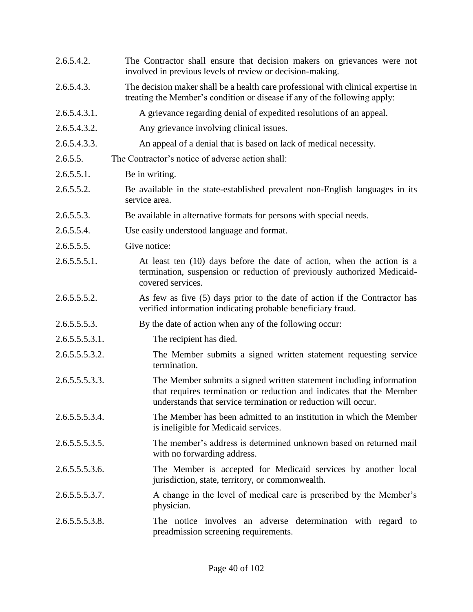| 2.6.5.4.2.     | The Contractor shall ensure that decision makers on grievances were not<br>involved in previous levels of review or decision-making.                                                                         |
|----------------|--------------------------------------------------------------------------------------------------------------------------------------------------------------------------------------------------------------|
| 2.6.5.4.3.     | The decision maker shall be a health care professional with clinical expertise in<br>treating the Member's condition or disease if any of the following apply:                                               |
| 2.6.5.4.3.1.   | A grievance regarding denial of expedited resolutions of an appeal.                                                                                                                                          |
| 2.6.5.4.3.2.   | Any grievance involving clinical issues.                                                                                                                                                                     |
| 2.6.5.4.3.3.   | An appeal of a denial that is based on lack of medical necessity.                                                                                                                                            |
| 2.6.5.5.       | The Contractor's notice of adverse action shall:                                                                                                                                                             |
| 2.6.5.5.1.     | Be in writing.                                                                                                                                                                                               |
| 2.6.5.5.2.     | Be available in the state-established prevalent non-English languages in its<br>service area.                                                                                                                |
| 2.6.5.5.3.     | Be available in alternative formats for persons with special needs.                                                                                                                                          |
| 2.6.5.5.4.     | Use easily understood language and format.                                                                                                                                                                   |
| 2.6.5.5.5.     | Give notice:                                                                                                                                                                                                 |
| 2.6.5.5.5.1.   | At least ten (10) days before the date of action, when the action is a<br>termination, suspension or reduction of previously authorized Medicaid-<br>covered services.                                       |
| 2.6.5.5.5.2.   | As few as five (5) days prior to the date of action if the Contractor has<br>verified information indicating probable beneficiary fraud.                                                                     |
| 2.6.5.5.5.3.   | By the date of action when any of the following occur:                                                                                                                                                       |
| 2.6.5.5.5.3.1. | The recipient has died.                                                                                                                                                                                      |
| 2.6.5.5.5.3.2. | The Member submits a signed written statement requesting service<br>termination.                                                                                                                             |
| 2.6.5.5.5.3.3. | The Member submits a signed written statement including information<br>that requires termination or reduction and indicates that the Member<br>understands that service termination or reduction will occur. |
| 2.6.5.5.5.3.4. | The Member has been admitted to an institution in which the Member<br>is ineligible for Medicaid services.                                                                                                   |
| 2.6.5.5.5.3.5. | The member's address is determined unknown based on returned mail<br>with no forwarding address.                                                                                                             |
| 2.6.5.5.5.3.6. | The Member is accepted for Medicaid services by another local<br>jurisdiction, state, territory, or commonwealth.                                                                                            |
| 2.6.5.5.5.3.7. | A change in the level of medical care is prescribed by the Member's<br>physician.                                                                                                                            |
| 2.6.5.5.5.3.8. | The notice involves an adverse determination with regard to<br>preadmission screening requirements.                                                                                                          |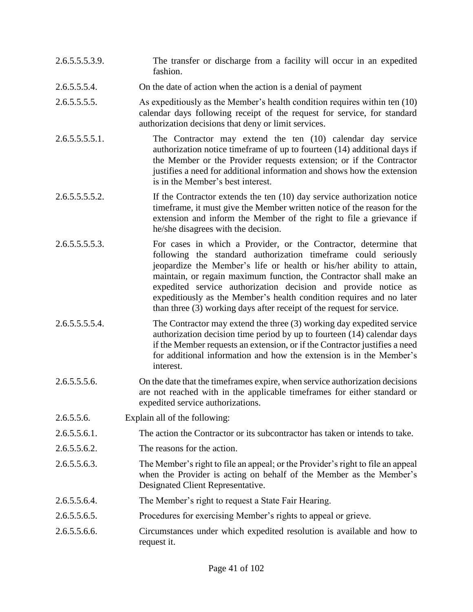- 2.6.5.5.5.3.9. The transfer or discharge from a facility will occur in an expedited fashion.
- 2.6.5.5.5.4. On the date of action when the action is a denial of payment
- 2.6.5.5.5.5. As expeditiously as the Member's health condition requires within ten (10) calendar days following receipt of the request for service, for standard authorization decisions that deny or limit services.
- 2.6.5.5.5.5.1. The Contractor may extend the ten (10) calendar day service authorization notice timeframe of up to fourteen (14) additional days if the Member or the Provider requests extension; or if the Contractor justifies a need for additional information and shows how the extension is in the Member's best interest.
- 2.6.5.5.5.5.2. If the Contractor extends the ten (10) day service authorization notice timeframe, it must give the Member written notice of the reason for the extension and inform the Member of the right to file a grievance if he/she disagrees with the decision.
- 2.6.5.5.5.5.3. For cases in which a Provider, or the Contractor, determine that following the standard authorization timeframe could seriously jeopardize the Member's life or health or his/her ability to attain, maintain, or regain maximum function, the Contractor shall make an expedited service authorization decision and provide notice as expeditiously as the Member's health condition requires and no later than three (3) working days after receipt of the request for service.
- 2.6.5.5.5.5.4. The Contractor may extend the three (3) working day expedited service authorization decision time period by up to fourteen (14) calendar days if the Member requests an extension, or if the Contractor justifies a need for additional information and how the extension is in the Member's interest.
- 2.6.5.5.5.6. On the date that the timeframes expire, when service authorization decisions are not reached with in the applicable timeframes for either standard or expedited service authorizations.
- 2.6.5.5.6. Explain all of the following:
- 2.6.5.5.6.1. The action the Contractor or its subcontractor has taken or intends to take.
- 2.6.5.5.6.2. The reasons for the action.
- 2.6.5.5.6.3. The Member's right to file an appeal; or the Provider's right to file an appeal when the Provider is acting on behalf of the Member as the Member's Designated Client Representative.
- 2.6.5.5.6.4. The Member's right to request a State Fair Hearing.
- 2.6.5.5.6.5. Procedures for exercising Member's rights to appeal or grieve.
- 2.6.5.5.6.6. Circumstances under which expedited resolution is available and how to request it.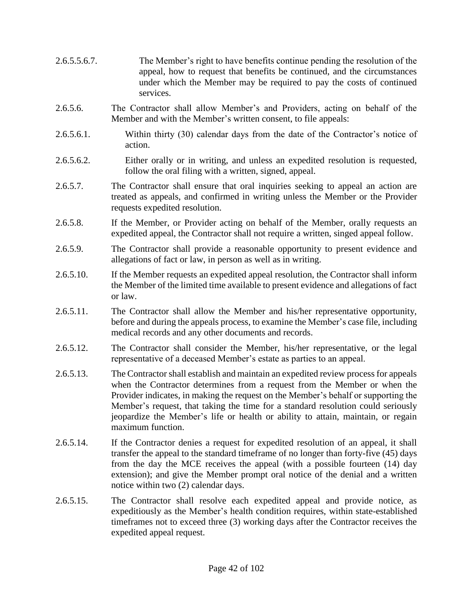- 2.6.5.5.6.7. The Member's right to have benefits continue pending the resolution of the appeal, how to request that benefits be continued, and the circumstances under which the Member may be required to pay the costs of continued services.
- 2.6.5.6. The Contractor shall allow Member's and Providers, acting on behalf of the Member and with the Member's written consent, to file appeals:
- 2.6.5.6.1. Within thirty (30) calendar days from the date of the Contractor's notice of action.
- 2.6.5.6.2. Either orally or in writing, and unless an expedited resolution is requested, follow the oral filing with a written, signed, appeal.
- 2.6.5.7. The Contractor shall ensure that oral inquiries seeking to appeal an action are treated as appeals, and confirmed in writing unless the Member or the Provider requests expedited resolution.
- 2.6.5.8. If the Member, or Provider acting on behalf of the Member, orally requests an expedited appeal, the Contractor shall not require a written, singed appeal follow.
- 2.6.5.9. The Contractor shall provide a reasonable opportunity to present evidence and allegations of fact or law, in person as well as in writing.
- 2.6.5.10. If the Member requests an expedited appeal resolution, the Contractor shall inform the Member of the limited time available to present evidence and allegations of fact or law.
- 2.6.5.11. The Contractor shall allow the Member and his/her representative opportunity, before and during the appeals process, to examine the Member's case file, including medical records and any other documents and records.
- 2.6.5.12. The Contractor shall consider the Member, his/her representative, or the legal representative of a deceased Member's estate as parties to an appeal.
- 2.6.5.13. The Contractor shall establish and maintain an expedited review process for appeals when the Contractor determines from a request from the Member or when the Provider indicates, in making the request on the Member's behalf or supporting the Member's request, that taking the time for a standard resolution could seriously jeopardize the Member's life or health or ability to attain, maintain, or regain maximum function.
- 2.6.5.14. If the Contractor denies a request for expedited resolution of an appeal, it shall transfer the appeal to the standard timeframe of no longer than forty-five (45) days from the day the MCE receives the appeal (with a possible fourteen (14) day extension); and give the Member prompt oral notice of the denial and a written notice within two (2) calendar days.
- 2.6.5.15. The Contractor shall resolve each expedited appeal and provide notice, as expeditiously as the Member's health condition requires, within state-established timeframes not to exceed three (3) working days after the Contractor receives the expedited appeal request.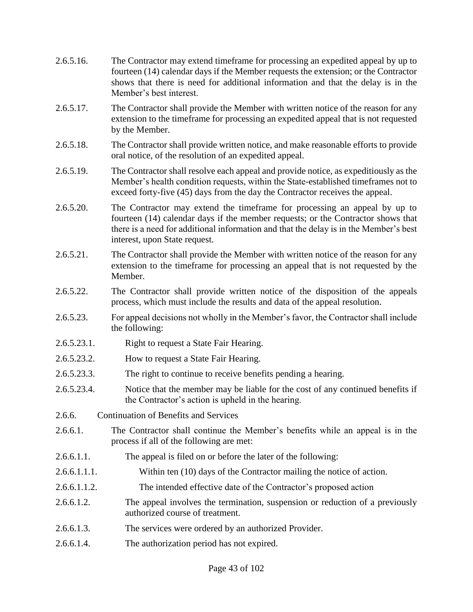| 2.6.5.16.    | The Contractor may extend timeframe for processing an expedited appeal by up to<br>fourteen (14) calendar days if the Member requests the extension; or the Contractor<br>shows that there is need for additional information and that the delay is in the<br>Member's best interest.   |
|--------------|-----------------------------------------------------------------------------------------------------------------------------------------------------------------------------------------------------------------------------------------------------------------------------------------|
| 2.6.5.17.    | The Contractor shall provide the Member with written notice of the reason for any<br>extension to the timeframe for processing an expedited appeal that is not requested<br>by the Member.                                                                                              |
| 2.6.5.18.    | The Contractor shall provide written notice, and make reasonable efforts to provide<br>oral notice, of the resolution of an expedited appeal.                                                                                                                                           |
| 2.6.5.19.    | The Contractor shall resolve each appeal and provide notice, as expeditiously as the<br>Member's health condition requests, within the State-established timeframes not to<br>exceed forty-five (45) days from the day the Contractor receives the appeal.                              |
| 2.6.5.20.    | The Contractor may extend the timeframe for processing an appeal by up to<br>fourteen (14) calendar days if the member requests; or the Contractor shows that<br>there is a need for additional information and that the delay is in the Member's best<br>interest, upon State request. |
| 2.6.5.21.    | The Contractor shall provide the Member with written notice of the reason for any<br>extension to the timeframe for processing an appeal that is not requested by the<br>Member.                                                                                                        |
| 2.6.5.22.    | The Contractor shall provide written notice of the disposition of the appeals<br>process, which must include the results and data of the appeal resolution.                                                                                                                             |
| 2.6.5.23.    | For appeal decisions not wholly in the Member's favor, the Contractor shall include<br>the following:                                                                                                                                                                                   |
| 2.6.5.23.1.  | Right to request a State Fair Hearing.                                                                                                                                                                                                                                                  |
| 2.6.5.23.2.  | How to request a State Fair Hearing.                                                                                                                                                                                                                                                    |
| 2.6.5.23.3.  | The right to continue to receive benefits pending a hearing.                                                                                                                                                                                                                            |
| 2.6.5.23.4.  | Notice that the member may be liable for the cost of any continued benefits if<br>the Contractor's action is upheld in the hearing.                                                                                                                                                     |
| 2.6.6.       | <b>Continuation of Benefits and Services</b>                                                                                                                                                                                                                                            |
| 2.6.6.1.     | The Contractor shall continue the Member's benefits while an appeal is in the<br>process if all of the following are met:                                                                                                                                                               |
| 2.6.6.1.1.   | The appeal is filed on or before the later of the following:                                                                                                                                                                                                                            |
| 2.6.6.1.1.1. | Within ten (10) days of the Contractor mailing the notice of action.                                                                                                                                                                                                                    |
| 2.6.6.1.1.2. | The intended effective date of the Contractor's proposed action                                                                                                                                                                                                                         |
| 2.6.6.1.2.   | The appeal involves the termination, suspension or reduction of a previously<br>authorized course of treatment.                                                                                                                                                                         |
| 2.6.6.1.3.   | The services were ordered by an authorized Provider.                                                                                                                                                                                                                                    |
| 2.6.6.1.4.   | The authorization period has not expired.                                                                                                                                                                                                                                               |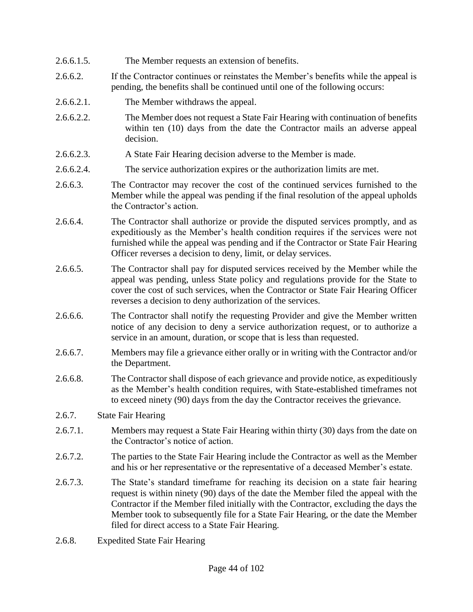- 2.6.6.1.5. The Member requests an extension of benefits.
- 2.6.6.2. If the Contractor continues or reinstates the Member's benefits while the appeal is pending, the benefits shall be continued until one of the following occurs:
- 2.6.6.2.1. The Member withdraws the appeal.
- 2.6.6.2.2. The Member does not request a State Fair Hearing with continuation of benefits within ten (10) days from the date the Contractor mails an adverse appeal decision.
- 2.6.6.2.3. A State Fair Hearing decision adverse to the Member is made.
- 2.6.6.2.4. The service authorization expires or the authorization limits are met.
- 2.6.6.3. The Contractor may recover the cost of the continued services furnished to the Member while the appeal was pending if the final resolution of the appeal upholds the Contractor's action.
- 2.6.6.4. The Contractor shall authorize or provide the disputed services promptly, and as expeditiously as the Member's health condition requires if the services were not furnished while the appeal was pending and if the Contractor or State Fair Hearing Officer reverses a decision to deny, limit, or delay services.
- 2.6.6.5. The Contractor shall pay for disputed services received by the Member while the appeal was pending, unless State policy and regulations provide for the State to cover the cost of such services, when the Contractor or State Fair Hearing Officer reverses a decision to deny authorization of the services.
- 2.6.6.6. The Contractor shall notify the requesting Provider and give the Member written notice of any decision to deny a service authorization request, or to authorize a service in an amount, duration, or scope that is less than requested.
- 2.6.6.7. Members may file a grievance either orally or in writing with the Contractor and/or the Department.
- 2.6.6.8. The Contractor shall dispose of each grievance and provide notice, as expeditiously as the Member's health condition requires, with State-established timeframes not to exceed ninety (90) days from the day the Contractor receives the grievance.
- 2.6.7. State Fair Hearing
- 2.6.7.1. Members may request a State Fair Hearing within thirty (30) days from the date on the Contractor's notice of action.
- 2.6.7.2. The parties to the State Fair Hearing include the Contractor as well as the Member and his or her representative or the representative of a deceased Member's estate.
- 2.6.7.3. The State's standard timeframe for reaching its decision on a state fair hearing request is within ninety (90) days of the date the Member filed the appeal with the Contractor if the Member filed initially with the Contractor, excluding the days the Member took to subsequently file for a State Fair Hearing, or the date the Member filed for direct access to a State Fair Hearing.
- 2.6.8. Expedited State Fair Hearing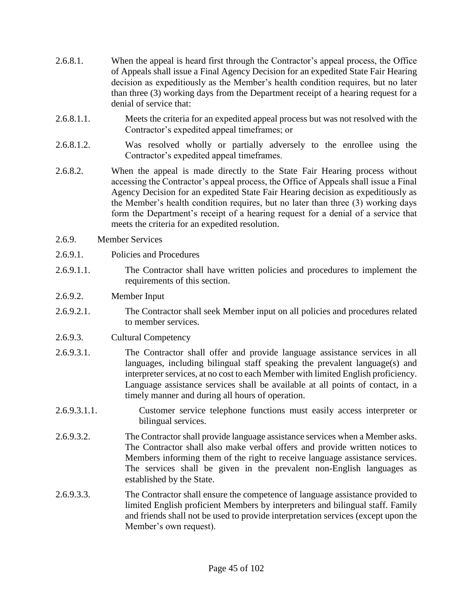- 2.6.8.1. When the appeal is heard first through the Contractor's appeal process, the Office of Appeals shall issue a Final Agency Decision for an expedited State Fair Hearing decision as expeditiously as the Member's health condition requires, but no later than three (3) working days from the Department receipt of a hearing request for a denial of service that:
- 2.6.8.1.1. Meets the criteria for an expedited appeal process but was not resolved with the Contractor's expedited appeal timeframes; or
- 2.6.8.1.2. Was resolved wholly or partially adversely to the enrollee using the Contractor's expedited appeal timeframes.
- 2.6.8.2. When the appeal is made directly to the State Fair Hearing process without accessing the Contractor's appeal process, the Office of Appeals shall issue a Final Agency Decision for an expedited State Fair Hearing decision as expeditiously as the Member's health condition requires, but no later than three (3) working days form the Department's receipt of a hearing request for a denial of a service that meets the criteria for an expedited resolution.
- 2.6.9. Member Services
- 2.6.9.1. Policies and Procedures
- 2.6.9.1.1. The Contractor shall have written policies and procedures to implement the requirements of this section.
- 2.6.9.2. Member Input
- 2.6.9.2.1. The Contractor shall seek Member input on all policies and procedures related to member services.
- 2.6.9.3. Cultural Competency
- 2.6.9.3.1. The Contractor shall offer and provide language assistance services in all languages, including bilingual staff speaking the prevalent language(s) and interpreter services, at no cost to each Member with limited English proficiency. Language assistance services shall be available at all points of contact, in a timely manner and during all hours of operation.
- 2.6.9.3.1.1. Customer service telephone functions must easily access interpreter or bilingual services.
- 2.6.9.3.2. The Contractor shall provide language assistance services when a Member asks. The Contractor shall also make verbal offers and provide written notices to Members informing them of the right to receive language assistance services. The services shall be given in the prevalent non-English languages as established by the State.
- 2.6.9.3.3. The Contractor shall ensure the competence of language assistance provided to limited English proficient Members by interpreters and bilingual staff. Family and friends shall not be used to provide interpretation services (except upon the Member's own request).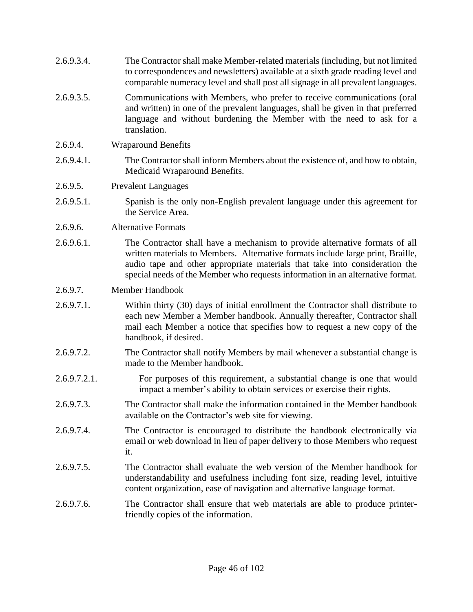- 2.6.9.3.4. The Contractor shall make Member-related materials (including, but not limited to correspondences and newsletters) available at a sixth grade reading level and comparable numeracy level and shall post all signage in all prevalent languages.
- 2.6.9.3.5. Communications with Members, who prefer to receive communications (oral and written) in one of the prevalent languages, shall be given in that preferred language and without burdening the Member with the need to ask for a translation.
- 2.6.9.4. Wraparound Benefits
- 2.6.9.4.1. The Contractor shall inform Members about the existence of, and how to obtain, Medicaid Wraparound Benefits.
- 2.6.9.5. Prevalent Languages
- 2.6.9.5.1. Spanish is the only non-English prevalent language under this agreement for the Service Area.
- 2.6.9.6. Alternative Formats
- 2.6.9.6.1. The Contractor shall have a mechanism to provide alternative formats of all written materials to Members. Alternative formats include large print, Braille, audio tape and other appropriate materials that take into consideration the special needs of the Member who requests information in an alternative format.
- 2.6.9.7. Member Handbook
- 2.6.9.7.1. Within thirty (30) days of initial enrollment the Contractor shall distribute to each new Member a Member handbook. Annually thereafter, Contractor shall mail each Member a notice that specifies how to request a new copy of the handbook, if desired.
- 2.6.9.7.2. The Contractor shall notify Members by mail whenever a substantial change is made to the Member handbook.
- 2.6.9.7.2.1. For purposes of this requirement, a substantial change is one that would impact a member's ability to obtain services or exercise their rights.
- 2.6.9.7.3. The Contractor shall make the information contained in the Member handbook available on the Contractor's web site for viewing.
- 2.6.9.7.4. The Contractor is encouraged to distribute the handbook electronically via email or web download in lieu of paper delivery to those Members who request it.
- 2.6.9.7.5. The Contractor shall evaluate the web version of the Member handbook for understandability and usefulness including font size, reading level, intuitive content organization, ease of navigation and alternative language format.
- 2.6.9.7.6. The Contractor shall ensure that web materials are able to produce printerfriendly copies of the information.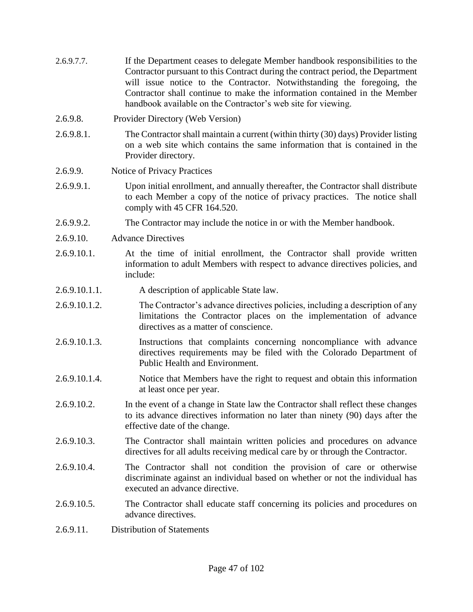- 2.6.9.7.7. If the Department ceases to delegate Member handbook responsibilities to the Contractor pursuant to this Contract during the contract period, the Department will issue notice to the Contractor. Notwithstanding the foregoing, the Contractor shall continue to make the information contained in the Member handbook available on the Contractor's web site for viewing.
- 2.6.9.8. Provider Directory (Web Version)
- 2.6.9.8.1. The Contractor shall maintain a current (within thirty (30) days) Provider listing on a web site which contains the same information that is contained in the Provider directory.
- 2.6.9.9. Notice of Privacy Practices
- 2.6.9.9.1. Upon initial enrollment, and annually thereafter, the Contractor shall distribute to each Member a copy of the notice of privacy practices. The notice shall comply with 45 CFR 164.520.
- 2.6.9.9.2. The Contractor may include the notice in or with the Member handbook.
- 2.6.9.10. Advance Directives
- 2.6.9.10.1. At the time of initial enrollment, the Contractor shall provide written information to adult Members with respect to advance directives policies, and include:
- 2.6.9.10.1.1. A description of applicable State law.
- 2.6.9.10.1.2. The Contractor's advance directives policies, including a description of any limitations the Contractor places on the implementation of advance directives as a matter of conscience.
- 2.6.9.10.1.3. Instructions that complaints concerning noncompliance with advance directives requirements may be filed with the Colorado Department of Public Health and Environment.
- 2.6.9.10.1.4. Notice that Members have the right to request and obtain this information at least once per year.
- 2.6.9.10.2. In the event of a change in State law the Contractor shall reflect these changes to its advance directives information no later than ninety (90) days after the effective date of the change.
- 2.6.9.10.3. The Contractor shall maintain written policies and procedures on advance directives for all adults receiving medical care by or through the Contractor.
- 2.6.9.10.4. The Contractor shall not condition the provision of care or otherwise discriminate against an individual based on whether or not the individual has executed an advance directive.
- 2.6.9.10.5. The Contractor shall educate staff concerning its policies and procedures on advance directives.
- 2.6.9.11. Distribution of Statements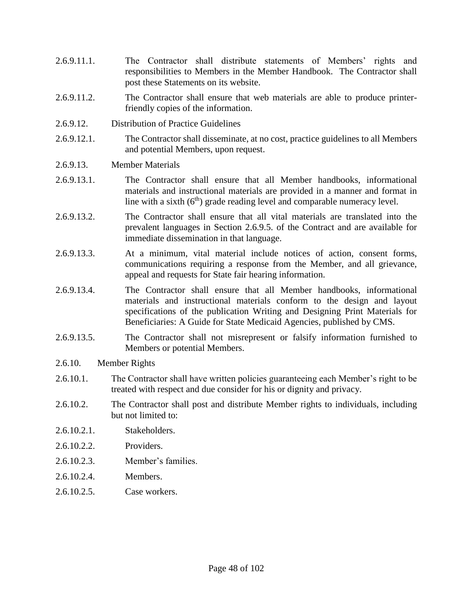- 2.6.9.11.1. The Contractor shall distribute statements of Members' rights and responsibilities to Members in the Member Handbook. The Contractor shall post these Statements on its website.
- 2.6.9.11.2. The Contractor shall ensure that web materials are able to produce printerfriendly copies of the information.
- 2.6.9.12. Distribution of Practice Guidelines
- 2.6.9.12.1. The Contractor shall disseminate, at no cost, practice guidelines to all Members and potential Members, upon request.
- 2.6.9.13. Member Materials
- 2.6.9.13.1. The Contractor shall ensure that all Member handbooks, informational materials and instructional materials are provided in a manner and format in line with a sixth  $(6<sup>th</sup>)$  grade reading level and comparable numeracy level.
- 2.6.9.13.2. The Contractor shall ensure that all vital materials are translated into the prevalent languages in Section 2.6.9.5. of the Contract and are available for immediate dissemination in that language.
- 2.6.9.13.3. At a minimum, vital material include notices of action, consent forms, communications requiring a response from the Member, and all grievance, appeal and requests for State fair hearing information.
- 2.6.9.13.4. The Contractor shall ensure that all Member handbooks, informational materials and instructional materials conform to the design and layout specifications of the publication Writing and Designing Print Materials for Beneficiaries: A Guide for State Medicaid Agencies, published by CMS.
- 2.6.9.13.5. The Contractor shall not misrepresent or falsify information furnished to Members or potential Members.
- 2.6.10. Member Rights
- 2.6.10.1. The Contractor shall have written policies guaranteeing each Member's right to be treated with respect and due consider for his or dignity and privacy.
- 2.6.10.2. The Contractor shall post and distribute Member rights to individuals, including but not limited to:
- 2.6.10.2.1. Stakeholders.
- 2.6.10.2.2. Providers.
- 2.6.10.2.3. Member's families.
- 2.6.10.2.4. Members.
- 2.6.10.2.5. Case workers.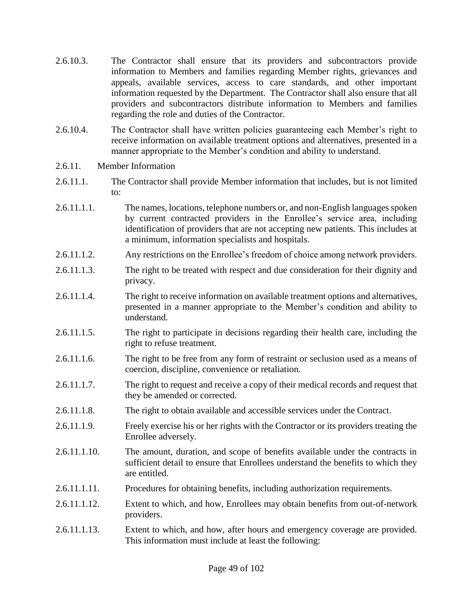- 2.6.10.3. The Contractor shall ensure that its providers and subcontractors provide information to Members and families regarding Member rights, grievances and appeals, available services, access to care standards, and other important information requested by the Department. The Contractor shall also ensure that all providers and subcontractors distribute information to Members and families regarding the role and duties of the Contractor.
- 2.6.10.4. The Contractor shall have written policies guaranteeing each Member's right to receive information on available treatment options and alternatives, presented in a manner appropriate to the Member's condition and ability to understand.
- 2.6.11. Member Information
- 2.6.11.1. The Contractor shall provide Member information that includes, but is not limited to:
- 2.6.11.1.1. The names, locations, telephone numbers or, and non-English languages spoken by current contracted providers in the Enrollee's service area, including identification of providers that are not accepting new patients. This includes at a minimum, information specialists and hospitals.
- 2.6.11.1.2. Any restrictions on the Enrollee's freedom of choice among network providers.
- 2.6.11.1.3. The right to be treated with respect and due consideration for their dignity and privacy.
- 2.6.11.1.4. The right to receive information on available treatment options and alternatives, presented in a manner appropriate to the Member's condition and ability to understand.
- 2.6.11.1.5. The right to participate in decisions regarding their health care, including the right to refuse treatment.
- 2.6.11.1.6. The right to be free from any form of restraint or seclusion used as a means of coercion, discipline, convenience or retaliation.
- 2.6.11.1.7. The right to request and receive a copy of their medical records and request that they be amended or corrected.
- 2.6.11.1.8. The right to obtain available and accessible services under the Contract.
- 2.6.11.1.9. Freely exercise his or her rights with the Contractor or its providers treating the Enrollee adversely.
- 2.6.11.1.10. The amount, duration, and scope of benefits available under the contracts in sufficient detail to ensure that Enrollees understand the benefits to which they are entitled.
- 2.6.11.1.11. Procedures for obtaining benefits, including authorization requirements.
- 2.6.11.1.12. Extent to which, and how, Enrollees may obtain benefits from out-of-network providers.
- 2.6.11.1.13. Extent to which, and how, after hours and emergency coverage are provided. This information must include at least the following: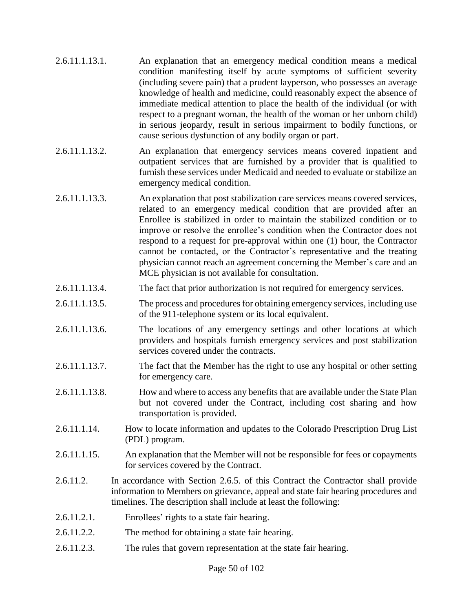- 2.6.11.1.13.1. An explanation that an emergency medical condition means a medical condition manifesting itself by acute symptoms of sufficient severity (including severe pain) that a prudent layperson, who possesses an average knowledge of health and medicine, could reasonably expect the absence of immediate medical attention to place the health of the individual (or with respect to a pregnant woman, the health of the woman or her unborn child) in serious jeopardy, result in serious impairment to bodily functions, or cause serious dysfunction of any bodily organ or part.
- 2.6.11.1.13.2. An explanation that emergency services means covered inpatient and outpatient services that are furnished by a provider that is qualified to furnish these services under Medicaid and needed to evaluate or stabilize an emergency medical condition.
- 2.6.11.1.13.3. An explanation that post stabilization care services means covered services, related to an emergency medical condition that are provided after an Enrollee is stabilized in order to maintain the stabilized condition or to improve or resolve the enrollee's condition when the Contractor does not respond to a request for pre-approval within one (1) hour, the Contractor cannot be contacted, or the Contractor's representative and the treating physician cannot reach an agreement concerning the Member's care and an MCE physician is not available for consultation.
- 2.6.11.1.13.4. The fact that prior authorization is not required for emergency services.
- 2.6.11.1.13.5. The process and procedures for obtaining emergency services, including use of the 911-telephone system or its local equivalent.
- 2.6.11.1.13.6. The locations of any emergency settings and other locations at which providers and hospitals furnish emergency services and post stabilization services covered under the contracts.
- 2.6.11.1.13.7. The fact that the Member has the right to use any hospital or other setting for emergency care.
- 2.6.11.1.13.8. How and where to access any benefits that are available under the State Plan but not covered under the Contract, including cost sharing and how transportation is provided.
- 2.6.11.1.14. How to locate information and updates to the Colorado Prescription Drug List (PDL) program.
- 2.6.11.1.15. An explanation that the Member will not be responsible for fees or copayments for services covered by the Contract.
- 2.6.11.2. In accordance with Section 2.6.5. of this Contract the Contractor shall provide information to Members on grievance, appeal and state fair hearing procedures and timelines. The description shall include at least the following:
- 2.6.11.2.1. Enrollees' rights to a state fair hearing.
- 2.6.11.2.2. The method for obtaining a state fair hearing.
- 2.6.11.2.3. The rules that govern representation at the state fair hearing.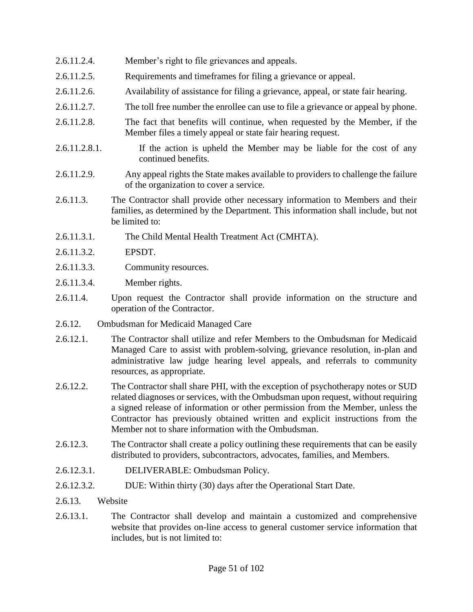- 2.6.11.2.4. Member's right to file grievances and appeals.
- 2.6.11.2.5. Requirements and timeframes for filing a grievance or appeal.
- 2.6.11.2.6. Availability of assistance for filing a grievance, appeal, or state fair hearing.
- 2.6.11.2.7. The toll free number the enrollee can use to file a grievance or appeal by phone.
- 2.6.11.2.8. The fact that benefits will continue, when requested by the Member, if the Member files a timely appeal or state fair hearing request.
- 2.6.11.2.8.1. If the action is upheld the Member may be liable for the cost of any continued benefits.
- 2.6.11.2.9. Any appeal rights the State makes available to providers to challenge the failure of the organization to cover a service.
- 2.6.11.3. The Contractor shall provide other necessary information to Members and their families, as determined by the Department. This information shall include, but not be limited to:
- 2.6.11.3.1. The Child Mental Health Treatment Act (CMHTA).
- 2.6.11.3.2. EPSDT.
- 2.6.11.3.3. Community resources.
- 2.6.11.3.4. Member rights.
- 2.6.11.4. Upon request the Contractor shall provide information on the structure and operation of the Contractor.
- 2.6.12. Ombudsman for Medicaid Managed Care
- 2.6.12.1. The Contractor shall utilize and refer Members to the Ombudsman for Medicaid Managed Care to assist with problem-solving, grievance resolution, in-plan and administrative law judge hearing level appeals, and referrals to community resources, as appropriate.
- 2.6.12.2. The Contractor shall share PHI, with the exception of psychotherapy notes or SUD related diagnoses or services, with the Ombudsman upon request, without requiring a signed release of information or other permission from the Member, unless the Contractor has previously obtained written and explicit instructions from the Member not to share information with the Ombudsman.
- 2.6.12.3. The Contractor shall create a policy outlining these requirements that can be easily distributed to providers, subcontractors, advocates, families, and Members.
- 2.6.12.3.1. DELIVERABLE: Ombudsman Policy.
- 2.6.12.3.2. DUE: Within thirty (30) days after the Operational Start Date.
- 2.6.13. Website
- 2.6.13.1. The Contractor shall develop and maintain a customized and comprehensive website that provides on-line access to general customer service information that includes, but is not limited to: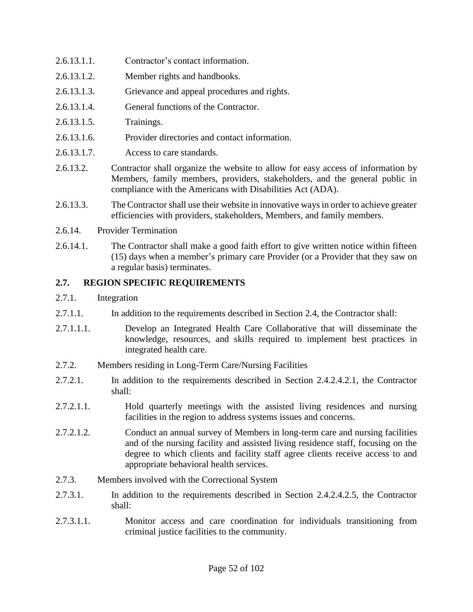- 2.6.13.1.1. Contractor's contact information.
- 2.6.13.1.2. Member rights and handbooks.
- 2.6.13.1.3. Grievance and appeal procedures and rights.
- 2.6.13.1.4. General functions of the Contractor.
- 2.6.13.1.5. Trainings.
- 2.6.13.1.6. Provider directories and contact information.
- 2.6.13.1.7. Access to care standards.
- 2.6.13.2. Contractor shall organize the website to allow for easy access of information by Members, family members, providers, stakeholders, and the general public in compliance with the Americans with Disabilities Act (ADA).
- 2.6.13.3. The Contractor shall use their website in innovative ways in order to achieve greater efficiencies with providers, stakeholders, Members, and family members.
- 2.6.14. Provider Termination
- 2.6.14.1. The Contractor shall make a good faith effort to give written notice within fifteen (15) days when a member's primary care Provider (or a Provider that they saw on a regular basis) terminates.

### **2.7. REGION SPECIFIC REQUIREMENTS**

- 2.7.1. Integration
- 2.7.1.1. In addition to the requirements described in Section 2.4, the Contractor shall:
- 2.7.1.1.1. Develop an Integrated Health Care Collaborative that will disseminate the knowledge, resources, and skills required to implement best practices in integrated health care.
- 2.7.2. Members residing in Long-Term Care/Nursing Facilities
- 2.7.2.1. In addition to the requirements described in Section 2.4.2.4.2.1, the Contractor shall:
- 2.7.2.1.1. Hold quarterly meetings with the assisted living residences and nursing facilities in the region to address systems issues and concerns.
- 2.7.2.1.2. Conduct an annual survey of Members in long-term care and nursing facilities and of the nursing facility and assisted living residence staff, focusing on the degree to which clients and facility staff agree clients receive access to and appropriate behavioral health services.
- 2.7.3. Members involved with the Correctional System
- 2.7.3.1. In addition to the requirements described in Section 2.4.2.4.2.5, the Contractor shall:
- 2.7.3.1.1. Monitor access and care coordination for individuals transitioning from criminal justice facilities to the community.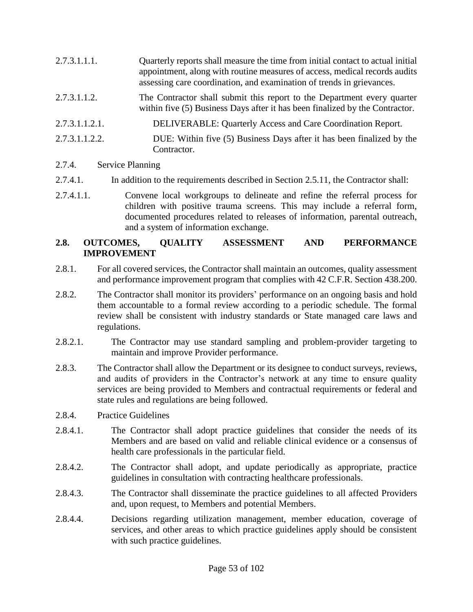- 2.7.3.1.1.1. Quarterly reports shall measure the time from initial contact to actual initial appointment, along with routine measures of access, medical records audits assessing care coordination, and examination of trends in grievances.
- 2.7.3.1.1.2. The Contractor shall submit this report to the Department every quarter within five (5) Business Days after it has been finalized by the Contractor.
- 2.7.3.1.1.2.1. DELIVERABLE: Quarterly Access and Care Coordination Report.
- 2.7.3.1.1.2.2. DUE: Within five (5) Business Days after it has been finalized by the Contractor.

#### 2.7.4. Service Planning

- 2.7.4.1. In addition to the requirements described in Section 2.5.11, the Contractor shall:
- 2.7.4.1.1. Convene local workgroups to delineate and refine the referral process for children with positive trauma screens. This may include a referral form, documented procedures related to releases of information, parental outreach, and a system of information exchange.

#### **2.8. OUTCOMES, QUALITY ASSESSMENT AND PERFORMANCE IMPROVEMENT**

- 2.8.1. For all covered services, the Contractor shall maintain an outcomes, quality assessment and performance improvement program that complies with 42 C.F.R. Section 438.200.
- 2.8.2. The Contractor shall monitor its providers' performance on an ongoing basis and hold them accountable to a formal review according to a periodic schedule. The formal review shall be consistent with industry standards or State managed care laws and regulations.
- 2.8.2.1. The Contractor may use standard sampling and problem-provider targeting to maintain and improve Provider performance.
- 2.8.3. The Contractor shall allow the Department or its designee to conduct surveys, reviews, and audits of providers in the Contractor's network at any time to ensure quality services are being provided to Members and contractual requirements or federal and state rules and regulations are being followed.
- 2.8.4. Practice Guidelines
- 2.8.4.1. The Contractor shall adopt practice guidelines that consider the needs of its Members and are based on valid and reliable clinical evidence or a consensus of health care professionals in the particular field.
- 2.8.4.2. The Contractor shall adopt, and update periodically as appropriate, practice guidelines in consultation with contracting healthcare professionals.
- 2.8.4.3. The Contractor shall disseminate the practice guidelines to all affected Providers and, upon request, to Members and potential Members.
- 2.8.4.4. Decisions regarding utilization management, member education, coverage of services, and other areas to which practice guidelines apply should be consistent with such practice guidelines.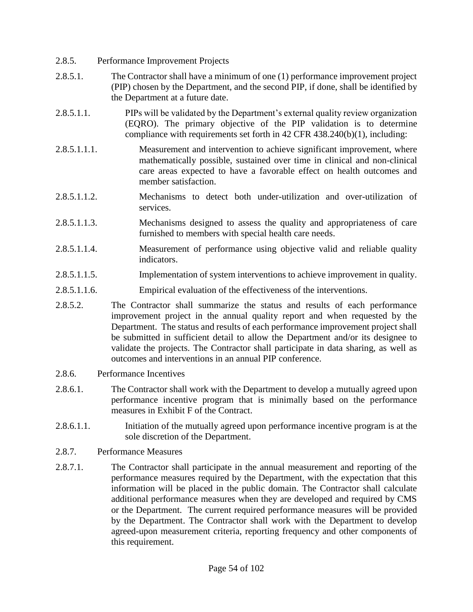- 2.8.5. Performance Improvement Projects
- 2.8.5.1. The Contractor shall have a minimum of one (1) performance improvement project (PIP) chosen by the Department, and the second PIP, if done, shall be identified by the Department at a future date.
- 2.8.5.1.1. PIPs will be validated by the Department's external quality review organization (EQRO). The primary objective of the PIP validation is to determine compliance with requirements set forth in 42 CFR 438.240(b)(1), including:
- 2.8.5.1.1.1. Measurement and intervention to achieve significant improvement, where mathematically possible, sustained over time in clinical and non-clinical care areas expected to have a favorable effect on health outcomes and member satisfaction.
- 2.8.5.1.1.2. Mechanisms to detect both under-utilization and over-utilization of services.
- 2.8.5.1.1.3. Mechanisms designed to assess the quality and appropriateness of care furnished to members with special health care needs.
- 2.8.5.1.1.4. Measurement of performance using objective valid and reliable quality indicators.
- 2.8.5.1.1.5. Implementation of system interventions to achieve improvement in quality.
- 2.8.5.1.1.6. Empirical evaluation of the effectiveness of the interventions.
- 2.8.5.2. The Contractor shall summarize the status and results of each performance improvement project in the annual quality report and when requested by the Department. The status and results of each performance improvement project shall be submitted in sufficient detail to allow the Department and/or its designee to validate the projects. The Contractor shall participate in data sharing, as well as outcomes and interventions in an annual PIP conference.
- 2.8.6. Performance Incentives
- 2.8.6.1. The Contractor shall work with the Department to develop a mutually agreed upon performance incentive program that is minimally based on the performance measures in Exhibit F of the Contract.
- 2.8.6.1.1. Initiation of the mutually agreed upon performance incentive program is at the sole discretion of the Department.
- 2.8.7. Performance Measures
- 2.8.7.1. The Contractor shall participate in the annual measurement and reporting of the performance measures required by the Department, with the expectation that this information will be placed in the public domain. The Contractor shall calculate additional performance measures when they are developed and required by CMS or the Department. The current required performance measures will be provided by the Department. The Contractor shall work with the Department to develop agreed-upon measurement criteria, reporting frequency and other components of this requirement.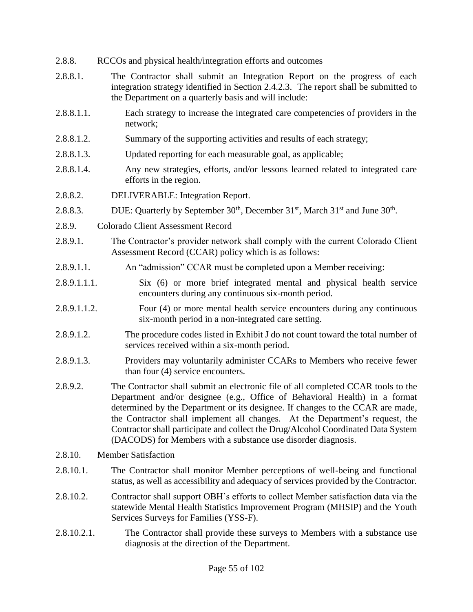- 2.8.8. RCCOs and physical health/integration efforts and outcomes
- 2.8.8.1. The Contractor shall submit an Integration Report on the progress of each integration strategy identified in Section 2.4.2.3. The report shall be submitted to the Department on a quarterly basis and will include:
- 2.8.8.1.1. Each strategy to increase the integrated care competencies of providers in the network;
- 2.8.8.1.2. Summary of the supporting activities and results of each strategy;
- 2.8.8.1.3. Updated reporting for each measurable goal, as applicable;
- 2.8.8.1.4. Any new strategies, efforts, and/or lessons learned related to integrated care efforts in the region.
- 2.8.8.2. DELIVERABLE: Integration Report.
- 2.8.8.3. DUE: Quarterly by September  $30<sup>th</sup>$ , December  $31<sup>st</sup>$ , March  $31<sup>st</sup>$  and June  $30<sup>th</sup>$ .
- 2.8.9. Colorado Client Assessment Record
- 2.8.9.1. The Contractor's provider network shall comply with the current Colorado Client Assessment Record (CCAR) policy which is as follows:
- 2.8.9.1.1. An "admission" CCAR must be completed upon a Member receiving:
- 2.8.9.1.1.1. Six (6) or more brief integrated mental and physical health service encounters during any continuous six-month period.
- 2.8.9.1.1.2. Four (4) or more mental health service encounters during any continuous six-month period in a non-integrated care setting.
- 2.8.9.1.2. The procedure codes listed in Exhibit J do not count toward the total number of services received within a six-month period.
- 2.8.9.1.3. Providers may voluntarily administer CCARs to Members who receive fewer than four (4) service encounters.
- 2.8.9.2. The Contractor shall submit an electronic file of all completed CCAR tools to the Department and/or designee (e.g., Office of Behavioral Health) in a format determined by the Department or its designee. If changes to the CCAR are made, the Contractor shall implement all changes. At the Department's request, the Contractor shall participate and collect the Drug/Alcohol Coordinated Data System (DACODS) for Members with a substance use disorder diagnosis.
- 2.8.10. Member Satisfaction
- 2.8.10.1. The Contractor shall monitor Member perceptions of well-being and functional status, as well as accessibility and adequacy of services provided by the Contractor.
- 2.8.10.2. Contractor shall support OBH's efforts to collect Member satisfaction data via the statewide Mental Health Statistics Improvement Program (MHSIP) and the Youth Services Surveys for Families (YSS-F).
- 2.8.10.2.1. The Contractor shall provide these surveys to Members with a substance use diagnosis at the direction of the Department.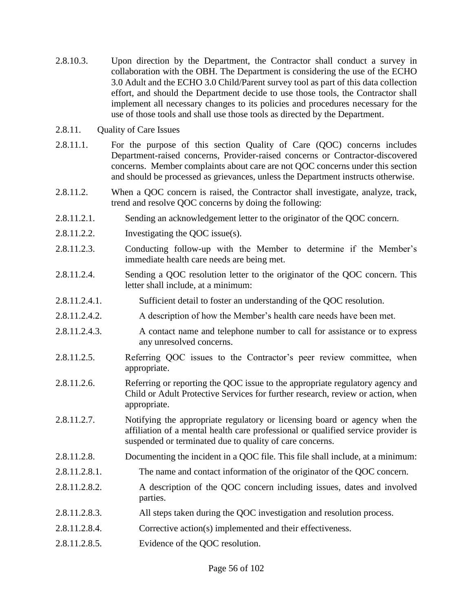- 2.8.10.3. Upon direction by the Department, the Contractor shall conduct a survey in collaboration with the OBH. The Department is considering the use of the ECHO 3.0 Adult and the ECHO 3.0 Child/Parent survey tool as part of this data collection effort, and should the Department decide to use those tools, the Contractor shall implement all necessary changes to its policies and procedures necessary for the use of those tools and shall use those tools as directed by the Department.
- 2.8.11. Quality of Care Issues
- 2.8.11.1. For the purpose of this section Quality of Care (QOC) concerns includes Department-raised concerns, Provider-raised concerns or Contractor-discovered concerns. Member complaints about care are not QOC concerns under this section and should be processed as grievances, unless the Department instructs otherwise.
- 2.8.11.2. When a QOC concern is raised, the Contractor shall investigate, analyze, track, trend and resolve QOC concerns by doing the following:
- 2.8.11.2.1. Sending an acknowledgement letter to the originator of the QOC concern.
- 2.8.11.2.2. Investigating the QOC issue(s).
- 2.8.11.2.3. Conducting follow-up with the Member to determine if the Member's immediate health care needs are being met.
- 2.8.11.2.4. Sending a QOC resolution letter to the originator of the QOC concern. This letter shall include, at a minimum:
- 2.8.11.2.4.1. Sufficient detail to foster an understanding of the QOC resolution.
- 2.8.11.2.4.2. A description of how the Member's health care needs have been met.
- 2.8.11.2.4.3. A contact name and telephone number to call for assistance or to express any unresolved concerns.
- 2.8.11.2.5. Referring QOC issues to the Contractor's peer review committee, when appropriate.
- 2.8.11.2.6. Referring or reporting the QOC issue to the appropriate regulatory agency and Child or Adult Protective Services for further research, review or action, when appropriate.
- 2.8.11.2.7. Notifying the appropriate regulatory or licensing board or agency when the affiliation of a mental health care professional or qualified service provider is suspended or terminated due to quality of care concerns.
- 2.8.11.2.8. Documenting the incident in a QOC file. This file shall include, at a minimum:
- 2.8.11.2.8.1. The name and contact information of the originator of the QOC concern.
- 2.8.11.2.8.2. A description of the QOC concern including issues, dates and involved parties.
- 2.8.11.2.8.3. All steps taken during the QOC investigation and resolution process.
- 2.8.11.2.8.4. Corrective action(s) implemented and their effectiveness.
- 2.8.11.2.8.5. Evidence of the QOC resolution.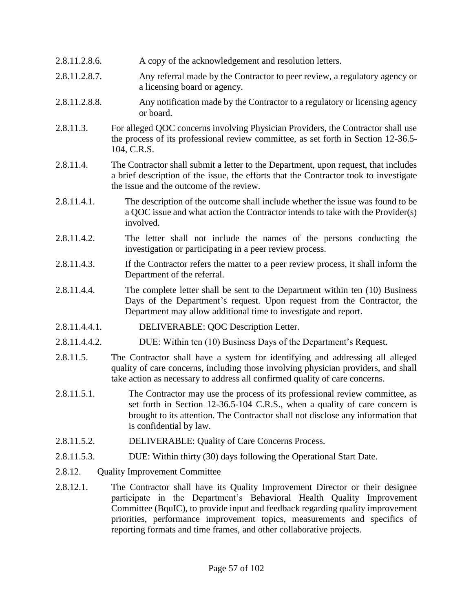- 2.8.11.2.8.6. A copy of the acknowledgement and resolution letters.
- 2.8.11.2.8.7. Any referral made by the Contractor to peer review, a regulatory agency or a licensing board or agency.
- 2.8.11.2.8.8. Any notification made by the Contractor to a regulatory or licensing agency or board.
- 2.8.11.3. For alleged QOC concerns involving Physician Providers, the Contractor shall use the process of its professional review committee, as set forth in Section 12-36.5- 104, C.R.S.
- 2.8.11.4. The Contractor shall submit a letter to the Department, upon request, that includes a brief description of the issue, the efforts that the Contractor took to investigate the issue and the outcome of the review.
- 2.8.11.4.1. The description of the outcome shall include whether the issue was found to be a QOC issue and what action the Contractor intends to take with the Provider(s) involved.
- 2.8.11.4.2. The letter shall not include the names of the persons conducting the investigation or participating in a peer review process.
- 2.8.11.4.3. If the Contractor refers the matter to a peer review process, it shall inform the Department of the referral.
- 2.8.11.4.4. The complete letter shall be sent to the Department within ten (10) Business Days of the Department's request. Upon request from the Contractor, the Department may allow additional time to investigate and report.
- 2.8.11.4.4.1. DELIVERABLE: QOC Description Letter.
- 2.8.11.4.4.2. DUE: Within ten (10) Business Days of the Department's Request.
- 2.8.11.5. The Contractor shall have a system for identifying and addressing all alleged quality of care concerns, including those involving physician providers, and shall take action as necessary to address all confirmed quality of care concerns.
- 2.8.11.5.1. The Contractor may use the process of its professional review committee, as set forth in Section 12-36.5-104 C.R.S., when a quality of care concern is brought to its attention. The Contractor shall not disclose any information that is confidential by law.
- 2.8.11.5.2. DELIVERABLE: Quality of Care Concerns Process.
- 2.8.11.5.3. DUE: Within thirty (30) days following the Operational Start Date.
- 2.8.12. Quality Improvement Committee
- 2.8.12.1. The Contractor shall have its Quality Improvement Director or their designee participate in the Department's Behavioral Health Quality Improvement Committee (BquIC), to provide input and feedback regarding quality improvement priorities, performance improvement topics, measurements and specifics of reporting formats and time frames, and other collaborative projects.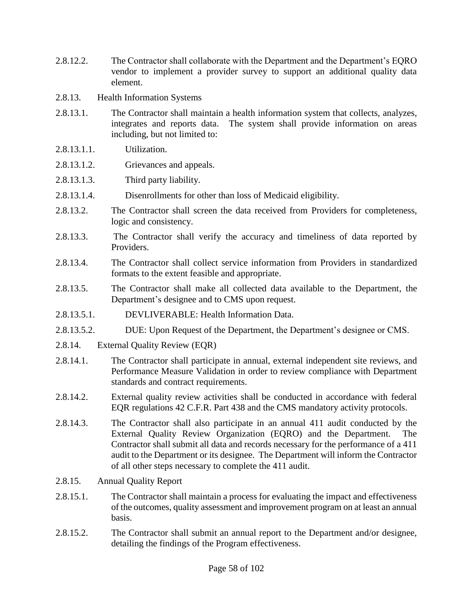- 2.8.12.2. The Contractor shall collaborate with the Department and the Department's EQRO vendor to implement a provider survey to support an additional quality data element.
- 2.8.13. Health Information Systems
- 2.8.13.1. The Contractor shall maintain a health information system that collects, analyzes, integrates and reports data. The system shall provide information on areas including, but not limited to:
- 2.8.13.1.1. Utilization.
- 2.8.13.1.2. Grievances and appeals.
- 2.8.13.1.3. Third party liability.
- 2.8.13.1.4. Disenrollments for other than loss of Medicaid eligibility.
- 2.8.13.2. The Contractor shall screen the data received from Providers for completeness, logic and consistency.
- 2.8.13.3. The Contractor shall verify the accuracy and timeliness of data reported by Providers.
- 2.8.13.4. The Contractor shall collect service information from Providers in standardized formats to the extent feasible and appropriate.
- 2.8.13.5. The Contractor shall make all collected data available to the Department, the Department's designee and to CMS upon request.
- 2.8.13.5.1. DEVLIVERABLE: Health Information Data.
- 2.8.13.5.2. DUE: Upon Request of the Department, the Department's designee or CMS.
- 2.8.14. External Quality Review (EQR)
- 2.8.14.1. The Contractor shall participate in annual, external independent site reviews, and Performance Measure Validation in order to review compliance with Department standards and contract requirements.
- 2.8.14.2. External quality review activities shall be conducted in accordance with federal EQR regulations 42 C.F.R. Part 438 and the CMS mandatory activity protocols.
- 2.8.14.3. The Contractor shall also participate in an annual 411 audit conducted by the External Quality Review Organization (EQRO) and the Department. The Contractor shall submit all data and records necessary for the performance of a 411 audit to the Department or its designee. The Department will inform the Contractor of all other steps necessary to complete the 411 audit.
- 2.8.15. Annual Quality Report
- 2.8.15.1. The Contractor shall maintain a process for evaluating the impact and effectiveness of the outcomes, quality assessment and improvement program on at least an annual basis.
- 2.8.15.2. The Contractor shall submit an annual report to the Department and/or designee, detailing the findings of the Program effectiveness.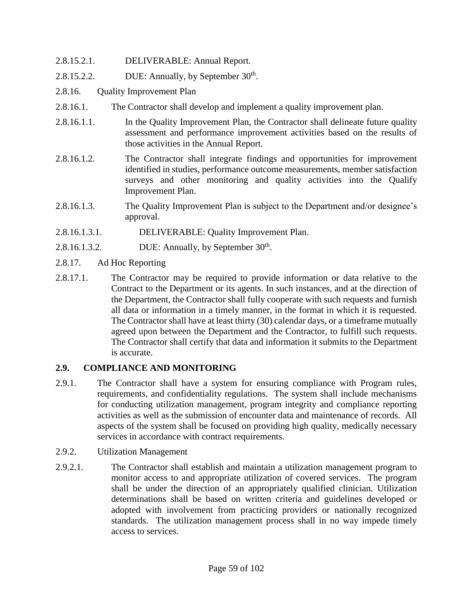- 2.8.15.2.1. DELIVERABLE: Annual Report.
- 2.8.15.2.2. DUE: Annually, by September  $30<sup>th</sup>$ .
- 2.8.16. Quality Improvement Plan
- 2.8.16.1. The Contractor shall develop and implement a quality improvement plan.
- 2.8.16.1.1. In the Quality Improvement Plan, the Contractor shall delineate future quality assessment and performance improvement activities based on the results of those activities in the Annual Report.
- 2.8.16.1.2. The Contractor shall integrate findings and opportunities for improvement identified in studies, performance outcome measurements, member satisfaction surveys and other monitoring and quality activities into the Qualify Improvement Plan.
- 2.8.16.1.3. The Quality Improvement Plan is subject to the Department and/or designee's approval.
- 2.8.16.1.3.1. DELIVERABLE: Quality Improvement Plan.
- 2.8.16.1.3.2. DUE: Annually, by September  $30<sup>th</sup>$ .
- 2.8.17. Ad Hoc Reporting
- 2.8.17.1. The Contractor may be required to provide information or data relative to the Contract to the Department or its agents. In such instances, and at the direction of the Department, the Contractor shall fully cooperate with such requests and furnish all data or information in a timely manner, in the format in which it is requested. The Contractor shall have at least thirty (30) calendar days, or a timeframe mutually agreed upon between the Department and the Contractor, to fulfill such requests. The Contractor shall certify that data and information it submits to the Department is accurate.

## **2.9. COMPLIANCE AND MONITORING**

- 2.9.1. The Contractor shall have a system for ensuring compliance with Program rules, requirements, and confidentiality regulations. The system shall include mechanisms for conducting utilization management, program integrity and compliance reporting activities as well as the submission of encounter data and maintenance of records. All aspects of the system shall be focused on providing high quality, medically necessary services in accordance with contract requirements.
- 2.9.2. Utilization Management
- 2.9.2.1. The Contractor shall establish and maintain a utilization management program to monitor access to and appropriate utilization of covered services. The program shall be under the direction of an appropriately qualified clinician. Utilization determinations shall be based on written criteria and guidelines developed or adopted with involvement from practicing providers or nationally recognized standards. The utilization management process shall in no way impede timely access to services.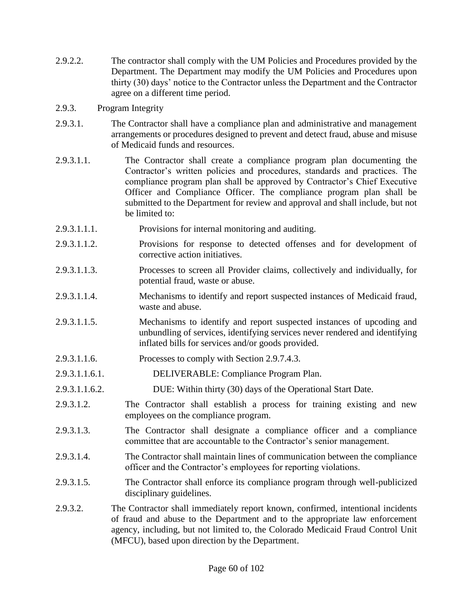- 2.9.2.2. The contractor shall comply with the UM Policies and Procedures provided by the Department. The Department may modify the UM Policies and Procedures upon thirty (30) days' notice to the Contractor unless the Department and the Contractor agree on a different time period.
- 2.9.3. Program Integrity
- 2.9.3.1. The Contractor shall have a compliance plan and administrative and management arrangements or procedures designed to prevent and detect fraud, abuse and misuse of Medicaid funds and resources.
- 2.9.3.1.1. The Contractor shall create a compliance program plan documenting the Contractor's written policies and procedures, standards and practices. The compliance program plan shall be approved by Contractor's Chief Executive Officer and Compliance Officer. The compliance program plan shall be submitted to the Department for review and approval and shall include, but not be limited to:
- 2.9.3.1.1.1. Provisions for internal monitoring and auditing.
- 2.9.3.1.1.2. Provisions for response to detected offenses and for development of corrective action initiatives.
- 2.9.3.1.1.3. Processes to screen all Provider claims, collectively and individually, for potential fraud, waste or abuse.
- 2.9.3.1.1.4. Mechanisms to identify and report suspected instances of Medicaid fraud, waste and abuse.
- 2.9.3.1.1.5. Mechanisms to identify and report suspected instances of upcoding and unbundling of services, identifying services never rendered and identifying inflated bills for services and/or goods provided.
- 2.9.3.1.1.6. Processes to comply with Section 2.9.7.4.3.
- 2.9.3.1.1.6.1. DELIVERABLE: Compliance Program Plan.
- 2.9.3.1.1.6.2. DUE: Within thirty (30) days of the Operational Start Date.
- 2.9.3.1.2. The Contractor shall establish a process for training existing and new employees on the compliance program.
- 2.9.3.1.3. The Contractor shall designate a compliance officer and a compliance committee that are accountable to the Contractor's senior management.
- 2.9.3.1.4. The Contractor shall maintain lines of communication between the compliance officer and the Contractor's employees for reporting violations.
- 2.9.3.1.5. The Contractor shall enforce its compliance program through well-publicized disciplinary guidelines.
- 2.9.3.2. The Contractor shall immediately report known, confirmed, intentional incidents of fraud and abuse to the Department and to the appropriate law enforcement agency, including, but not limited to, the Colorado Medicaid Fraud Control Unit (MFCU), based upon direction by the Department.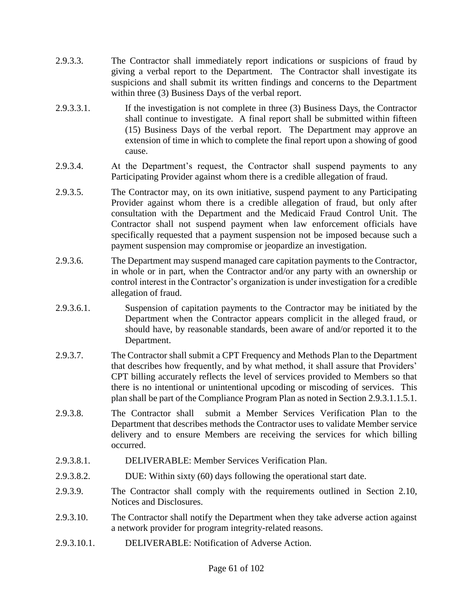- 2.9.3.3. The Contractor shall immediately report indications or suspicions of fraud by giving a verbal report to the Department. The Contractor shall investigate its suspicions and shall submit its written findings and concerns to the Department within three (3) Business Days of the verbal report.
- 2.9.3.3.1. If the investigation is not complete in three (3) Business Days, the Contractor shall continue to investigate. A final report shall be submitted within fifteen (15) Business Days of the verbal report. The Department may approve an extension of time in which to complete the final report upon a showing of good cause.
- 2.9.3.4. At the Department's request, the Contractor shall suspend payments to any Participating Provider against whom there is a credible allegation of fraud.
- 2.9.3.5. The Contractor may, on its own initiative, suspend payment to any Participating Provider against whom there is a credible allegation of fraud, but only after consultation with the Department and the Medicaid Fraud Control Unit. The Contractor shall not suspend payment when law enforcement officials have specifically requested that a payment suspension not be imposed because such a payment suspension may compromise or jeopardize an investigation.
- 2.9.3.6. The Department may suspend managed care capitation payments to the Contractor, in whole or in part, when the Contractor and/or any party with an ownership or control interest in the Contractor's organization is under investigation for a credible allegation of fraud.
- 2.9.3.6.1. Suspension of capitation payments to the Contractor may be initiated by the Department when the Contractor appears complicit in the alleged fraud, or should have, by reasonable standards, been aware of and/or reported it to the Department.
- 2.9.3.7. The Contractor shall submit a CPT Frequency and Methods Plan to the Department that describes how frequently, and by what method, it shall assure that Providers' CPT billing accurately reflects the level of services provided to Members so that there is no intentional or unintentional upcoding or miscoding of services. This plan shall be part of the Compliance Program Plan as noted in Section 2.9.3.1.1.5.1.
- 2.9.3.8. The Contractor shall submit a Member Services Verification Plan to the Department that describes methods the Contractor uses to validate Member service delivery and to ensure Members are receiving the services for which billing occurred.
- 2.9.3.8.1. DELIVERABLE: Member Services Verification Plan.
- 2.9.3.8.2. DUE: Within sixty (60) days following the operational start date.
- 2.9.3.9. The Contractor shall comply with the requirements outlined in Section 2.10, Notices and Disclosures.
- 2.9.3.10. The Contractor shall notify the Department when they take adverse action against a network provider for program integrity-related reasons.
- 2.9.3.10.1. DELIVERABLE: Notification of Adverse Action.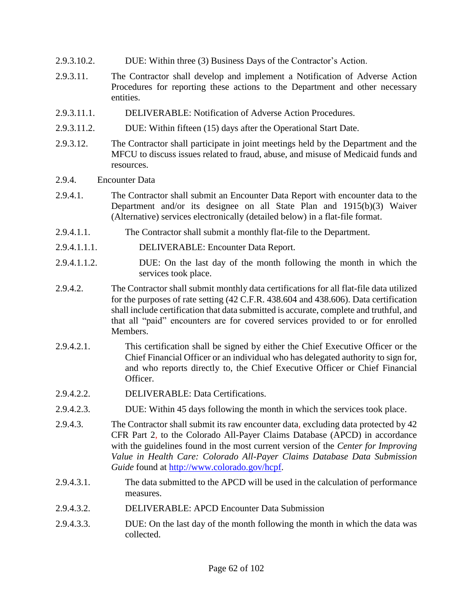- 2.9.3.10.2. DUE: Within three (3) Business Days of the Contractor's Action.
- 2.9.3.11. The Contractor shall develop and implement a Notification of Adverse Action Procedures for reporting these actions to the Department and other necessary entities.
- 2.9.3.11.1. DELIVERABLE: Notification of Adverse Action Procedures.
- 2.9.3.11.2. DUE: Within fifteen (15) days after the Operational Start Date.
- 2.9.3.12. The Contractor shall participate in joint meetings held by the Department and the MFCU to discuss issues related to fraud, abuse, and misuse of Medicaid funds and resources.
- 2.9.4. Encounter Data
- 2.9.4.1. The Contractor shall submit an Encounter Data Report with encounter data to the Department and/or its designee on all State Plan and 1915(b)(3) Waiver (Alternative) services electronically (detailed below) in a flat-file format.
- 2.9.4.1.1. The Contractor shall submit a monthly flat-file to the Department.
- 2.9.4.1.1.1. DELIVERABLE: Encounter Data Report.
- 2.9.4.1.1.2. DUE: On the last day of the month following the month in which the services took place.
- 2.9.4.2. The Contractor shall submit monthly data certifications for all flat-file data utilized for the purposes of rate setting (42 C.F.R. 438.604 and 438.606). Data certification shall include certification that data submitted is accurate, complete and truthful, and that all "paid" encounters are for covered services provided to or for enrolled Members.
- 2.9.4.2.1. This certification shall be signed by either the Chief Executive Officer or the Chief Financial Officer or an individual who has delegated authority to sign for, and who reports directly to, the Chief Executive Officer or Chief Financial Officer.
- 2.9.4.2.2. DELIVERABLE: Data Certifications.
- 2.9.4.2.3. DUE: Within 45 days following the month in which the services took place.
- 2.9.4.3. The Contractor shall submit its raw encounter data, excluding data protected by 42 CFR Part 2, to the Colorado All-Payer Claims Database (APCD) in accordance with the guidelines found in the most current version of the *Center for Improving Value in Health Care: Colorado All-Payer Claims Database Data Submission Guide* found at [http://www.colorado.gov/hcpf.](http://www.colorado.gov/hcpf)
- 2.9.4.3.1. The data submitted to the APCD will be used in the calculation of performance measures.
- 2.9.4.3.2. DELIVERABLE: APCD Encounter Data Submission
- 2.9.4.3.3. DUE: On the last day of the month following the month in which the data was collected.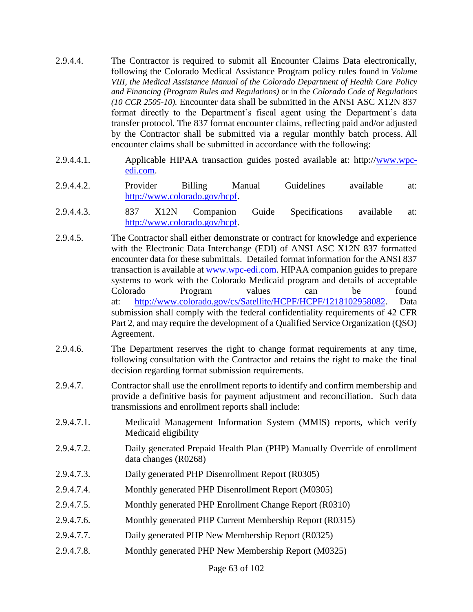- 2.9.4.4. The Contractor is required to submit all Encounter Claims Data electronically, following the Colorado Medical Assistance Program policy rules found in *Volume VIII, the Medical Assistance Manual of the Colorado Department of Health Care Policy and Financing (Program Rules and Regulations)* or in the *Colorado Code of Regulations (10 CCR 2505-10).* Encounter data shall be submitted in the ANSI ASC X12N 837 format directly to the Department's fiscal agent using the Department's data transfer protocol. The 837 format encounter claims, reflecting paid and/or adjusted by the Contractor shall be submitted via a regular monthly batch process. All encounter claims shall be submitted in accordance with the following:
- 2.9.4.4.1. Applicable HIPAA transaction guides posted available at: http:/[/www.wpc](http://www.wpc-edi.com/)[edi.com.](http://www.wpc-edi.com/)
- 2.9.4.4.2. Provider Billing Manual Guidelines available at: [http://www.colorado.gov/hcpf.](http://www.colorado.gov/hcpf)
- 2.9.4.4.3. 837 X12N Companion Guide Specifications available at: [http://www.colorado.gov/hcpf.](http://www.colorado.gov/hcpf)
- 2.9.4.5. The Contractor shall either demonstrate or contract for knowledge and experience with the Electronic Data Interchange (EDI) of ANSI ASC X12N 837 formatted encounter data for these submittals. Detailed format information for the ANSI 837 transaction is available at [www.wpc-edi.com.](http://www.wpc-edi.com/) HIPAA companion guides to prepare systems to work with the Colorado Medicaid program and details of acceptable Colorado Program values can be found at: [http://www.colorado.gov/cs/Satellite/HCPF/HCPF/1218102958082.](http://www.colorado.gov/cs/Satellite/HCPF/HCPF/1218102958082) Data submission shall comply with the federal confidentiality requirements of 42 CFR Part 2, and may require the development of a Qualified Service Organization (QSO) Agreement.
- 2.9.4.6. The Department reserves the right to change format requirements at any time, following consultation with the Contractor and retains the right to make the final decision regarding format submission requirements.
- 2.9.4.7. Contractor shall use the enrollment reports to identify and confirm membership and provide a definitive basis for payment adjustment and reconciliation. Such data transmissions and enrollment reports shall include:
- 2.9.4.7.1. Medicaid Management Information System (MMIS) reports, which verify Medicaid eligibility
- 2.9.4.7.2. Daily generated Prepaid Health Plan (PHP) Manually Override of enrollment data changes (R0268)
- 2.9.4.7.3. Daily generated PHP Disenrollment Report (R0305)
- 2.9.4.7.4. Monthly generated PHP Disenrollment Report (M0305)
- 2.9.4.7.5. Monthly generated PHP Enrollment Change Report (R0310)
- 2.9.4.7.6. Monthly generated PHP Current Membership Report (R0315)
- 2.9.4.7.7. Daily generated PHP New Membership Report (R0325)
- 2.9.4.7.8. Monthly generated PHP New Membership Report (M0325)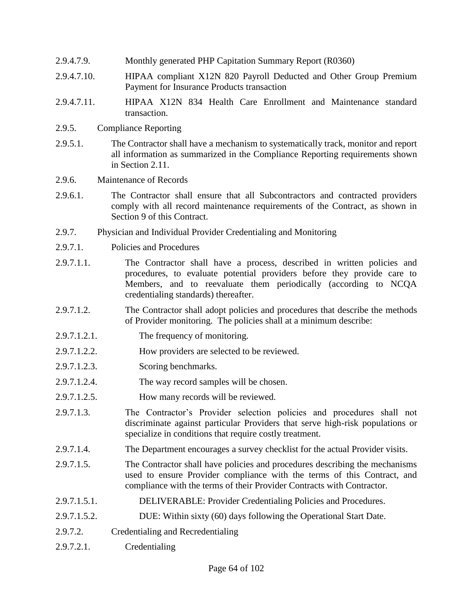- 2.9.4.7.9. Monthly generated PHP Capitation Summary Report (R0360)
- 2.9.4.7.10. HIPAA compliant X12N 820 Payroll Deducted and Other Group Premium Payment for Insurance Products transaction
- 2.9.4.7.11. HIPAA X12N 834 Health Care Enrollment and Maintenance standard transaction.
- 2.9.5. Compliance Reporting
- 2.9.5.1. The Contractor shall have a mechanism to systematically track, monitor and report all information as summarized in the Compliance Reporting requirements shown in Section 2.11.
- 2.9.6. Maintenance of Records
- 2.9.6.1. The Contractor shall ensure that all Subcontractors and contracted providers comply with all record maintenance requirements of the Contract, as shown in Section 9 of this Contract.
- 2.9.7. Physician and Individual Provider Credentialing and Monitoring
- 2.9.7.1. Policies and Procedures
- 2.9.7.1.1. The Contractor shall have a process, described in written policies and procedures, to evaluate potential providers before they provide care to Members, and to reevaluate them periodically (according to NCQA credentialing standards) thereafter.
- 2.9.7.1.2. The Contractor shall adopt policies and procedures that describe the methods of Provider monitoring. The policies shall at a minimum describe:
- 2.9.7.1.2.1. The frequency of monitoring.
- 2.9.7.1.2.2. How providers are selected to be reviewed.
- 2.9.7.1.2.3. Scoring benchmarks.
- 2.9.7.1.2.4. The way record samples will be chosen.
- 2.9.7.1.2.5. How many records will be reviewed.
- 2.9.7.1.3. The Contractor's Provider selection policies and procedures shall not discriminate against particular Providers that serve high-risk populations or specialize in conditions that require costly treatment.
- 2.9.7.1.4. The Department encourages a survey checklist for the actual Provider visits.
- 2.9.7.1.5. The Contractor shall have policies and procedures describing the mechanisms used to ensure Provider compliance with the terms of this Contract, and compliance with the terms of their Provider Contracts with Contractor.
- 2.9.7.1.5.1. DELIVERABLE: Provider Credentialing Policies and Procedures.
- 2.9.7.1.5.2. DUE: Within sixty (60) days following the Operational Start Date.
- 2.9.7.2. Credentialing and Recredentialing
- 2.9.7.2.1. Credentialing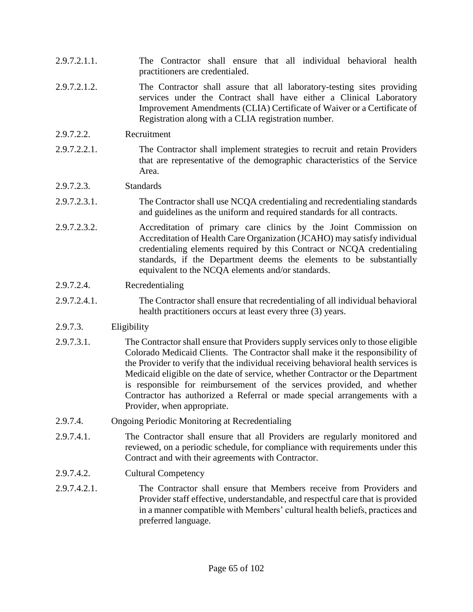- 2.9.7.2.1.1. The Contractor shall ensure that all individual behavioral health practitioners are credentialed.
- 2.9.7.2.1.2. The Contractor shall assure that all laboratory-testing sites providing services under the Contract shall have either a Clinical Laboratory Improvement Amendments (CLIA) Certificate of Waiver or a Certificate of Registration along with a CLIA registration number.
- 2.9.7.2.2. Recruitment
- 2.9.7.2.2.1. The Contractor shall implement strategies to recruit and retain Providers that are representative of the demographic characteristics of the Service Area.
- 2.9.7.2.3. Standards
- 2.9.7.2.3.1. The Contractor shall use NCQA credentialing and recredentialing standards and guidelines as the uniform and required standards for all contracts.
- 2.9.7.2.3.2. Accreditation of primary care clinics by the Joint Commission on Accreditation of Health Care Organization (JCAHO) may satisfy individual credentialing elements required by this Contract or NCQA credentialing standards, if the Department deems the elements to be substantially equivalent to the NCQA elements and/or standards.
- 2.9.7.2.4. Recredentialing
- 2.9.7.2.4.1. The Contractor shall ensure that recredentialing of all individual behavioral health practitioners occurs at least every three (3) years.
- 2.9.7.3. Eligibility
- 2.9.7.3.1. The Contractor shall ensure that Providers supply services only to those eligible Colorado Medicaid Clients. The Contractor shall make it the responsibility of the Provider to verify that the individual receiving behavioral health services is Medicaid eligible on the date of service, whether Contractor or the Department is responsible for reimbursement of the services provided, and whether Contractor has authorized a Referral or made special arrangements with a Provider, when appropriate.
- 2.9.7.4. Ongoing Periodic Monitoring at Recredentialing
- 2.9.7.4.1. The Contractor shall ensure that all Providers are regularly monitored and reviewed, on a periodic schedule, for compliance with requirements under this Contract and with their agreements with Contractor.
- 2.9.7.4.2. Cultural Competency
- 2.9.7.4.2.1. The Contractor shall ensure that Members receive from Providers and Provider staff effective, understandable, and respectful care that is provided in a manner compatible with Members' cultural health beliefs, practices and preferred language.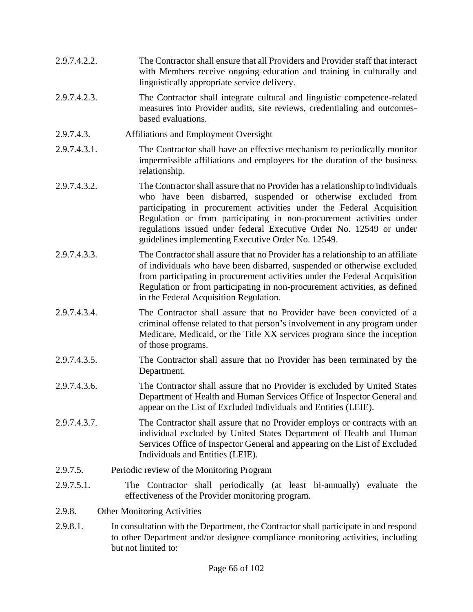- 2.9.7.4.2.2. The Contractor shall ensure that all Providers and Provider staff that interact with Members receive ongoing education and training in culturally and linguistically appropriate service delivery.
- 2.9.7.4.2.3. The Contractor shall integrate cultural and linguistic competence-related measures into Provider audits, site reviews, credentialing and outcomesbased evaluations.
- 2.9.7.4.3. Affiliations and Employment Oversight
- 2.9.7.4.3.1. The Contractor shall have an effective mechanism to periodically monitor impermissible affiliations and employees for the duration of the business relationship.
- 2.9.7.4.3.2. The Contractor shall assure that no Provider has a relationship to individuals who have been disbarred, suspended or otherwise excluded from participating in procurement activities under the Federal Acquisition Regulation or from participating in non-procurement activities under regulations issued under federal Executive Order No. 12549 or under guidelines implementing Executive Order No. 12549.
- 2.9.7.4.3.3. The Contractor shall assure that no Provider has a relationship to an affiliate of individuals who have been disbarred, suspended or otherwise excluded from participating in procurement activities under the Federal Acquisition Regulation or from participating in non-procurement activities, as defined in the Federal Acquisition Regulation.
- 2.9.7.4.3.4. The Contractor shall assure that no Provider have been convicted of a criminal offense related to that person's involvement in any program under Medicare, Medicaid, or the Title XX services program since the inception of those programs.
- 2.9.7.4.3.5. The Contractor shall assure that no Provider has been terminated by the Department.
- 2.9.7.4.3.6. The Contractor shall assure that no Provider is excluded by United States Department of Health and Human Services Office of Inspector General and appear on the List of Excluded Individuals and Entities (LEIE).
- 2.9.7.4.3.7. The Contractor shall assure that no Provider employs or contracts with an individual excluded by United States Department of Health and Human Services Office of Inspector General and appearing on the List of Excluded Individuals and Entities (LEIE).
- 2.9.7.5. Periodic review of the Monitoring Program
- 2.9.7.5.1. The Contractor shall periodically (at least bi-annually) evaluate the effectiveness of the Provider monitoring program.
- 2.9.8. Other Monitoring Activities
- 2.9.8.1. In consultation with the Department, the Contractor shall participate in and respond to other Department and/or designee compliance monitoring activities, including but not limited to: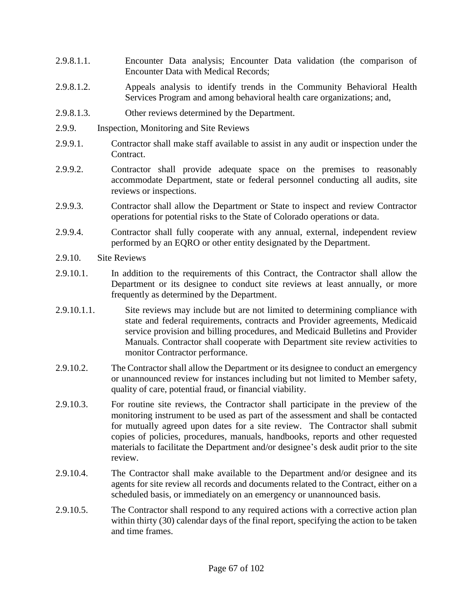- 2.9.8.1.1. Encounter Data analysis; Encounter Data validation (the comparison of Encounter Data with Medical Records;
- 2.9.8.1.2. Appeals analysis to identify trends in the Community Behavioral Health Services Program and among behavioral health care organizations; and,
- 2.9.8.1.3. Other reviews determined by the Department.
- 2.9.9. Inspection, Monitoring and Site Reviews
- 2.9.9.1. Contractor shall make staff available to assist in any audit or inspection under the Contract.
- 2.9.9.2. Contractor shall provide adequate space on the premises to reasonably accommodate Department, state or federal personnel conducting all audits, site reviews or inspections.
- 2.9.9.3. Contractor shall allow the Department or State to inspect and review Contractor operations for potential risks to the State of Colorado operations or data.
- 2.9.9.4. Contractor shall fully cooperate with any annual, external, independent review performed by an EQRO or other entity designated by the Department.
- 2.9.10. Site Reviews
- 2.9.10.1. In addition to the requirements of this Contract, the Contractor shall allow the Department or its designee to conduct site reviews at least annually, or more frequently as determined by the Department.
- 2.9.10.1.1. Site reviews may include but are not limited to determining compliance with state and federal requirements, contracts and Provider agreements, Medicaid service provision and billing procedures, and Medicaid Bulletins and Provider Manuals. Contractor shall cooperate with Department site review activities to monitor Contractor performance.
- 2.9.10.2. The Contractor shall allow the Department or its designee to conduct an emergency or unannounced review for instances including but not limited to Member safety, quality of care, potential fraud, or financial viability.
- 2.9.10.3. For routine site reviews, the Contractor shall participate in the preview of the monitoring instrument to be used as part of the assessment and shall be contacted for mutually agreed upon dates for a site review. The Contractor shall submit copies of policies, procedures, manuals, handbooks, reports and other requested materials to facilitate the Department and/or designee's desk audit prior to the site review.
- 2.9.10.4. The Contractor shall make available to the Department and/or designee and its agents for site review all records and documents related to the Contract, either on a scheduled basis, or immediately on an emergency or unannounced basis.
- 2.9.10.5. The Contractor shall respond to any required actions with a corrective action plan within thirty (30) calendar days of the final report, specifying the action to be taken and time frames.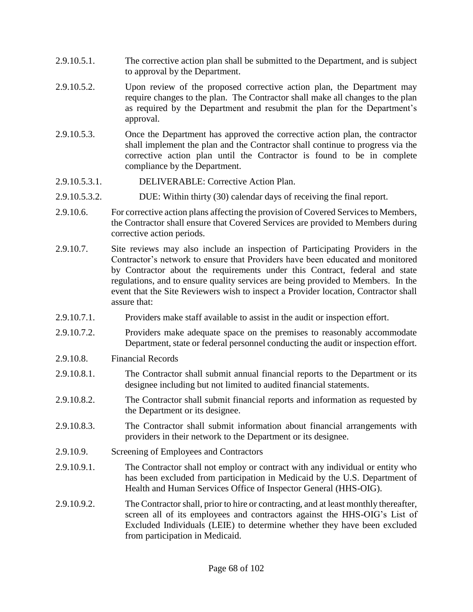- 2.9.10.5.1. The corrective action plan shall be submitted to the Department, and is subject to approval by the Department.
- 2.9.10.5.2. Upon review of the proposed corrective action plan, the Department may require changes to the plan. The Contractor shall make all changes to the plan as required by the Department and resubmit the plan for the Department's approval.
- 2.9.10.5.3. Once the Department has approved the corrective action plan, the contractor shall implement the plan and the Contractor shall continue to progress via the corrective action plan until the Contractor is found to be in complete compliance by the Department.
- 2.9.10.5.3.1. DELIVERABLE: Corrective Action Plan.
- 2.9.10.5.3.2. DUE: Within thirty (30) calendar days of receiving the final report.
- 2.9.10.6. For corrective action plans affecting the provision of Covered Services to Members, the Contractor shall ensure that Covered Services are provided to Members during corrective action periods.
- 2.9.10.7. Site reviews may also include an inspection of Participating Providers in the Contractor's network to ensure that Providers have been educated and monitored by Contractor about the requirements under this Contract, federal and state regulations, and to ensure quality services are being provided to Members. In the event that the Site Reviewers wish to inspect a Provider location, Contractor shall assure that:
- 2.9.10.7.1. Providers make staff available to assist in the audit or inspection effort.
- 2.9.10.7.2. Providers make adequate space on the premises to reasonably accommodate Department, state or federal personnel conducting the audit or inspection effort.
- 2.9.10.8. Financial Records
- 2.9.10.8.1. The Contractor shall submit annual financial reports to the Department or its designee including but not limited to audited financial statements.
- 2.9.10.8.2. The Contractor shall submit financial reports and information as requested by the Department or its designee.
- 2.9.10.8.3. The Contractor shall submit information about financial arrangements with providers in their network to the Department or its designee.
- 2.9.10.9. Screening of Employees and Contractors
- 2.9.10.9.1. The Contractor shall not employ or contract with any individual or entity who has been excluded from participation in Medicaid by the U.S. Department of Health and Human Services Office of Inspector General (HHS-OIG).
- 2.9.10.9.2. The Contractor shall, prior to hire or contracting, and at least monthly thereafter, screen all of its employees and contractors against the HHS-OIG's List of Excluded Individuals (LEIE) to determine whether they have been excluded from participation in Medicaid.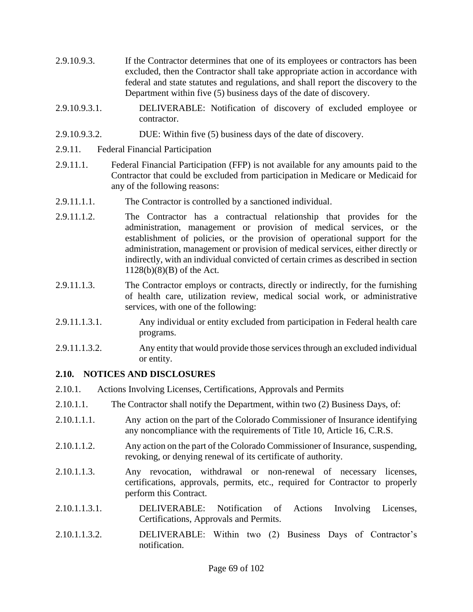- 2.9.10.9.3. If the Contractor determines that one of its employees or contractors has been excluded, then the Contractor shall take appropriate action in accordance with federal and state statutes and regulations, and shall report the discovery to the Department within five (5) business days of the date of discovery.
- 2.9.10.9.3.1. DELIVERABLE: Notification of discovery of excluded employee or contractor.
- 2.9.10.9.3.2. DUE: Within five (5) business days of the date of discovery.
- 2.9.11. Federal Financial Participation
- 2.9.11.1. Federal Financial Participation (FFP) is not available for any amounts paid to the Contractor that could be excluded from participation in Medicare or Medicaid for any of the following reasons:
- 2.9.11.1.1. The Contractor is controlled by a sanctioned individual.
- 2.9.11.1.2. The Contractor has a contractual relationship that provides for the administration, management or provision of medical services, or the establishment of policies, or the provision of operational support for the administration, management or provision of medical services, either directly or indirectly, with an individual convicted of certain crimes as described in section 1128(b)(8)(B) of the Act.
- 2.9.11.1.3. The Contractor employs or contracts, directly or indirectly, for the furnishing of health care, utilization review, medical social work, or administrative services, with one of the following:
- 2.9.11.1.3.1. Any individual or entity excluded from participation in Federal health care programs.
- 2.9.11.1.3.2. Any entity that would provide those services through an excluded individual or entity.

#### **2.10. NOTICES AND DISCLOSURES**

- 2.10.1. Actions Involving Licenses, Certifications, Approvals and Permits
- 2.10.1.1. The Contractor shall notify the Department, within two (2) Business Days, of:
- 2.10.1.1.1. Any action on the part of the Colorado Commissioner of Insurance identifying any noncompliance with the requirements of Title 10, Article 16, C.R.S.
- 2.10.1.1.2. Any action on the part of the Colorado Commissioner of Insurance, suspending, revoking, or denying renewal of its certificate of authority.
- 2.10.1.1.3. Any revocation, withdrawal or non-renewal of necessary licenses, certifications, approvals, permits, etc., required for Contractor to properly perform this Contract.
- 2.10.1.1.3.1. DELIVERABLE: Notification of Actions Involving Licenses, Certifications, Approvals and Permits.
- 2.10.1.1.3.2. DELIVERABLE: Within two (2) Business Days of Contractor's notification.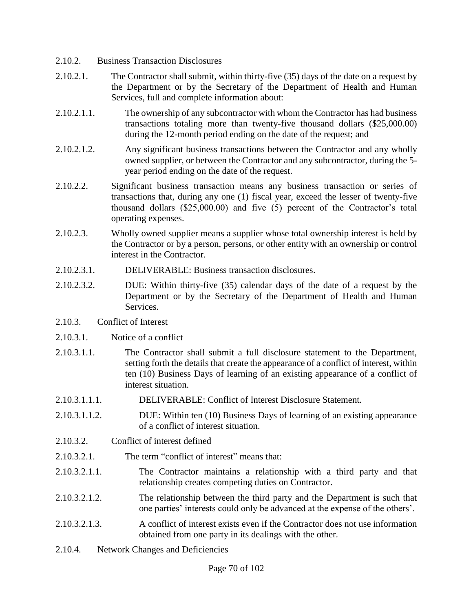- 2.10.2. Business Transaction Disclosures
- 2.10.2.1. The Contractor shall submit, within thirty-five (35) days of the date on a request by the Department or by the Secretary of the Department of Health and Human Services, full and complete information about:
- 2.10.2.1.1. The ownership of any subcontractor with whom the Contractor has had business transactions totaling more than twenty-five thousand dollars (\$25,000.00) during the 12-month period ending on the date of the request; and
- 2.10.2.1.2. Any significant business transactions between the Contractor and any wholly owned supplier, or between the Contractor and any subcontractor, during the 5 year period ending on the date of the request.
- 2.10.2.2. Significant business transaction means any business transaction or series of transactions that, during any one (1) fiscal year, exceed the lesser of twenty-five thousand dollars (\$25,000.00) and five (5) percent of the Contractor's total operating expenses.
- 2.10.2.3. Wholly owned supplier means a supplier whose total ownership interest is held by the Contractor or by a person, persons, or other entity with an ownership or control interest in the Contractor.
- 2.10.2.3.1. DELIVERABLE: Business transaction disclosures.
- 2.10.2.3.2. DUE: Within thirty-five (35) calendar days of the date of a request by the Department or by the Secretary of the Department of Health and Human Services.
- 2.10.3. Conflict of Interest
- 2.10.3.1. Notice of a conflict
- 2.10.3.1.1. The Contractor shall submit a full disclosure statement to the Department, setting forth the details that create the appearance of a conflict of interest, within ten (10) Business Days of learning of an existing appearance of a conflict of interest situation.
- 2.10.3.1.1.1. DELIVERABLE: Conflict of Interest Disclosure Statement.
- 2.10.3.1.1.2. DUE: Within ten (10) Business Days of learning of an existing appearance of a conflict of interest situation.
- 2.10.3.2. Conflict of interest defined
- 2.10.3.2.1. The term "conflict of interest" means that:
- 2.10.3.2.1.1. The Contractor maintains a relationship with a third party and that relationship creates competing duties on Contractor.
- 2.10.3.2.1.2. The relationship between the third party and the Department is such that one parties' interests could only be advanced at the expense of the others'.

#### 2.10.3.2.1.3. A conflict of interest exists even if the Contractor does not use information obtained from one party in its dealings with the other.

2.10.4. Network Changes and Deficiencies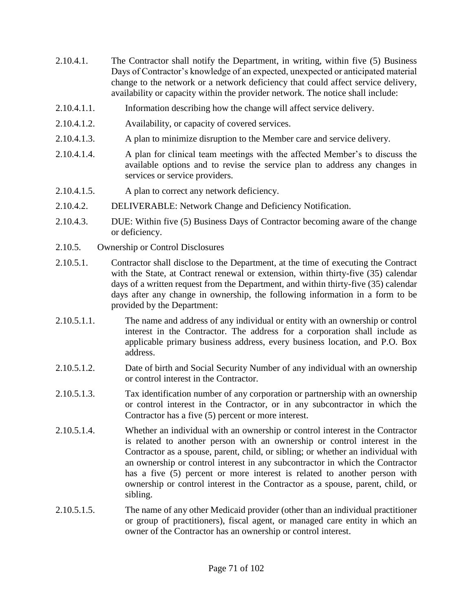- 2.10.4.1. The Contractor shall notify the Department, in writing, within five (5) Business Days of Contractor's knowledge of an expected, unexpected or anticipated material change to the network or a network deficiency that could affect service delivery, availability or capacity within the provider network. The notice shall include:
- 2.10.4.1.1. Information describing how the change will affect service delivery.
- 2.10.4.1.2. Availability, or capacity of covered services.
- 2.10.4.1.3. A plan to minimize disruption to the Member care and service delivery.
- 2.10.4.1.4. A plan for clinical team meetings with the affected Member's to discuss the available options and to revise the service plan to address any changes in services or service providers.
- 2.10.4.1.5. A plan to correct any network deficiency.
- 2.10.4.2. DELIVERABLE: Network Change and Deficiency Notification.
- 2.10.4.3. DUE: Within five (5) Business Days of Contractor becoming aware of the change or deficiency.
- 2.10.5. Ownership or Control Disclosures
- 2.10.5.1. Contractor shall disclose to the Department, at the time of executing the Contract with the State, at Contract renewal or extension, within thirty-five (35) calendar days of a written request from the Department, and within thirty-five (35) calendar days after any change in ownership, the following information in a form to be provided by the Department:
- 2.10.5.1.1. The name and address of any individual or entity with an ownership or control interest in the Contractor. The address for a corporation shall include as applicable primary business address, every business location, and P.O. Box address.
- 2.10.5.1.2. Date of birth and Social Security Number of any individual with an ownership or control interest in the Contractor.
- 2.10.5.1.3. Tax identification number of any corporation or partnership with an ownership or control interest in the Contractor, or in any subcontractor in which the Contractor has a five (5) percent or more interest.
- 2.10.5.1.4. Whether an individual with an ownership or control interest in the Contractor is related to another person with an ownership or control interest in the Contractor as a spouse, parent, child, or sibling; or whether an individual with an ownership or control interest in any subcontractor in which the Contractor has a five (5) percent or more interest is related to another person with ownership or control interest in the Contractor as a spouse, parent, child, or sibling.
- 2.10.5.1.5. The name of any other Medicaid provider (other than an individual practitioner or group of practitioners), fiscal agent, or managed care entity in which an owner of the Contractor has an ownership or control interest.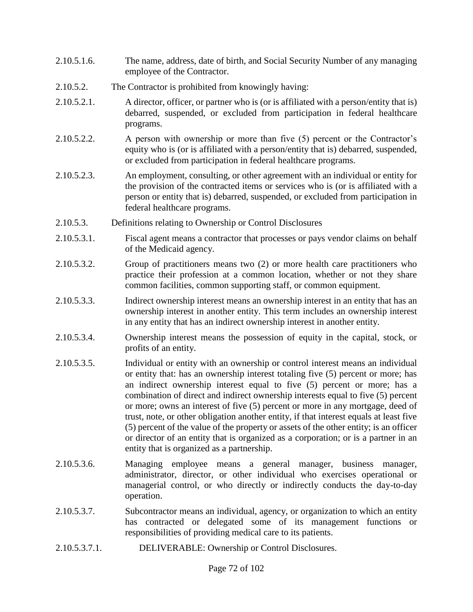- 2.10.5.1.6. The name, address, date of birth, and Social Security Number of any managing employee of the Contractor.
- 2.10.5.2. The Contractor is prohibited from knowingly having:
- 2.10.5.2.1. A director, officer, or partner who is (or is affiliated with a person/entity that is) debarred, suspended, or excluded from participation in federal healthcare programs.
- 2.10.5.2.2. A person with ownership or more than five (5) percent or the Contractor's equity who is (or is affiliated with a person/entity that is) debarred, suspended, or excluded from participation in federal healthcare programs.
- 2.10.5.2.3. An employment, consulting, or other agreement with an individual or entity for the provision of the contracted items or services who is (or is affiliated with a person or entity that is) debarred, suspended, or excluded from participation in federal healthcare programs.
- 2.10.5.3. Definitions relating to Ownership or Control Disclosures
- 2.10.5.3.1. Fiscal agent means a contractor that processes or pays vendor claims on behalf of the Medicaid agency.
- 2.10.5.3.2. Group of practitioners means two (2) or more health care practitioners who practice their profession at a common location, whether or not they share common facilities, common supporting staff, or common equipment.
- 2.10.5.3.3. Indirect ownership interest means an ownership interest in an entity that has an ownership interest in another entity. This term includes an ownership interest in any entity that has an indirect ownership interest in another entity.
- 2.10.5.3.4. Ownership interest means the possession of equity in the capital, stock, or profits of an entity.
- 2.10.5.3.5. Individual or entity with an ownership or control interest means an individual or entity that: has an ownership interest totaling five (5) percent or more; has an indirect ownership interest equal to five (5) percent or more; has a combination of direct and indirect ownership interests equal to five (5) percent or more; owns an interest of five (5) percent or more in any mortgage, deed of trust, note, or other obligation another entity, if that interest equals at least five (5) percent of the value of the property or assets of the other entity; is an officer or director of an entity that is organized as a corporation; or is a partner in an entity that is organized as a partnership.
- 2.10.5.3.6. Managing employee means a general manager, business manager, administrator, director, or other individual who exercises operational or managerial control, or who directly or indirectly conducts the day-to-day operation.
- 2.10.5.3.7. Subcontractor means an individual, agency, or organization to which an entity has contracted or delegated some of its management functions or responsibilities of providing medical care to its patients.
- 2.10.5.3.7.1. DELIVERABLE: Ownership or Control Disclosures.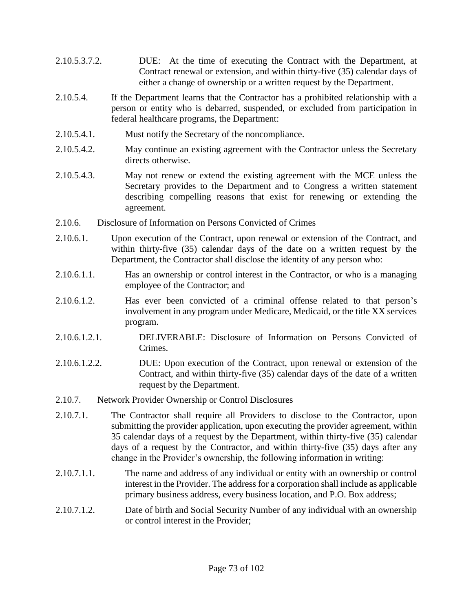- 2.10.5.3.7.2. DUE: At the time of executing the Contract with the Department, at Contract renewal or extension, and within thirty-five (35) calendar days of either a change of ownership or a written request by the Department.
- 2.10.5.4. If the Department learns that the Contractor has a prohibited relationship with a person or entity who is debarred, suspended, or excluded from participation in federal healthcare programs, the Department:
- 2.10.5.4.1. Must notify the Secretary of the noncompliance.
- 2.10.5.4.2. May continue an existing agreement with the Contractor unless the Secretary directs otherwise.
- 2.10.5.4.3. May not renew or extend the existing agreement with the MCE unless the Secretary provides to the Department and to Congress a written statement describing compelling reasons that exist for renewing or extending the agreement.
- 2.10.6. Disclosure of Information on Persons Convicted of Crimes
- 2.10.6.1. Upon execution of the Contract, upon renewal or extension of the Contract, and within thirty-five (35) calendar days of the date on a written request by the Department, the Contractor shall disclose the identity of any person who:
- 2.10.6.1.1. Has an ownership or control interest in the Contractor, or who is a managing employee of the Contractor; and
- 2.10.6.1.2. Has ever been convicted of a criminal offense related to that person's involvement in any program under Medicare, Medicaid, or the title XX services program.
- 2.10.6.1.2.1. DELIVERABLE: Disclosure of Information on Persons Convicted of Crimes.
- 2.10.6.1.2.2. DUE: Upon execution of the Contract, upon renewal or extension of the Contract, and within thirty-five (35) calendar days of the date of a written request by the Department.
- 2.10.7. Network Provider Ownership or Control Disclosures
- 2.10.7.1. The Contractor shall require all Providers to disclose to the Contractor, upon submitting the provider application, upon executing the provider agreement, within 35 calendar days of a request by the Department, within thirty-five (35) calendar days of a request by the Contractor, and within thirty-five (35) days after any change in the Provider's ownership, the following information in writing:
- 2.10.7.1.1. The name and address of any individual or entity with an ownership or control interest in the Provider. The address for a corporation shall include as applicable primary business address, every business location, and P.O. Box address;
- 2.10.7.1.2. Date of birth and Social Security Number of any individual with an ownership or control interest in the Provider;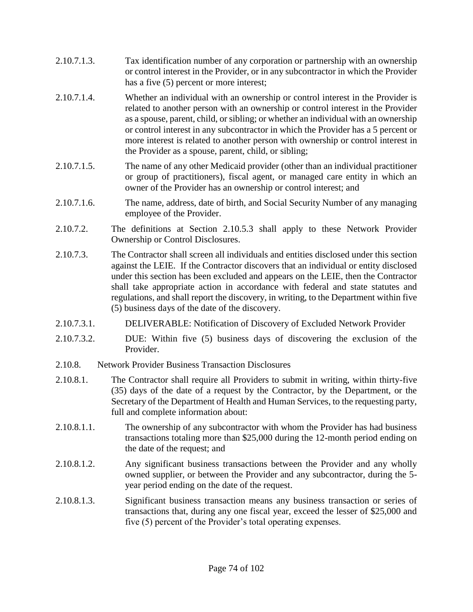- 2.10.7.1.3. Tax identification number of any corporation or partnership with an ownership or control interest in the Provider, or in any subcontractor in which the Provider has a five (5) percent or more interest;
- 2.10.7.1.4. Whether an individual with an ownership or control interest in the Provider is related to another person with an ownership or control interest in the Provider as a spouse, parent, child, or sibling; or whether an individual with an ownership or control interest in any subcontractor in which the Provider has a 5 percent or more interest is related to another person with ownership or control interest in the Provider as a spouse, parent, child, or sibling;
- 2.10.7.1.5. The name of any other Medicaid provider (other than an individual practitioner or group of practitioners), fiscal agent, or managed care entity in which an owner of the Provider has an ownership or control interest; and
- 2.10.7.1.6. The name, address, date of birth, and Social Security Number of any managing employee of the Provider.
- 2.10.7.2. The definitions at Section 2.10.5.3 shall apply to these Network Provider Ownership or Control Disclosures.
- 2.10.7.3. The Contractor shall screen all individuals and entities disclosed under this section against the LEIE. If the Contractor discovers that an individual or entity disclosed under this section has been excluded and appears on the LEIE, then the Contractor shall take appropriate action in accordance with federal and state statutes and regulations, and shall report the discovery, in writing, to the Department within five (5) business days of the date of the discovery.
- 2.10.7.3.1. DELIVERABLE: Notification of Discovery of Excluded Network Provider
- 2.10.7.3.2. DUE: Within five (5) business days of discovering the exclusion of the Provider.
- 2.10.8. Network Provider Business Transaction Disclosures
- 2.10.8.1. The Contractor shall require all Providers to submit in writing, within thirty-five (35) days of the date of a request by the Contractor, by the Department, or the Secretary of the Department of Health and Human Services, to the requesting party, full and complete information about:
- 2.10.8.1.1. The ownership of any subcontractor with whom the Provider has had business transactions totaling more than \$25,000 during the 12-month period ending on the date of the request; and
- 2.10.8.1.2. Any significant business transactions between the Provider and any wholly owned supplier, or between the Provider and any subcontractor, during the 5 year period ending on the date of the request.
- 2.10.8.1.3. Significant business transaction means any business transaction or series of transactions that, during any one fiscal year, exceed the lesser of \$25,000 and five (5) percent of the Provider's total operating expenses.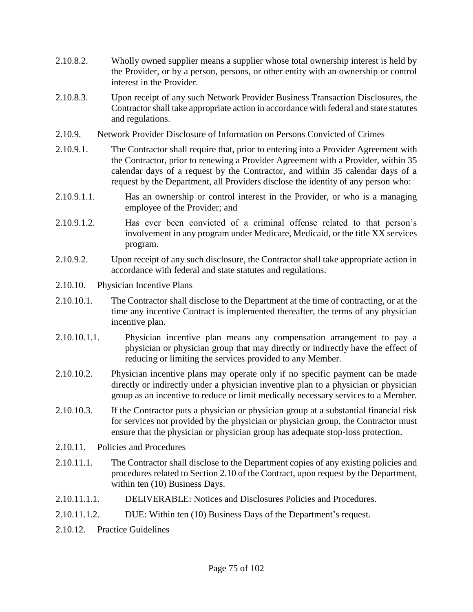- 2.10.8.2. Wholly owned supplier means a supplier whose total ownership interest is held by the Provider, or by a person, persons, or other entity with an ownership or control interest in the Provider.
- 2.10.8.3. Upon receipt of any such Network Provider Business Transaction Disclosures, the Contractor shall take appropriate action in accordance with federal and state statutes and regulations.
- 2.10.9. Network Provider Disclosure of Information on Persons Convicted of Crimes
- 2.10.9.1. The Contractor shall require that, prior to entering into a Provider Agreement with the Contractor, prior to renewing a Provider Agreement with a Provider, within 35 calendar days of a request by the Contractor, and within 35 calendar days of a request by the Department, all Providers disclose the identity of any person who:
- 2.10.9.1.1. Has an ownership or control interest in the Provider, or who is a managing employee of the Provider; and
- 2.10.9.1.2. Has ever been convicted of a criminal offense related to that person's involvement in any program under Medicare, Medicaid, or the title XX services program.
- 2.10.9.2. Upon receipt of any such disclosure, the Contractor shall take appropriate action in accordance with federal and state statutes and regulations.
- 2.10.10. Physician Incentive Plans
- 2.10.10.1. The Contractor shall disclose to the Department at the time of contracting, or at the time any incentive Contract is implemented thereafter, the terms of any physician incentive plan.
- 2.10.10.1.1. Physician incentive plan means any compensation arrangement to pay a physician or physician group that may directly or indirectly have the effect of reducing or limiting the services provided to any Member.
- 2.10.10.2. Physician incentive plans may operate only if no specific payment can be made directly or indirectly under a physician inventive plan to a physician or physician group as an incentive to reduce or limit medically necessary services to a Member.
- 2.10.10.3. If the Contractor puts a physician or physician group at a substantial financial risk for services not provided by the physician or physician group, the Contractor must ensure that the physician or physician group has adequate stop-loss protection.
- 2.10.11. Policies and Procedures
- 2.10.11.1. The Contractor shall disclose to the Department copies of any existing policies and procedures related to Section 2.10 of the Contract, upon request by the Department, within ten (10) Business Days.
- 2.10.11.1.1. DELIVERABLE: Notices and Disclosures Policies and Procedures.
- 2.10.11.1.2. DUE: Within ten (10) Business Days of the Department's request.
- 2.10.12. Practice Guidelines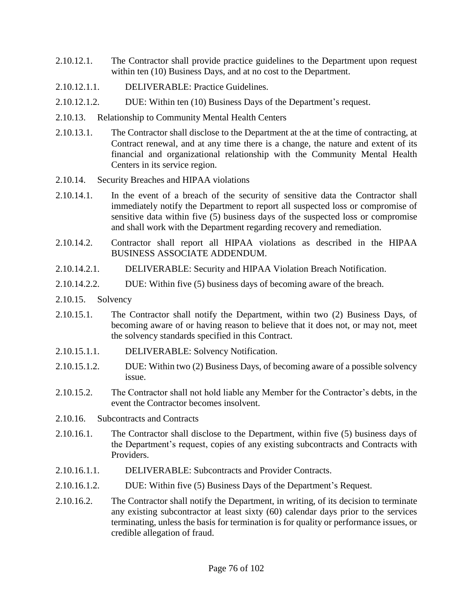- 2.10.12.1. The Contractor shall provide practice guidelines to the Department upon request within ten (10) Business Days, and at no cost to the Department.
- 2.10.12.1.1. DELIVERABLE: Practice Guidelines.
- 2.10.12.1.2. DUE: Within ten (10) Business Days of the Department's request.
- 2.10.13. Relationship to Community Mental Health Centers
- 2.10.13.1. The Contractor shall disclose to the Department at the at the time of contracting, at Contract renewal, and at any time there is a change, the nature and extent of its financial and organizational relationship with the Community Mental Health Centers in its service region.
- 2.10.14. Security Breaches and HIPAA violations
- 2.10.14.1. In the event of a breach of the security of sensitive data the Contractor shall immediately notify the Department to report all suspected loss or compromise of sensitive data within five (5) business days of the suspected loss or compromise and shall work with the Department regarding recovery and remediation.
- 2.10.14.2. Contractor shall report all HIPAA violations as described in the HIPAA BUSINESS ASSOCIATE ADDENDUM.
- 2.10.14.2.1. DELIVERABLE: Security and HIPAA Violation Breach Notification.
- 2.10.14.2.2. DUE: Within five (5) business days of becoming aware of the breach.
- 2.10.15. Solvency
- 2.10.15.1. The Contractor shall notify the Department, within two (2) Business Days, of becoming aware of or having reason to believe that it does not, or may not, meet the solvency standards specified in this Contract.
- 2.10.15.1.1. DELIVERABLE: Solvency Notification.
- 2.10.15.1.2. DUE: Within two (2) Business Days, of becoming aware of a possible solvency issue.
- 2.10.15.2. The Contractor shall not hold liable any Member for the Contractor's debts, in the event the Contractor becomes insolvent.
- 2.10.16. Subcontracts and Contracts
- 2.10.16.1. The Contractor shall disclose to the Department, within five (5) business days of the Department's request, copies of any existing subcontracts and Contracts with Providers.
- 2.10.16.1.1. DELIVERABLE: Subcontracts and Provider Contracts.
- 2.10.16.1.2. DUE: Within five (5) Business Days of the Department's Request.
- 2.10.16.2. The Contractor shall notify the Department, in writing, of its decision to terminate any existing subcontractor at least sixty (60) calendar days prior to the services terminating, unless the basis for termination is for quality or performance issues, or credible allegation of fraud.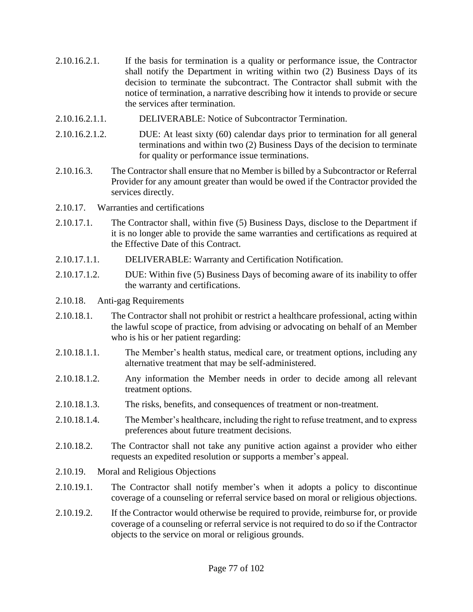- 2.10.16.2.1. If the basis for termination is a quality or performance issue, the Contractor shall notify the Department in writing within two (2) Business Days of its decision to terminate the subcontract. The Contractor shall submit with the notice of termination, a narrative describing how it intends to provide or secure the services after termination.
- 2.10.16.2.1.1. DELIVERABLE: Notice of Subcontractor Termination.
- 2.10.16.2.1.2. DUE: At least sixty (60) calendar days prior to termination for all general terminations and within two (2) Business Days of the decision to terminate for quality or performance issue terminations.
- 2.10.16.3. The Contractor shall ensure that no Member is billed by a Subcontractor or Referral Provider for any amount greater than would be owed if the Contractor provided the services directly.
- 2.10.17. Warranties and certifications
- 2.10.17.1. The Contractor shall, within five (5) Business Days, disclose to the Department if it is no longer able to provide the same warranties and certifications as required at the Effective Date of this Contract.
- 2.10.17.1.1. DELIVERABLE: Warranty and Certification Notification.
- 2.10.17.1.2. DUE: Within five (5) Business Days of becoming aware of its inability to offer the warranty and certifications.
- 2.10.18. Anti-gag Requirements
- 2.10.18.1. The Contractor shall not prohibit or restrict a healthcare professional, acting within the lawful scope of practice, from advising or advocating on behalf of an Member who is his or her patient regarding:
- 2.10.18.1.1. The Member's health status, medical care, or treatment options, including any alternative treatment that may be self-administered.
- 2.10.18.1.2. Any information the Member needs in order to decide among all relevant treatment options.
- 2.10.18.1.3. The risks, benefits, and consequences of treatment or non-treatment.
- 2.10.18.1.4. The Member's healthcare, including the right to refuse treatment, and to express preferences about future treatment decisions.
- 2.10.18.2. The Contractor shall not take any punitive action against a provider who either requests an expedited resolution or supports a member's appeal.
- 2.10.19. Moral and Religious Objections
- 2.10.19.1. The Contractor shall notify member's when it adopts a policy to discontinue coverage of a counseling or referral service based on moral or religious objections.
- 2.10.19.2. If the Contractor would otherwise be required to provide, reimburse for, or provide coverage of a counseling or referral service is not required to do so if the Contractor objects to the service on moral or religious grounds.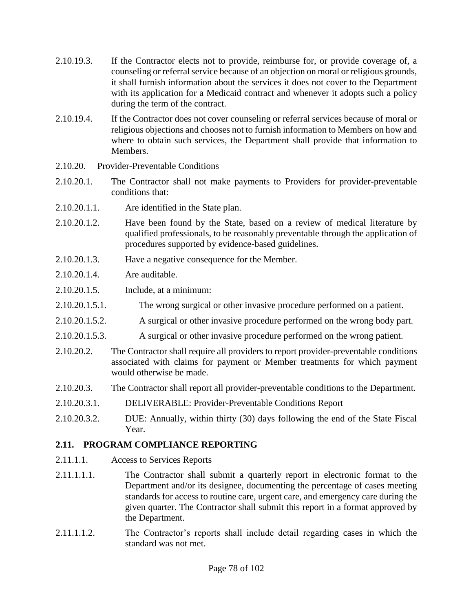- 2.10.19.3. If the Contractor elects not to provide, reimburse for, or provide coverage of, a counseling or referral service because of an objection on moral or religious grounds, it shall furnish information about the services it does not cover to the Department with its application for a Medicaid contract and whenever it adopts such a policy during the term of the contract.
- 2.10.19.4. If the Contractor does not cover counseling or referral services because of moral or religious objections and chooses not to furnish information to Members on how and where to obtain such services, the Department shall provide that information to Members.
- 2.10.20. Provider-Preventable Conditions
- 2.10.20.1. The Contractor shall not make payments to Providers for provider-preventable conditions that:
- 2.10.20.1.1. Are identified in the State plan.
- 2.10.20.1.2. Have been found by the State, based on a review of medical literature by qualified professionals, to be reasonably preventable through the application of procedures supported by evidence-based guidelines.
- 2.10.20.1.3. Have a negative consequence for the Member.
- 2.10.20.1.4. Are auditable.
- 2.10.20.1.5. Include, at a minimum:
- 2.10.20.1.5.1. The wrong surgical or other invasive procedure performed on a patient.
- 2.10.20.1.5.2. A surgical or other invasive procedure performed on the wrong body part.
- 2.10.20.1.5.3. A surgical or other invasive procedure performed on the wrong patient.
- 2.10.20.2. The Contractor shall require all providers to report provider-preventable conditions associated with claims for payment or Member treatments for which payment would otherwise be made.
- 2.10.20.3. The Contractor shall report all provider-preventable conditions to the Department.
- 2.10.20.3.1. DELIVERABLE: Provider-Preventable Conditions Report
- 2.10.20.3.2. DUE: Annually, within thirty (30) days following the end of the State Fiscal Year.

## **2.11. PROGRAM COMPLIANCE REPORTING**

- 2.11.1.1. Access to Services Reports
- 2.11.1.1.1. The Contractor shall submit a quarterly report in electronic format to the Department and/or its designee, documenting the percentage of cases meeting standards for access to routine care, urgent care, and emergency care during the given quarter. The Contractor shall submit this report in a format approved by the Department.
- 2.11.1.1.2. The Contractor's reports shall include detail regarding cases in which the standard was not met.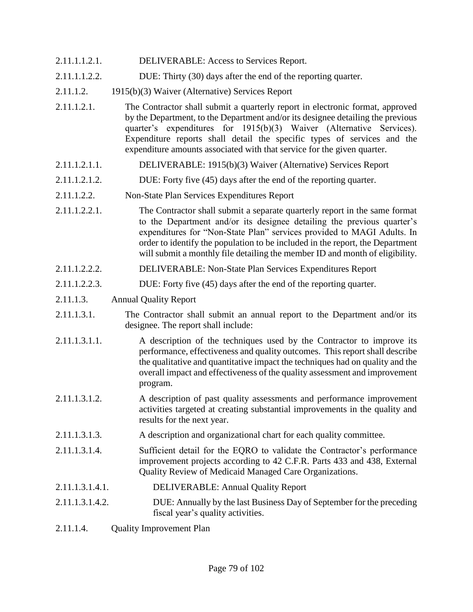- 2.11.1.1.2.1. DELIVERABLE: Access to Services Report.
- 2.11.1.1.2.2. DUE: Thirty (30) days after the end of the reporting quarter.
- 2.11.1.2. 1915(b)(3) Waiver (Alternative) Services Report
- 2.11.1.2.1. The Contractor shall submit a quarterly report in electronic format, approved by the Department, to the Department and/or its designee detailing the previous quarter's expenditures for 1915(b)(3) Waiver (Alternative Services). Expenditure reports shall detail the specific types of services and the expenditure amounts associated with that service for the given quarter.
- 2.11.1.2.1.1. DELIVERABLE: 1915(b)(3) Waiver (Alternative) Services Report
- 2.11.1.2.1.2. DUE: Forty five (45) days after the end of the reporting quarter.
- 2.11.1.2.2. Non-State Plan Services Expenditures Report
- 2.11.1.2.2.1. The Contractor shall submit a separate quarterly report in the same format to the Department and/or its designee detailing the previous quarter's expenditures for "Non-State Plan" services provided to MAGI Adults. In order to identify the population to be included in the report, the Department will submit a monthly file detailing the member ID and month of eligibility.
- 2.11.1.2.2.2. DELIVERABLE: Non-State Plan Services Expenditures Report
- 2.11.1.2.2.3. DUE: Forty five (45) days after the end of the reporting quarter.
- 2.11.1.3. Annual Quality Report
- 2.11.1.3.1. The Contractor shall submit an annual report to the Department and/or its designee. The report shall include:
- 2.11.1.3.1.1. A description of the techniques used by the Contractor to improve its performance, effectiveness and quality outcomes. This report shall describe the qualitative and quantitative impact the techniques had on quality and the overall impact and effectiveness of the quality assessment and improvement program.
- 2.11.1.3.1.2. A description of past quality assessments and performance improvement activities targeted at creating substantial improvements in the quality and results for the next year.
- 2.11.1.3.1.3. A description and organizational chart for each quality committee.
- 2.11.1.3.1.4. Sufficient detail for the EQRO to validate the Contractor's performance improvement projects according to 42 C.F.R. Parts 433 and 438, External Quality Review of Medicaid Managed Care Organizations.
- 2.11.1.3.1.4.1. DELIVERABLE: Annual Quality Report
- 2.11.1.3.1.4.2. DUE: Annually by the last Business Day of September for the preceding fiscal year's quality activities.
- 2.11.1.4. Quality Improvement Plan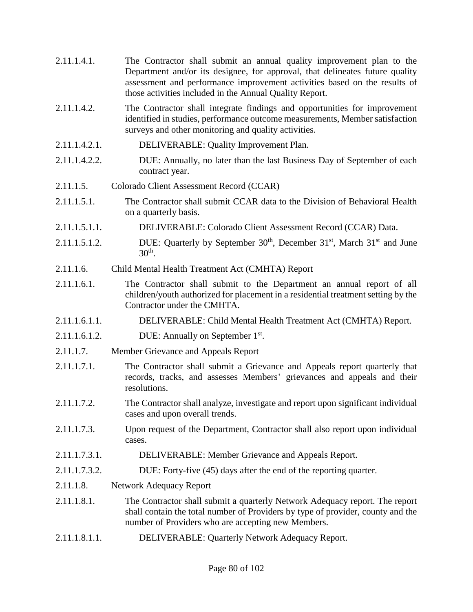- 2.11.1.4.1. The Contractor shall submit an annual quality improvement plan to the Department and/or its designee, for approval, that delineates future quality assessment and performance improvement activities based on the results of those activities included in the Annual Quality Report.
- 2.11.1.4.2. The Contractor shall integrate findings and opportunities for improvement identified in studies, performance outcome measurements, Member satisfaction surveys and other monitoring and quality activities.
- 2.11.1.4.2.1. DELIVERABLE: Quality Improvement Plan.
- 2.11.1.4.2.2. DUE: Annually, no later than the last Business Day of September of each contract year.
- 2.11.1.5. Colorado Client Assessment Record (CCAR)
- 2.11.1.5.1. The Contractor shall submit CCAR data to the Division of Behavioral Health on a quarterly basis.
- 2.11.1.5.1.1. DELIVERABLE: Colorado Client Assessment Record (CCAR) Data.
- 2.11.1.5.1.2. DUE: Quarterly by September  $30<sup>th</sup>$ , December  $31<sup>st</sup>$ , March  $31<sup>st</sup>$  and June  $30<sup>th</sup>$ .
- 2.11.1.6. Child Mental Health Treatment Act (CMHTA) Report
- 2.11.1.6.1. The Contractor shall submit to the Department an annual report of all children/youth authorized for placement in a residential treatment setting by the Contractor under the CMHTA.
- 2.11.1.6.1.1. DELIVERABLE: Child Mental Health Treatment Act (CMHTA) Report.
- 2.11.1.6.1.2. DUE: Annually on September  $1^{st}$ .
- 2.11.1.7. Member Grievance and Appeals Report
- 2.11.1.7.1. The Contractor shall submit a Grievance and Appeals report quarterly that records, tracks, and assesses Members' grievances and appeals and their resolutions.
- 2.11.1.7.2. The Contractor shall analyze, investigate and report upon significant individual cases and upon overall trends.
- 2.11.1.7.3. Upon request of the Department, Contractor shall also report upon individual cases.
- 2.11.1.7.3.1. DELIVERABLE: Member Grievance and Appeals Report.
- 2.11.1.7.3.2. DUE: Forty-five (45) days after the end of the reporting quarter.
- 2.11.1.8. Network Adequacy Report
- 2.11.1.8.1. The Contractor shall submit a quarterly Network Adequacy report. The report shall contain the total number of Providers by type of provider, county and the number of Providers who are accepting new Members.
- 2.11.1.8.1.1. DELIVERABLE: Quarterly Network Adequacy Report.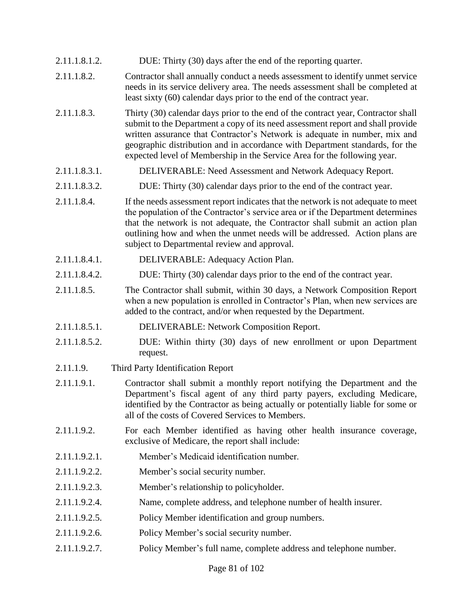- 2.11.1.8.1.2. DUE: Thirty (30) days after the end of the reporting quarter.
- 2.11.1.8.2. Contractor shall annually conduct a needs assessment to identify unmet service needs in its service delivery area. The needs assessment shall be completed at least sixty (60) calendar days prior to the end of the contract year.
- 2.11.1.8.3. Thirty (30) calendar days prior to the end of the contract year, Contractor shall submit to the Department a copy of its need assessment report and shall provide written assurance that Contractor's Network is adequate in number, mix and geographic distribution and in accordance with Department standards, for the expected level of Membership in the Service Area for the following year.
- 2.11.1.8.3.1. DELIVERABLE: Need Assessment and Network Adequacy Report.
- 2.11.1.8.3.2. DUE: Thirty (30) calendar days prior to the end of the contract year.
- 2.11.1.8.4. If the needs assessment report indicates that the network is not adequate to meet the population of the Contractor's service area or if the Department determines that the network is not adequate, the Contractor shall submit an action plan outlining how and when the unmet needs will be addressed. Action plans are subject to Departmental review and approval.
- 2.11.1.8.4.1. DELIVERABLE: Adequacy Action Plan.
- 2.11.1.8.4.2. DUE: Thirty (30) calendar days prior to the end of the contract year.
- 2.11.1.8.5. The Contractor shall submit, within 30 days, a Network Composition Report when a new population is enrolled in Contractor's Plan, when new services are added to the contract, and/or when requested by the Department.
- 2.11.1.8.5.1. DELIVERABLE: Network Composition Report.
- 2.11.1.8.5.2. DUE: Within thirty (30) days of new enrollment or upon Department request.
- 2.11.1.9. Third Party Identification Report
- 2.11.1.9.1. Contractor shall submit a monthly report notifying the Department and the Department's fiscal agent of any third party payers, excluding Medicare, identified by the Contractor as being actually or potentially liable for some or all of the costs of Covered Services to Members.
- 2.11.1.9.2. For each Member identified as having other health insurance coverage, exclusive of Medicare, the report shall include:
- 2.11.1.9.2.1. Member's Medicaid identification number.
- 2.11.1.9.2.2. Member's social security number.
- 2.11.1.9.2.3. Member's relationship to policyholder.
- 2.11.1.9.2.4. Name, complete address, and telephone number of health insurer.
- 2.11.1.9.2.5. Policy Member identification and group numbers.
- 2.11.1.9.2.6. Policy Member's social security number.
- 2.11.1.9.2.7. Policy Member's full name, complete address and telephone number.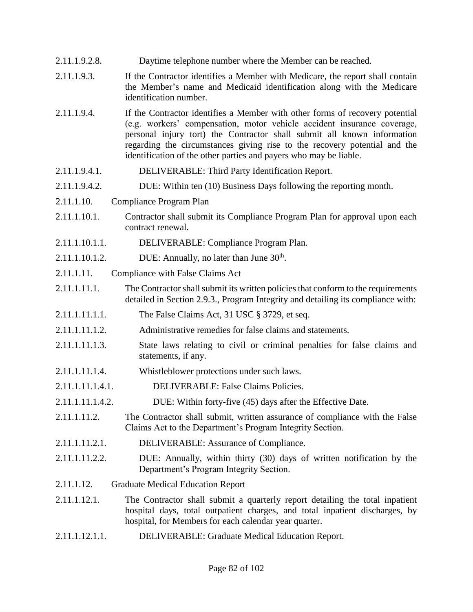- 2.11.1.9.2.8. Daytime telephone number where the Member can be reached.
- 2.11.1.9.3. If the Contractor identifies a Member with Medicare, the report shall contain the Member's name and Medicaid identification along with the Medicare identification number.
- 2.11.1.9.4. If the Contractor identifies a Member with other forms of recovery potential (e.g. workers' compensation, motor vehicle accident insurance coverage, personal injury tort) the Contractor shall submit all known information regarding the circumstances giving rise to the recovery potential and the identification of the other parties and payers who may be liable.
- 2.11.1.9.4.1. DELIVERABLE: Third Party Identification Report.
- 2.11.1.9.4.2. DUE: Within ten (10) Business Days following the reporting month.
- 2.11.1.10. Compliance Program Plan
- 2.11.1.10.1. Contractor shall submit its Compliance Program Plan for approval upon each contract renewal.
- 2.11.1.10.1.1. DELIVERABLE: Compliance Program Plan.
- 2.11.1.10.1.2. DUE: Annually, no later than June  $30<sup>th</sup>$ .
- 2.11.1.11. Compliance with False Claims Act
- 2.11.1.11.1. The Contractor shall submit its written policies that conform to the requirements detailed in Section 2.9.3., Program Integrity and detailing its compliance with:
- 2.11.1.11.1.1. The False Claims Act, 31 USC § 3729, et seq.
- 2.11.1.11.1.2. Administrative remedies for false claims and statements.
- 2.11.1.11.1.3. State laws relating to civil or criminal penalties for false claims and statements, if any.
- 2.11.1.11.1.4. Whistleblower protections under such laws.
- 2.11.1.11.1.4.1. DELIVERABLE: False Claims Policies.
- 2.11.1.11.1.4.2. DUE: Within forty-five (45) days after the Effective Date.
- 2.11.1.11.2. The Contractor shall submit, written assurance of compliance with the False Claims Act to the Department's Program Integrity Section.
- 2.11.1.11.2.1. DELIVERABLE: Assurance of Compliance.
- 2.11.1.11.2.2. DUE: Annually, within thirty (30) days of written notification by the Department's Program Integrity Section.
- 2.11.1.12. Graduate Medical Education Report
- 2.11.1.12.1. The Contractor shall submit a quarterly report detailing the total inpatient hospital days, total outpatient charges, and total inpatient discharges, by hospital, for Members for each calendar year quarter.
- 2.11.1.12.1.1. DELIVERABLE: Graduate Medical Education Report.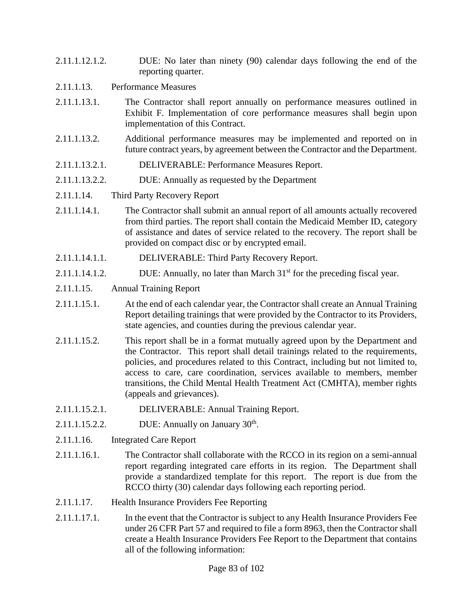- 2.11.1.12.1.2. DUE: No later than ninety (90) calendar days following the end of the reporting quarter.
- 2.11.1.13. Performance Measures
- 2.11.1.13.1. The Contractor shall report annually on performance measures outlined in Exhibit F. Implementation of core performance measures shall begin upon implementation of this Contract.
- 2.11.1.13.2. Additional performance measures may be implemented and reported on in future contract years, by agreement between the Contractor and the Department.
- 2.11.1.13.2.1. DELIVERABLE: Performance Measures Report.
- 2.11.1.13.2.2. DUE: Annually as requested by the Department
- 2.11.1.14. Third Party Recovery Report
- 2.11.1.14.1. The Contractor shall submit an annual report of all amounts actually recovered from third parties. The report shall contain the Medicaid Member ID, category of assistance and dates of service related to the recovery. The report shall be provided on compact disc or by encrypted email.
- 2.11.1.14.1.1. DELIVERABLE: Third Party Recovery Report.
- 2.11.1.14.1.2. DUE: Annually, no later than March  $31<sup>st</sup>$  for the preceding fiscal year.
- 2.11.1.15. Annual Training Report
- 2.11.1.15.1. At the end of each calendar year, the Contractor shall create an Annual Training Report detailing trainings that were provided by the Contractor to its Providers, state agencies, and counties during the previous calendar year.
- 2.11.1.15.2. This report shall be in a format mutually agreed upon by the Department and the Contractor. This report shall detail trainings related to the requirements, policies, and procedures related to this Contract, including but not limited to, access to care, care coordination, services available to members, member transitions, the Child Mental Health Treatment Act (CMHTA), member rights (appeals and grievances).
- 2.11.1.15.2.1. DELIVERABLE: Annual Training Report.
- $2.11.1.15.2.2.$  DUE: Annually on January  $30<sup>th</sup>$ .
- 2.11.1.16. Integrated Care Report
- 2.11.1.16.1. The Contractor shall collaborate with the RCCO in its region on a semi-annual report regarding integrated care efforts in its region. The Department shall provide a standardized template for this report. The report is due from the RCCO thirty (30) calendar days following each reporting period.
- 2.11.1.17. Health Insurance Providers Fee Reporting
- 2.11.1.17.1. In the event that the Contractor is subject to any Health Insurance Providers Fee under 26 CFR Part 57 and required to file a form 8963, then the Contractor shall create a Health Insurance Providers Fee Report to the Department that contains all of the following information: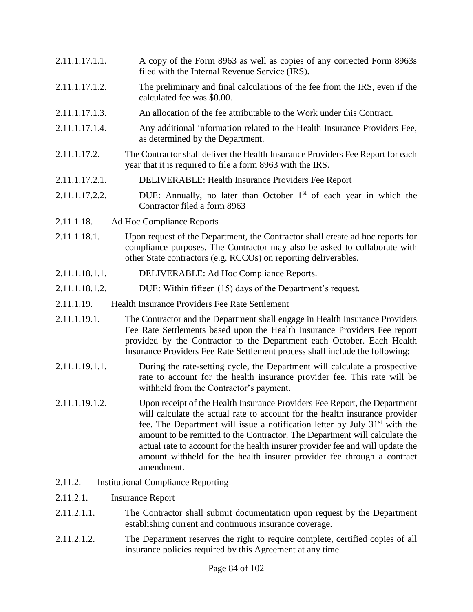- 2.11.1.17.1.1. A copy of the Form 8963 as well as copies of any corrected Form 8963s filed with the Internal Revenue Service (IRS).
- 2.11.1.17.1.2. The preliminary and final calculations of the fee from the IRS, even if the calculated fee was \$0.00.
- 2.11.1.17.1.3. An allocation of the fee attributable to the Work under this Contract.
- 2.11.1.17.1.4. Any additional information related to the Health Insurance Providers Fee, as determined by the Department.
- 2.11.1.17.2. The Contractor shall deliver the Health Insurance Providers Fee Report for each year that it is required to file a form 8963 with the IRS.
- 2.11.1.17.2.1. DELIVERABLE: Health Insurance Providers Fee Report
- 2.11.1.17.2.2. DUE: Annually, no later than October  $1<sup>st</sup>$  of each year in which the Contractor filed a form 8963
- 2.11.1.18. Ad Hoc Compliance Reports
- 2.11.1.18.1. Upon request of the Department, the Contractor shall create ad hoc reports for compliance purposes. The Contractor may also be asked to collaborate with other State contractors (e.g. RCCOs) on reporting deliverables.
- 2.11.1.18.1.1. DELIVERABLE: Ad Hoc Compliance Reports.
- 2.11.1.18.1.2. DUE: Within fifteen (15) days of the Department's request.
- 2.11.1.19. Health Insurance Providers Fee Rate Settlement
- 2.11.1.19.1. The Contractor and the Department shall engage in Health Insurance Providers Fee Rate Settlements based upon the Health Insurance Providers Fee report provided by the Contractor to the Department each October. Each Health Insurance Providers Fee Rate Settlement process shall include the following:
- 2.11.1.19.1.1. During the rate-setting cycle, the Department will calculate a prospective rate to account for the health insurance provider fee. This rate will be withheld from the Contractor's payment.
- 2.11.1.19.1.2. Upon receipt of the Health Insurance Providers Fee Report, the Department will calculate the actual rate to account for the health insurance provider fee. The Department will issue a notification letter by July 31st with the amount to be remitted to the Contractor. The Department will calculate the actual rate to account for the health insurer provider fee and will update the amount withheld for the health insurer provider fee through a contract amendment.
- 2.11.2. Institutional Compliance Reporting
- 2.11.2.1. Insurance Report
- 2.11.2.1.1. The Contractor shall submit documentation upon request by the Department establishing current and continuous insurance coverage.
- 2.11.2.1.2. The Department reserves the right to require complete, certified copies of all insurance policies required by this Agreement at any time.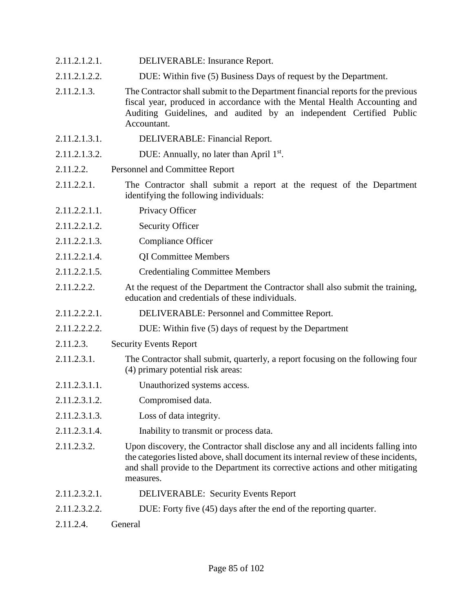- 2.11.2.1.2.1. DELIVERABLE: Insurance Report.
- 2.11.2.1.2.2. DUE: Within five (5) Business Days of request by the Department.
- 2.11.2.1.3. The Contractor shall submit to the Department financial reports for the previous fiscal year, produced in accordance with the Mental Health Accounting and Auditing Guidelines, and audited by an independent Certified Public Accountant.
- 2.11.2.1.3.1. DELIVERABLE: Financial Report.
- 2.11.2.1.3.2. DUE: Annually, no later than April  $1<sup>st</sup>$ .
- 2.11.2.2. Personnel and Committee Report
- 2.11.2.2.1. The Contractor shall submit a report at the request of the Department identifying the following individuals:
- 2.11.2.2.1.1. Privacy Officer
- 2.11.2.2.1.2. Security Officer
- 2.11.2.2.1.3. Compliance Officer
- 2.11.2.2.1.4. QI Committee Members
- 2.11.2.2.1.5. Credentialing Committee Members
- 2.11.2.2.2. At the request of the Department the Contractor shall also submit the training, education and credentials of these individuals.
- 2.11.2.2.2.1. DELIVERABLE: Personnel and Committee Report.
- 2.11.2.2.2.2. DUE: Within five (5) days of request by the Department
- 2.11.2.3. Security Events Report
- 2.11.2.3.1. The Contractor shall submit, quarterly, a report focusing on the following four (4) primary potential risk areas:
- 2.11.2.3.1.1. Unauthorized systems access.
- 2.11.2.3.1.2. Compromised data.
- 2.11.2.3.1.3. Loss of data integrity.
- 2.11.2.3.1.4. Inability to transmit or process data.
- 2.11.2.3.2. Upon discovery, the Contractor shall disclose any and all incidents falling into the categories listed above, shall document its internal review of these incidents, and shall provide to the Department its corrective actions and other mitigating measures.
- 2.11.2.3.2.1. DELIVERABLE: Security Events Report
- 2.11.2.3.2.2. DUE: Forty five (45) days after the end of the reporting quarter.
- 2.11.2.4. General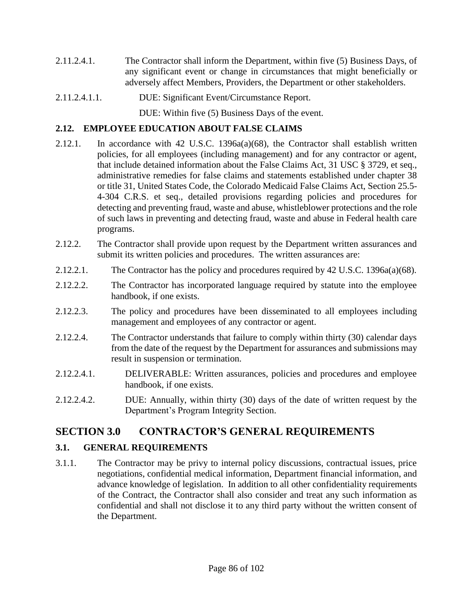- 2.11.2.4.1. The Contractor shall inform the Department, within five (5) Business Days, of any significant event or change in circumstances that might beneficially or adversely affect Members, Providers, the Department or other stakeholders.
- 2.11.2.4.1.1. DUE: Significant Event/Circumstance Report.

DUE: Within five (5) Business Days of the event.

# **2.12. EMPLOYEE EDUCATION ABOUT FALSE CLAIMS**

- 2.12.1. In accordance with 42 U.S.C. 1396a(a)(68), the Contractor shall establish written policies, for all employees (including management) and for any contractor or agent, that include detained information about the False Claims Act, 31 USC § 3729, et seq., administrative remedies for false claims and statements established under chapter 38 or title 31, United States Code, the Colorado Medicaid False Claims Act, Section 25.5- 4-304 C.R.S. et seq., detailed provisions regarding policies and procedures for detecting and preventing fraud, waste and abuse, whistleblower protections and the role of such laws in preventing and detecting fraud, waste and abuse in Federal health care programs.
- 2.12.2. The Contractor shall provide upon request by the Department written assurances and submit its written policies and procedures. The written assurances are:
- 2.12.2.1. The Contractor has the policy and procedures required by 42 U.S.C. 1396a(a)(68).
- 2.12.2.2. The Contractor has incorporated language required by statute into the employee handbook, if one exists.
- 2.12.2.3. The policy and procedures have been disseminated to all employees including management and employees of any contractor or agent.
- 2.12.2.4. The Contractor understands that failure to comply within thirty (30) calendar days from the date of the request by the Department for assurances and submissions may result in suspension or termination.
- 2.12.2.4.1. DELIVERABLE: Written assurances, policies and procedures and employee handbook, if one exists.
- 2.12.2.4.2. DUE: Annually, within thirty (30) days of the date of written request by the Department's Program Integrity Section.

# **SECTION 3.0 CONTRACTOR'S GENERAL REQUIREMENTS**

# **3.1. GENERAL REQUIREMENTS**

3.1.1. The Contractor may be privy to internal policy discussions, contractual issues, price negotiations, confidential medical information, Department financial information, and advance knowledge of legislation. In addition to all other confidentiality requirements of the Contract, the Contractor shall also consider and treat any such information as confidential and shall not disclose it to any third party without the written consent of the Department.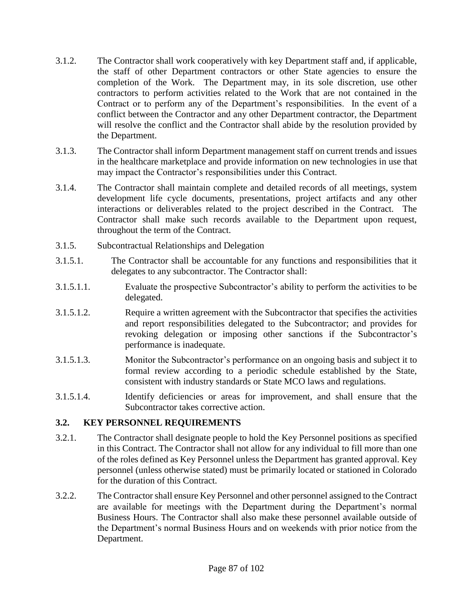- 3.1.2. The Contractor shall work cooperatively with key Department staff and, if applicable, the staff of other Department contractors or other State agencies to ensure the completion of the Work. The Department may, in its sole discretion, use other contractors to perform activities related to the Work that are not contained in the Contract or to perform any of the Department's responsibilities. In the event of a conflict between the Contractor and any other Department contractor, the Department will resolve the conflict and the Contractor shall abide by the resolution provided by the Department.
- 3.1.3. The Contractor shall inform Department management staff on current trends and issues in the healthcare marketplace and provide information on new technologies in use that may impact the Contractor's responsibilities under this Contract.
- 3.1.4. The Contractor shall maintain complete and detailed records of all meetings, system development life cycle documents, presentations, project artifacts and any other interactions or deliverables related to the project described in the Contract. The Contractor shall make such records available to the Department upon request, throughout the term of the Contract.
- 3.1.5. Subcontractual Relationships and Delegation
- 3.1.5.1. The Contractor shall be accountable for any functions and responsibilities that it delegates to any subcontractor. The Contractor shall:
- 3.1.5.1.1. Evaluate the prospective Subcontractor's ability to perform the activities to be delegated.
- 3.1.5.1.2. Require a written agreement with the Subcontractor that specifies the activities and report responsibilities delegated to the Subcontractor; and provides for revoking delegation or imposing other sanctions if the Subcontractor's performance is inadequate.
- 3.1.5.1.3. Monitor the Subcontractor's performance on an ongoing basis and subject it to formal review according to a periodic schedule established by the State, consistent with industry standards or State MCO laws and regulations.
- 3.1.5.1.4. Identify deficiencies or areas for improvement, and shall ensure that the Subcontractor takes corrective action.

#### **3.2. KEY PERSONNEL REQUIREMENTS**

- 3.2.1. The Contractor shall designate people to hold the Key Personnel positions as specified in this Contract. The Contractor shall not allow for any individual to fill more than one of the roles defined as Key Personnel unless the Department has granted approval. Key personnel (unless otherwise stated) must be primarily located or stationed in Colorado for the duration of this Contract.
- 3.2.2. The Contractor shall ensure Key Personnel and other personnel assigned to the Contract are available for meetings with the Department during the Department's normal Business Hours. The Contractor shall also make these personnel available outside of the Department's normal Business Hours and on weekends with prior notice from the Department.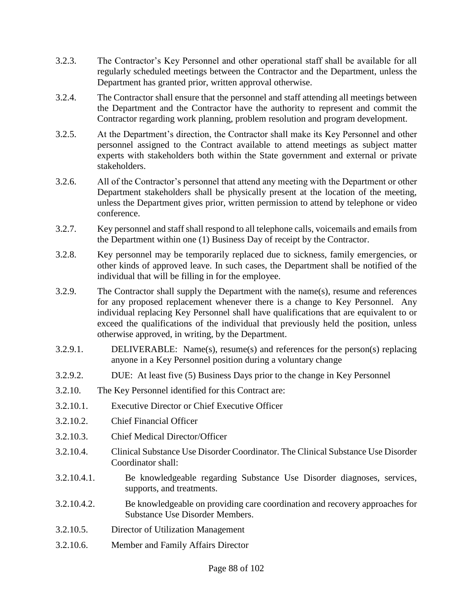- 3.2.3. The Contractor's Key Personnel and other operational staff shall be available for all regularly scheduled meetings between the Contractor and the Department, unless the Department has granted prior, written approval otherwise.
- 3.2.4. The Contractor shall ensure that the personnel and staff attending all meetings between the Department and the Contractor have the authority to represent and commit the Contractor regarding work planning, problem resolution and program development.
- 3.2.5. At the Department's direction, the Contractor shall make its Key Personnel and other personnel assigned to the Contract available to attend meetings as subject matter experts with stakeholders both within the State government and external or private stakeholders.
- 3.2.6. All of the Contractor's personnel that attend any meeting with the Department or other Department stakeholders shall be physically present at the location of the meeting, unless the Department gives prior, written permission to attend by telephone or video conference.
- 3.2.7. Key personnel and staff shall respond to all telephone calls, voicemails and emails from the Department within one (1) Business Day of receipt by the Contractor.
- 3.2.8. Key personnel may be temporarily replaced due to sickness, family emergencies, or other kinds of approved leave. In such cases, the Department shall be notified of the individual that will be filling in for the employee.
- 3.2.9. The Contractor shall supply the Department with the name(s), resume and references for any proposed replacement whenever there is a change to Key Personnel. Any individual replacing Key Personnel shall have qualifications that are equivalent to or exceed the qualifications of the individual that previously held the position, unless otherwise approved, in writing, by the Department.
- 3.2.9.1. DELIVERABLE: Name(s), resume(s) and references for the person(s) replacing anyone in a Key Personnel position during a voluntary change
- 3.2.9.2. DUE: At least five (5) Business Days prior to the change in Key Personnel
- 3.2.10. The Key Personnel identified for this Contract are:
- 3.2.10.1. Executive Director or Chief Executive Officer
- 3.2.10.2. Chief Financial Officer
- 3.2.10.3. Chief Medical Director/Officer
- 3.2.10.4. Clinical Substance Use Disorder Coordinator. The Clinical Substance Use Disorder Coordinator shall:
- 3.2.10.4.1. Be knowledgeable regarding Substance Use Disorder diagnoses, services, supports, and treatments.
- 3.2.10.4.2. Be knowledgeable on providing care coordination and recovery approaches for Substance Use Disorder Members.
- 3.2.10.5. Director of Utilization Management
- 3.2.10.6. Member and Family Affairs Director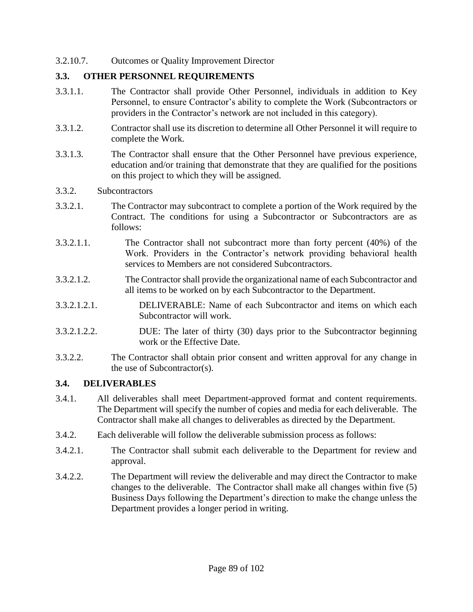#### 3.2.10.7. Outcomes or Quality Improvement Director

## **3.3. OTHER PERSONNEL REQUIREMENTS**

- 3.3.1.1. The Contractor shall provide Other Personnel, individuals in addition to Key Personnel, to ensure Contractor's ability to complete the Work (Subcontractors or providers in the Contractor's network are not included in this category).
- 3.3.1.2. Contractor shall use its discretion to determine all Other Personnel it will require to complete the Work.
- 3.3.1.3. The Contractor shall ensure that the Other Personnel have previous experience, education and/or training that demonstrate that they are qualified for the positions on this project to which they will be assigned.

#### 3.3.2. Subcontractors

- 3.3.2.1. The Contractor may subcontract to complete a portion of the Work required by the Contract. The conditions for using a Subcontractor or Subcontractors are as follows:
- 3.3.2.1.1. The Contractor shall not subcontract more than forty percent (40%) of the Work. Providers in the Contractor's network providing behavioral health services to Members are not considered Subcontractors.
- 3.3.2.1.2. The Contractor shall provide the organizational name of each Subcontractor and all items to be worked on by each Subcontractor to the Department.
- 3.3.2.1.2.1. DELIVERABLE: Name of each Subcontractor and items on which each Subcontractor will work.
- 3.3.2.1.2.2. DUE: The later of thirty (30) days prior to the Subcontractor beginning work or the Effective Date.
- 3.3.2.2. The Contractor shall obtain prior consent and written approval for any change in the use of Subcontractor(s).

#### **3.4. DELIVERABLES**

- 3.4.1. All deliverables shall meet Department-approved format and content requirements. The Department will specify the number of copies and media for each deliverable. The Contractor shall make all changes to deliverables as directed by the Department.
- 3.4.2. Each deliverable will follow the deliverable submission process as follows:
- 3.4.2.1. The Contractor shall submit each deliverable to the Department for review and approval.
- 3.4.2.2. The Department will review the deliverable and may direct the Contractor to make changes to the deliverable. The Contractor shall make all changes within five (5) Business Days following the Department's direction to make the change unless the Department provides a longer period in writing.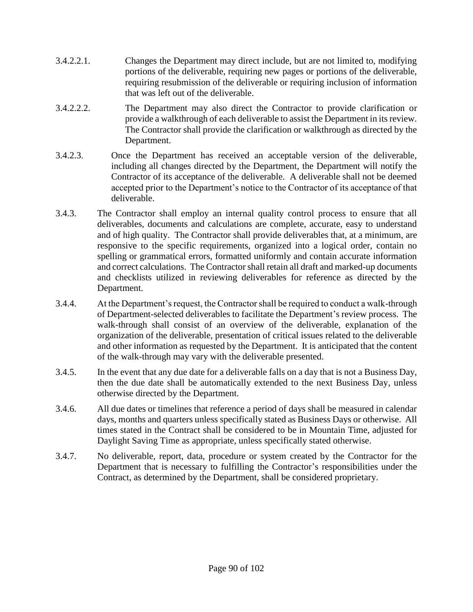- 3.4.2.2.1. Changes the Department may direct include, but are not limited to, modifying portions of the deliverable, requiring new pages or portions of the deliverable, requiring resubmission of the deliverable or requiring inclusion of information that was left out of the deliverable.
- 3.4.2.2.2. The Department may also direct the Contractor to provide clarification or provide a walkthrough of each deliverable to assist the Department in its review. The Contractor shall provide the clarification or walkthrough as directed by the Department.
- 3.4.2.3. Once the Department has received an acceptable version of the deliverable, including all changes directed by the Department, the Department will notify the Contractor of its acceptance of the deliverable. A deliverable shall not be deemed accepted prior to the Department's notice to the Contractor of its acceptance of that deliverable.
- 3.4.3. The Contractor shall employ an internal quality control process to ensure that all deliverables, documents and calculations are complete, accurate, easy to understand and of high quality. The Contractor shall provide deliverables that, at a minimum, are responsive to the specific requirements, organized into a logical order, contain no spelling or grammatical errors, formatted uniformly and contain accurate information and correct calculations. The Contractor shall retain all draft and marked-up documents and checklists utilized in reviewing deliverables for reference as directed by the Department.
- 3.4.4. At the Department's request, the Contractor shall be required to conduct a walk-through of Department-selected deliverables to facilitate the Department's review process. The walk-through shall consist of an overview of the deliverable, explanation of the organization of the deliverable, presentation of critical issues related to the deliverable and other information as requested by the Department. It is anticipated that the content of the walk-through may vary with the deliverable presented.
- 3.4.5. In the event that any due date for a deliverable falls on a day that is not a Business Day, then the due date shall be automatically extended to the next Business Day, unless otherwise directed by the Department.
- 3.4.6. All due dates or timelines that reference a period of days shall be measured in calendar days, months and quarters unless specifically stated as Business Days or otherwise. All times stated in the Contract shall be considered to be in Mountain Time, adjusted for Daylight Saving Time as appropriate, unless specifically stated otherwise.
- 3.4.7. No deliverable, report, data, procedure or system created by the Contractor for the Department that is necessary to fulfilling the Contractor's responsibilities under the Contract, as determined by the Department, shall be considered proprietary.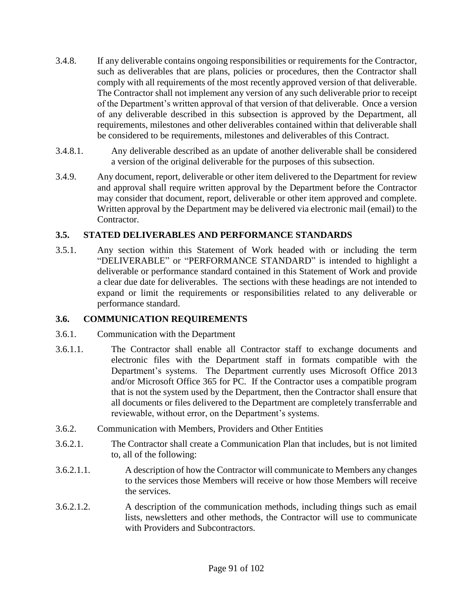- 3.4.8. If any deliverable contains ongoing responsibilities or requirements for the Contractor, such as deliverables that are plans, policies or procedures, then the Contractor shall comply with all requirements of the most recently approved version of that deliverable. The Contractor shall not implement any version of any such deliverable prior to receipt of the Department's written approval of that version of that deliverable. Once a version of any deliverable described in this subsection is approved by the Department, all requirements, milestones and other deliverables contained within that deliverable shall be considered to be requirements, milestones and deliverables of this Contract.
- 3.4.8.1. Any deliverable described as an update of another deliverable shall be considered a version of the original deliverable for the purposes of this subsection.
- 3.4.9. Any document, report, deliverable or other item delivered to the Department for review and approval shall require written approval by the Department before the Contractor may consider that document, report, deliverable or other item approved and complete. Written approval by the Department may be delivered via electronic mail (email) to the Contractor.

#### **3.5. STATED DELIVERABLES AND PERFORMANCE STANDARDS**

3.5.1. Any section within this Statement of Work headed with or including the term "DELIVERABLE" or "PERFORMANCE STANDARD" is intended to highlight a deliverable or performance standard contained in this Statement of Work and provide a clear due date for deliverables. The sections with these headings are not intended to expand or limit the requirements or responsibilities related to any deliverable or performance standard.

## **3.6. COMMUNICATION REQUIREMENTS**

- 3.6.1. Communication with the Department
- 3.6.1.1. The Contractor shall enable all Contractor staff to exchange documents and electronic files with the Department staff in formats compatible with the Department's systems. The Department currently uses Microsoft Office 2013 and/or Microsoft Office 365 for PC. If the Contractor uses a compatible program that is not the system used by the Department, then the Contractor shall ensure that all documents or files delivered to the Department are completely transferrable and reviewable, without error, on the Department's systems.
- 3.6.2. Communication with Members, Providers and Other Entities
- 3.6.2.1. The Contractor shall create a Communication Plan that includes, but is not limited to, all of the following:
- 3.6.2.1.1. A description of how the Contractor will communicate to Members any changes to the services those Members will receive or how those Members will receive the services.
- 3.6.2.1.2. A description of the communication methods, including things such as email lists, newsletters and other methods, the Contractor will use to communicate with Providers and Subcontractors.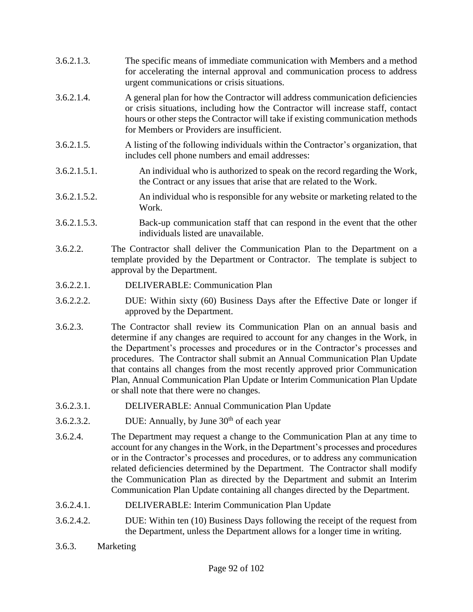- 3.6.2.1.3. The specific means of immediate communication with Members and a method for accelerating the internal approval and communication process to address urgent communications or crisis situations.
- 3.6.2.1.4. A general plan for how the Contractor will address communication deficiencies or crisis situations, including how the Contractor will increase staff, contact hours or other steps the Contractor will take if existing communication methods for Members or Providers are insufficient.
- 3.6.2.1.5. A listing of the following individuals within the Contractor's organization, that includes cell phone numbers and email addresses:
- 3.6.2.1.5.1. An individual who is authorized to speak on the record regarding the Work, the Contract or any issues that arise that are related to the Work.
- 3.6.2.1.5.2. An individual who is responsible for any website or marketing related to the Work.
- 3.6.2.1.5.3. Back-up communication staff that can respond in the event that the other individuals listed are unavailable.
- 3.6.2.2. The Contractor shall deliver the Communication Plan to the Department on a template provided by the Department or Contractor. The template is subject to approval by the Department.
- 3.6.2.2.1. DELIVERABLE: Communication Plan
- 3.6.2.2.2. DUE: Within sixty (60) Business Days after the Effective Date or longer if approved by the Department.
- 3.6.2.3. The Contractor shall review its Communication Plan on an annual basis and determine if any changes are required to account for any changes in the Work, in the Department's processes and procedures or in the Contractor's processes and procedures. The Contractor shall submit an Annual Communication Plan Update that contains all changes from the most recently approved prior Communication Plan, Annual Communication Plan Update or Interim Communication Plan Update or shall note that there were no changes.
- 3.6.2.3.1. DELIVERABLE: Annual Communication Plan Update
- 3.6.2.3.2. DUE: Annually, by June  $30<sup>th</sup>$  of each year
- 3.6.2.4. The Department may request a change to the Communication Plan at any time to account for any changes in the Work, in the Department's processes and procedures or in the Contractor's processes and procedures, or to address any communication related deficiencies determined by the Department. The Contractor shall modify the Communication Plan as directed by the Department and submit an Interim Communication Plan Update containing all changes directed by the Department.
- 3.6.2.4.1. DELIVERABLE: Interim Communication Plan Update
- 3.6.2.4.2. DUE: Within ten (10) Business Days following the receipt of the request from the Department, unless the Department allows for a longer time in writing.
- 3.6.3. Marketing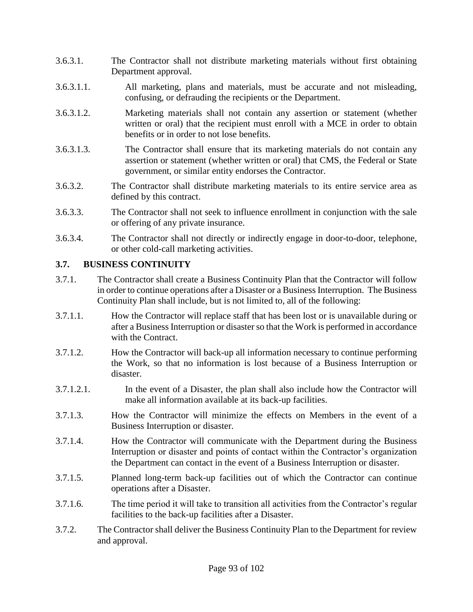- 3.6.3.1. The Contractor shall not distribute marketing materials without first obtaining Department approval.
- 3.6.3.1.1. All marketing, plans and materials, must be accurate and not misleading, confusing, or defrauding the recipients or the Department.
- 3.6.3.1.2. Marketing materials shall not contain any assertion or statement (whether written or oral) that the recipient must enroll with a MCE in order to obtain benefits or in order to not lose benefits.
- 3.6.3.1.3. The Contractor shall ensure that its marketing materials do not contain any assertion or statement (whether written or oral) that CMS, the Federal or State government, or similar entity endorses the Contractor.
- 3.6.3.2. The Contractor shall distribute marketing materials to its entire service area as defined by this contract.
- 3.6.3.3. The Contractor shall not seek to influence enrollment in conjunction with the sale or offering of any private insurance.
- 3.6.3.4. The Contractor shall not directly or indirectly engage in door-to-door, telephone, or other cold-call marketing activities.

## **3.7. BUSINESS CONTINUITY**

- 3.7.1. The Contractor shall create a Business Continuity Plan that the Contractor will follow in order to continue operations after a Disaster or a Business Interruption. The Business Continuity Plan shall include, but is not limited to, all of the following:
- 3.7.1.1. How the Contractor will replace staff that has been lost or is unavailable during or after a Business Interruption or disaster so that the Work is performed in accordance with the Contract.
- 3.7.1.2. How the Contractor will back-up all information necessary to continue performing the Work, so that no information is lost because of a Business Interruption or disaster.
- 3.7.1.2.1. In the event of a Disaster, the plan shall also include how the Contractor will make all information available at its back-up facilities.
- 3.7.1.3. How the Contractor will minimize the effects on Members in the event of a Business Interruption or disaster.
- 3.7.1.4. How the Contractor will communicate with the Department during the Business Interruption or disaster and points of contact within the Contractor's organization the Department can contact in the event of a Business Interruption or disaster.
- 3.7.1.5. Planned long-term back-up facilities out of which the Contractor can continue operations after a Disaster.
- 3.7.1.6. The time period it will take to transition all activities from the Contractor's regular facilities to the back-up facilities after a Disaster.
- 3.7.2. The Contractor shall deliver the Business Continuity Plan to the Department for review and approval.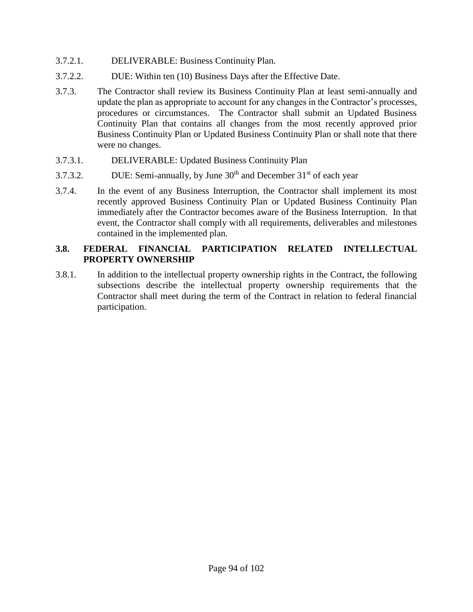- 3.7.2.1. DELIVERABLE: Business Continuity Plan.
- 3.7.2.2. DUE: Within ten (10) Business Days after the Effective Date.
- 3.7.3. The Contractor shall review its Business Continuity Plan at least semi-annually and update the plan as appropriate to account for any changes in the Contractor's processes, procedures or circumstances. The Contractor shall submit an Updated Business Continuity Plan that contains all changes from the most recently approved prior Business Continuity Plan or Updated Business Continuity Plan or shall note that there were no changes.
- 3.7.3.1. DELIVERABLE: Updated Business Continuity Plan
- 3.7.3.2. DUE: Semi-annually, by June  $30<sup>th</sup>$  and December  $31<sup>st</sup>$  of each year
- 3.7.4. In the event of any Business Interruption, the Contractor shall implement its most recently approved Business Continuity Plan or Updated Business Continuity Plan immediately after the Contractor becomes aware of the Business Interruption. In that event, the Contractor shall comply with all requirements, deliverables and milestones contained in the implemented plan.

## **3.8. FEDERAL FINANCIAL PARTICIPATION RELATED INTELLECTUAL PROPERTY OWNERSHIP**

3.8.1. In addition to the intellectual property ownership rights in the Contract, the following subsections describe the intellectual property ownership requirements that the Contractor shall meet during the term of the Contract in relation to federal financial participation.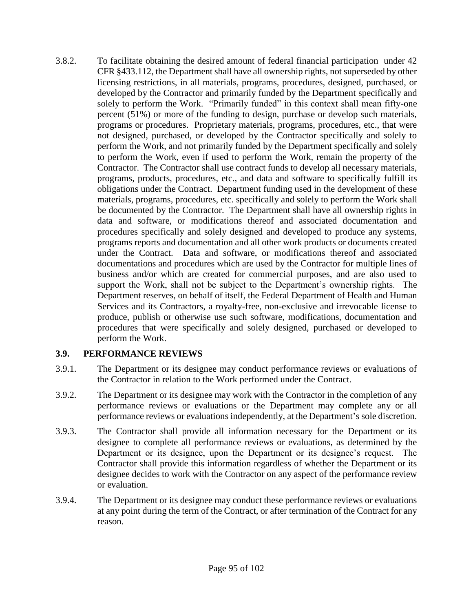3.8.2. To facilitate obtaining the desired amount of federal financial participation under 42 CFR §433.112, the Department shall have all ownership rights, not superseded by other licensing restrictions, in all materials, programs, procedures, designed, purchased, or developed by the Contractor and primarily funded by the Department specifically and solely to perform the Work. "Primarily funded" in this context shall mean fifty-one percent (51%) or more of the funding to design, purchase or develop such materials, programs or procedures. Proprietary materials, programs, procedures, etc., that were not designed, purchased, or developed by the Contractor specifically and solely to perform the Work, and not primarily funded by the Department specifically and solely to perform the Work, even if used to perform the Work, remain the property of the Contractor. The Contractor shall use contract funds to develop all necessary materials, programs, products, procedures, etc., and data and software to specifically fulfill its obligations under the Contract. Department funding used in the development of these materials, programs, procedures, etc. specifically and solely to perform the Work shall be documented by the Contractor. The Department shall have all ownership rights in data and software, or modifications thereof and associated documentation and procedures specifically and solely designed and developed to produce any systems, programs reports and documentation and all other work products or documents created under the Contract. Data and software, or modifications thereof and associated documentations and procedures which are used by the Contractor for multiple lines of business and/or which are created for commercial purposes, and are also used to support the Work, shall not be subject to the Department's ownership rights. The Department reserves, on behalf of itself, the Federal Department of Health and Human Services and its Contractors, a royalty-free, non-exclusive and irrevocable license to produce, publish or otherwise use such software, modifications, documentation and procedures that were specifically and solely designed, purchased or developed to perform the Work.

## **3.9. PERFORMANCE REVIEWS**

- 3.9.1. The Department or its designee may conduct performance reviews or evaluations of the Contractor in relation to the Work performed under the Contract.
- 3.9.2. The Department or its designee may work with the Contractor in the completion of any performance reviews or evaluations or the Department may complete any or all performance reviews or evaluations independently, at the Department's sole discretion.
- 3.9.3. The Contractor shall provide all information necessary for the Department or its designee to complete all performance reviews or evaluations, as determined by the Department or its designee, upon the Department or its designee's request. The Contractor shall provide this information regardless of whether the Department or its designee decides to work with the Contractor on any aspect of the performance review or evaluation.
- 3.9.4. The Department or its designee may conduct these performance reviews or evaluations at any point during the term of the Contract, or after termination of the Contract for any reason.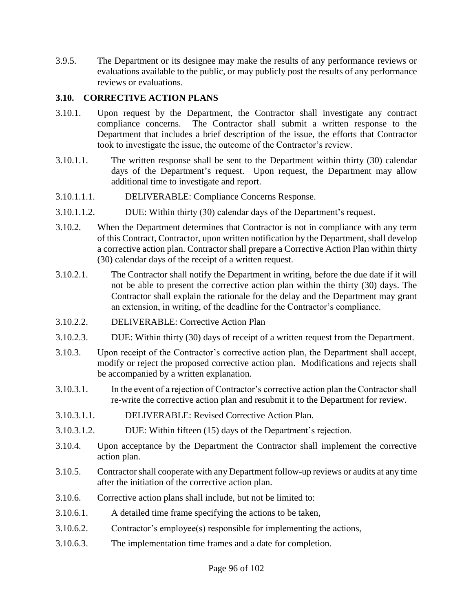3.9.5. The Department or its designee may make the results of any performance reviews or evaluations available to the public, or may publicly post the results of any performance reviews or evaluations.

## **3.10. CORRECTIVE ACTION PLANS**

- 3.10.1. Upon request by the Department, the Contractor shall investigate any contract compliance concerns. The Contractor shall submit a written response to the Department that includes a brief description of the issue, the efforts that Contractor took to investigate the issue, the outcome of the Contractor's review.
- 3.10.1.1. The written response shall be sent to the Department within thirty (30) calendar days of the Department's request. Upon request, the Department may allow additional time to investigate and report.
- 3.10.1.1.1. DELIVERABLE: Compliance Concerns Response.
- 3.10.1.1.2. DUE: Within thirty (30) calendar days of the Department's request.
- 3.10.2. When the Department determines that Contractor is not in compliance with any term of this Contract, Contractor, upon written notification by the Department, shall develop a corrective action plan. Contractor shall prepare a Corrective Action Plan within thirty (30) calendar days of the receipt of a written request.
- 3.10.2.1. The Contractor shall notify the Department in writing, before the due date if it will not be able to present the corrective action plan within the thirty (30) days. The Contractor shall explain the rationale for the delay and the Department may grant an extension, in writing, of the deadline for the Contractor's compliance.
- 3.10.2.2. DELIVERABLE: Corrective Action Plan
- 3.10.2.3. DUE: Within thirty (30) days of receipt of a written request from the Department.
- 3.10.3. Upon receipt of the Contractor's corrective action plan, the Department shall accept, modify or reject the proposed corrective action plan. Modifications and rejects shall be accompanied by a written explanation.
- 3.10.3.1. In the event of a rejection of Contractor's corrective action plan the Contractor shall re-write the corrective action plan and resubmit it to the Department for review.
- 3.10.3.1.1. DELIVERABLE: Revised Corrective Action Plan.
- 3.10.3.1.2. DUE: Within fifteen (15) days of the Department's rejection.
- 3.10.4. Upon acceptance by the Department the Contractor shall implement the corrective action plan.
- 3.10.5. Contractor shall cooperate with any Department follow-up reviews or audits at any time after the initiation of the corrective action plan.
- 3.10.6. Corrective action plans shall include, but not be limited to:
- 3.10.6.1. A detailed time frame specifying the actions to be taken,
- 3.10.6.2. Contractor's employee(s) responsible for implementing the actions,
- 3.10.6.3. The implementation time frames and a date for completion.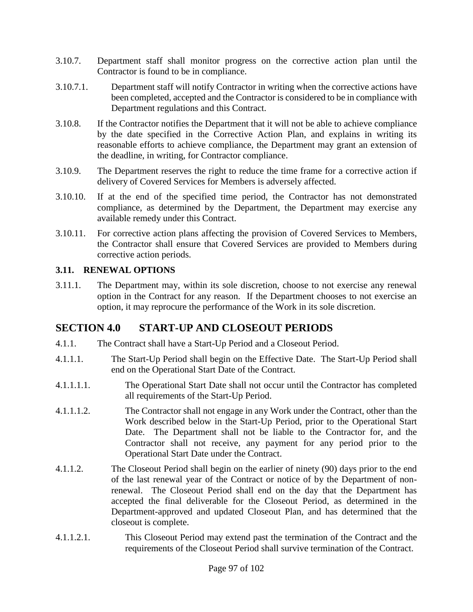- 3.10.7. Department staff shall monitor progress on the corrective action plan until the Contractor is found to be in compliance.
- 3.10.7.1. Department staff will notify Contractor in writing when the corrective actions have been completed, accepted and the Contractor is considered to be in compliance with Department regulations and this Contract.
- 3.10.8. If the Contractor notifies the Department that it will not be able to achieve compliance by the date specified in the Corrective Action Plan, and explains in writing its reasonable efforts to achieve compliance, the Department may grant an extension of the deadline, in writing, for Contractor compliance.
- 3.10.9. The Department reserves the right to reduce the time frame for a corrective action if delivery of Covered Services for Members is adversely affected.
- 3.10.10. If at the end of the specified time period, the Contractor has not demonstrated compliance, as determined by the Department, the Department may exercise any available remedy under this Contract.
- 3.10.11. For corrective action plans affecting the provision of Covered Services to Members, the Contractor shall ensure that Covered Services are provided to Members during corrective action periods.

## **3.11. RENEWAL OPTIONS**

3.11.1. The Department may, within its sole discretion, choose to not exercise any renewal option in the Contract for any reason. If the Department chooses to not exercise an option, it may reprocure the performance of the Work in its sole discretion.

# **SECTION 4.0 START-UP AND CLOSEOUT PERIODS**

- 4.1.1. The Contract shall have a Start-Up Period and a Closeout Period.
- 4.1.1.1. The Start-Up Period shall begin on the Effective Date. The Start-Up Period shall end on the Operational Start Date of the Contract.
- 4.1.1.1.1. The Operational Start Date shall not occur until the Contractor has completed all requirements of the Start-Up Period.
- 4.1.1.1.2. The Contractor shall not engage in any Work under the Contract, other than the Work described below in the Start-Up Period, prior to the Operational Start Date. The Department shall not be liable to the Contractor for, and the Contractor shall not receive, any payment for any period prior to the Operational Start Date under the Contract.
- 4.1.1.2. The Closeout Period shall begin on the earlier of ninety (90) days prior to the end of the last renewal year of the Contract or notice of by the Department of nonrenewal. The Closeout Period shall end on the day that the Department has accepted the final deliverable for the Closeout Period, as determined in the Department-approved and updated Closeout Plan, and has determined that the closeout is complete.
- 4.1.1.2.1. This Closeout Period may extend past the termination of the Contract and the requirements of the Closeout Period shall survive termination of the Contract.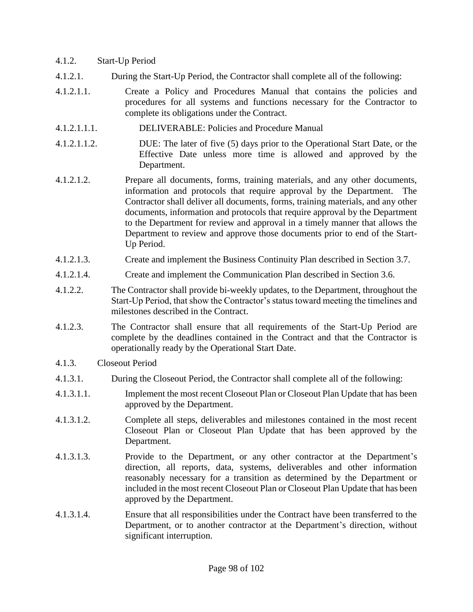#### 4.1.2. Start-Up Period

- 4.1.2.1. During the Start-Up Period, the Contractor shall complete all of the following:
- 4.1.2.1.1. Create a Policy and Procedures Manual that contains the policies and procedures for all systems and functions necessary for the Contractor to complete its obligations under the Contract.
- 4.1.2.1.1.1. DELIVERABLE: Policies and Procedure Manual
- 4.1.2.1.1.2. DUE: The later of five (5) days prior to the Operational Start Date, or the Effective Date unless more time is allowed and approved by the Department.
- 4.1.2.1.2. Prepare all documents, forms, training materials, and any other documents, information and protocols that require approval by the Department. The Contractor shall deliver all documents, forms, training materials, and any other documents, information and protocols that require approval by the Department to the Department for review and approval in a timely manner that allows the Department to review and approve those documents prior to end of the Start-Up Period.
- 4.1.2.1.3. Create and implement the Business Continuity Plan described in Section 3.7.
- 4.1.2.1.4. Create and implement the Communication Plan described in Section 3.6.
- 4.1.2.2. The Contractor shall provide bi-weekly updates, to the Department, throughout the Start-Up Period, that show the Contractor's status toward meeting the timelines and milestones described in the Contract.
- 4.1.2.3. The Contractor shall ensure that all requirements of the Start-Up Period are complete by the deadlines contained in the Contract and that the Contractor is operationally ready by the Operational Start Date.
- 4.1.3. Closeout Period
- 4.1.3.1. During the Closeout Period, the Contractor shall complete all of the following:
- 4.1.3.1.1. Implement the most recent Closeout Plan or Closeout Plan Update that has been approved by the Department.
- 4.1.3.1.2. Complete all steps, deliverables and milestones contained in the most recent Closeout Plan or Closeout Plan Update that has been approved by the Department.
- 4.1.3.1.3. Provide to the Department, or any other contractor at the Department's direction, all reports, data, systems, deliverables and other information reasonably necessary for a transition as determined by the Department or included in the most recent Closeout Plan or Closeout Plan Update that has been approved by the Department.
- 4.1.3.1.4. Ensure that all responsibilities under the Contract have been transferred to the Department, or to another contractor at the Department's direction, without significant interruption.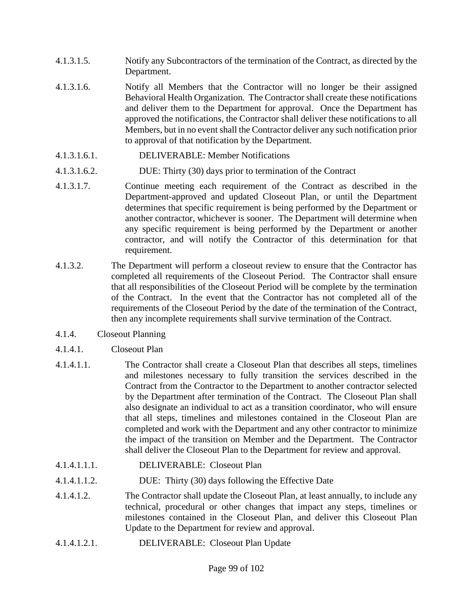- 4.1.3.1.5. Notify any Subcontractors of the termination of the Contract, as directed by the Department.
- 4.1.3.1.6. Notify all Members that the Contractor will no longer be their assigned Behavioral Health Organization. The Contractor shall create these notifications and deliver them to the Department for approval. Once the Department has approved the notifications, the Contractor shall deliver these notifications to all Members, but in no event shall the Contractor deliver any such notification prior to approval of that notification by the Department.
- 4.1.3.1.6.1. DELIVERABLE: Member Notifications
- 4.1.3.1.6.2. DUE: Thirty (30) days prior to termination of the Contract
- 4.1.3.1.7. Continue meeting each requirement of the Contract as described in the Department-approved and updated Closeout Plan, or until the Department determines that specific requirement is being performed by the Department or another contractor, whichever is sooner. The Department will determine when any specific requirement is being performed by the Department or another contractor, and will notify the Contractor of this determination for that requirement.
- 4.1.3.2. The Department will perform a closeout review to ensure that the Contractor has completed all requirements of the Closeout Period. The Contractor shall ensure that all responsibilities of the Closeout Period will be complete by the termination of the Contract. In the event that the Contractor has not completed all of the requirements of the Closeout Period by the date of the termination of the Contract, then any incomplete requirements shall survive termination of the Contract.
- 4.1.4. Closeout Planning
- 4.1.4.1. Closeout Plan
- 4.1.4.1.1. The Contractor shall create a Closeout Plan that describes all steps, timelines and milestones necessary to fully transition the services described in the Contract from the Contractor to the Department to another contractor selected by the Department after termination of the Contract. The Closeout Plan shall also designate an individual to act as a transition coordinator, who will ensure that all steps, timelines and milestones contained in the Closeout Plan are completed and work with the Department and any other contractor to minimize the impact of the transition on Member and the Department. The Contractor shall deliver the Closeout Plan to the Department for review and approval.
- 4.1.4.1.1.1. DELIVERABLE: Closeout Plan
- 4.1.4.1.1.2. DUE: Thirty (30) days following the Effective Date
- 4.1.4.1.2. The Contractor shall update the Closeout Plan, at least annually, to include any technical, procedural or other changes that impact any steps, timelines or milestones contained in the Closeout Plan, and deliver this Closeout Plan Update to the Department for review and approval.
- 4.1.4.1.2.1. DELIVERABLE: Closeout Plan Update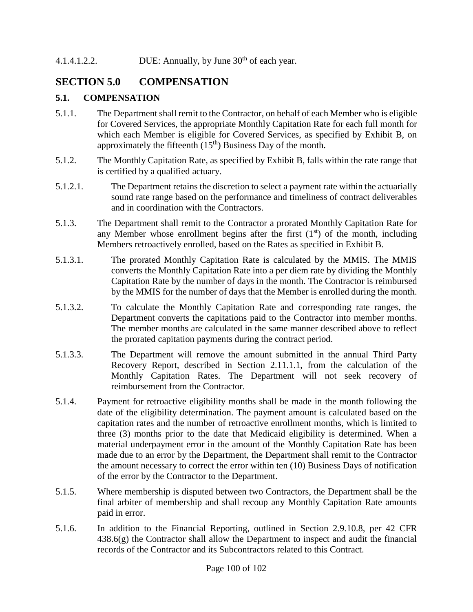# **SECTION 5.0 COMPENSATION**

# **5.1. COMPENSATION**

- 5.1.1. The Department shall remit to the Contractor, on behalf of each Member who is eligible for Covered Services, the appropriate Monthly Capitation Rate for each full month for which each Member is eligible for Covered Services, as specified by Exhibit B, on approximately the fifteenth  $(15<sup>th</sup>)$  Business Day of the month.
- 5.1.2. The Monthly Capitation Rate, as specified by Exhibit B, falls within the rate range that is certified by a qualified actuary.
- 5.1.2.1. The Department retains the discretion to select a payment rate within the actuarially sound rate range based on the performance and timeliness of contract deliverables and in coordination with the Contractors.
- 5.1.3. The Department shall remit to the Contractor a prorated Monthly Capitation Rate for any Member whose enrollment begins after the first  $(1<sup>st</sup>)$  of the month, including Members retroactively enrolled, based on the Rates as specified in Exhibit B.
- 5.1.3.1. The prorated Monthly Capitation Rate is calculated by the MMIS. The MMIS converts the Monthly Capitation Rate into a per diem rate by dividing the Monthly Capitation Rate by the number of days in the month. The Contractor is reimbursed by the MMIS for the number of days that the Member is enrolled during the month.
- 5.1.3.2. To calculate the Monthly Capitation Rate and corresponding rate ranges, the Department converts the capitations paid to the Contractor into member months. The member months are calculated in the same manner described above to reflect the prorated capitation payments during the contract period.
- 5.1.3.3. The Department will remove the amount submitted in the annual Third Party Recovery Report, described in Section 2.11.1.1, from the calculation of the Monthly Capitation Rates. The Department will not seek recovery of reimbursement from the Contractor.
- 5.1.4. Payment for retroactive eligibility months shall be made in the month following the date of the eligibility determination. The payment amount is calculated based on the capitation rates and the number of retroactive enrollment months, which is limited to three (3) months prior to the date that Medicaid eligibility is determined. When a material underpayment error in the amount of the Monthly Capitation Rate has been made due to an error by the Department, the Department shall remit to the Contractor the amount necessary to correct the error within ten (10) Business Days of notification of the error by the Contractor to the Department.
- 5.1.5. Where membership is disputed between two Contractors, the Department shall be the final arbiter of membership and shall recoup any Monthly Capitation Rate amounts paid in error.
- 5.1.6. In addition to the Financial Reporting, outlined in Section 2.9.10.8, per 42 CFR 438.6(g) the Contractor shall allow the Department to inspect and audit the financial records of the Contractor and its Subcontractors related to this Contract.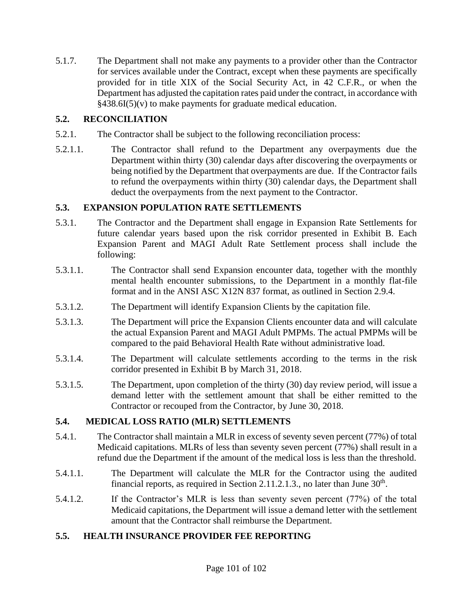5.1.7. The Department shall not make any payments to a provider other than the Contractor for services available under the Contract, except when these payments are specifically provided for in title XIX of the Social Security Act, in 42 C.F.R., or when the Department has adjusted the capitation rates paid under the contract, in accordance with  $§438.6I(5)(v)$  to make payments for graduate medical education.

## **5.2. RECONCILIATION**

- 5.2.1. The Contractor shall be subject to the following reconciliation process:
- 5.2.1.1. The Contractor shall refund to the Department any overpayments due the Department within thirty (30) calendar days after discovering the overpayments or being notified by the Department that overpayments are due. If the Contractor fails to refund the overpayments within thirty (30) calendar days, the Department shall deduct the overpayments from the next payment to the Contractor.

## **5.3. EXPANSION POPULATION RATE SETTLEMENTS**

- 5.3.1. The Contractor and the Department shall engage in Expansion Rate Settlements for future calendar years based upon the risk corridor presented in Exhibit B. Each Expansion Parent and MAGI Adult Rate Settlement process shall include the following:
- 5.3.1.1. The Contractor shall send Expansion encounter data, together with the monthly mental health encounter submissions, to the Department in a monthly flat-file format and in the ANSI ASC X12N 837 format, as outlined in Section 2.9.4.
- 5.3.1.2. The Department will identify Expansion Clients by the capitation file.
- 5.3.1.3. The Department will price the Expansion Clients encounter data and will calculate the actual Expansion Parent and MAGI Adult PMPMs. The actual PMPMs will be compared to the paid Behavioral Health Rate without administrative load.
- 5.3.1.4. The Department will calculate settlements according to the terms in the risk corridor presented in Exhibit B by March 31, 2018.
- 5.3.1.5. The Department, upon completion of the thirty (30) day review period, will issue a demand letter with the settlement amount that shall be either remitted to the Contractor or recouped from the Contractor, by June 30, 2018.

## **5.4. MEDICAL LOSS RATIO (MLR) SETTLEMENTS**

- 5.4.1. The Contractor shall maintain a MLR in excess of seventy seven percent (77%) of total Medicaid capitations. MLRs of less than seventy seven percent (77%) shall result in a refund due the Department if the amount of the medical loss is less than the threshold.
- 5.4.1.1. The Department will calculate the MLR for the Contractor using the audited financial reports, as required in Section 2.11.2.1.3., no later than June  $30<sup>th</sup>$ .
- 5.4.1.2. If the Contractor's MLR is less than seventy seven percent (77%) of the total Medicaid capitations, the Department will issue a demand letter with the settlement amount that the Contractor shall reimburse the Department.

## **5.5. HEALTH INSURANCE PROVIDER FEE REPORTING**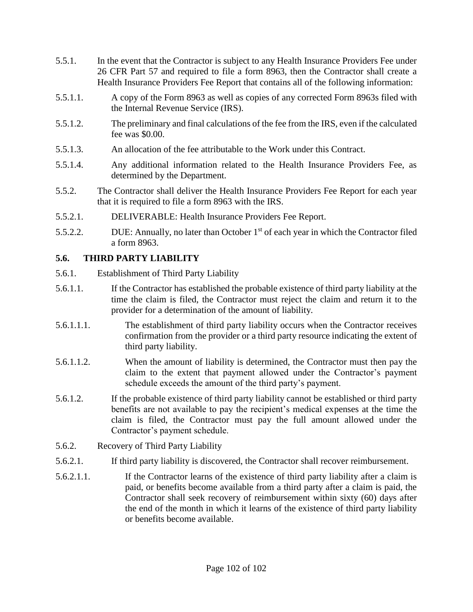- 5.5.1. In the event that the Contractor is subject to any Health Insurance Providers Fee under 26 CFR Part 57 and required to file a form 8963, then the Contractor shall create a Health Insurance Providers Fee Report that contains all of the following information:
- 5.5.1.1. A copy of the Form 8963 as well as copies of any corrected Form 8963s filed with the Internal Revenue Service (IRS).
- 5.5.1.2. The preliminary and final calculations of the fee from the IRS, even if the calculated fee was \$0.00.
- 5.5.1.3. An allocation of the fee attributable to the Work under this Contract.
- 5.5.1.4. Any additional information related to the Health Insurance Providers Fee, as determined by the Department.
- 5.5.2. The Contractor shall deliver the Health Insurance Providers Fee Report for each year that it is required to file a form 8963 with the IRS.
- 5.5.2.1. DELIVERABLE: Health Insurance Providers Fee Report.
- 5.5.2.2. DUE: Annually, no later than October 1<sup>st</sup> of each year in which the Contractor filed a form 8963.

## **5.6. THIRD PARTY LIABILITY**

- 5.6.1. Establishment of Third Party Liability
- 5.6.1.1. If the Contractor has established the probable existence of third party liability at the time the claim is filed, the Contractor must reject the claim and return it to the provider for a determination of the amount of liability.
- 5.6.1.1.1. The establishment of third party liability occurs when the Contractor receives confirmation from the provider or a third party resource indicating the extent of third party liability.
- 5.6.1.1.2. When the amount of liability is determined, the Contractor must then pay the claim to the extent that payment allowed under the Contractor's payment schedule exceeds the amount of the third party's payment.
- 5.6.1.2. If the probable existence of third party liability cannot be established or third party benefits are not available to pay the recipient's medical expenses at the time the claim is filed, the Contractor must pay the full amount allowed under the Contractor's payment schedule.
- 5.6.2. Recovery of Third Party Liability
- 5.6.2.1. If third party liability is discovered, the Contractor shall recover reimbursement.
- 5.6.2.1.1. If the Contractor learns of the existence of third party liability after a claim is paid, or benefits become available from a third party after a claim is paid, the Contractor shall seek recovery of reimbursement within sixty (60) days after the end of the month in which it learns of the existence of third party liability or benefits become available.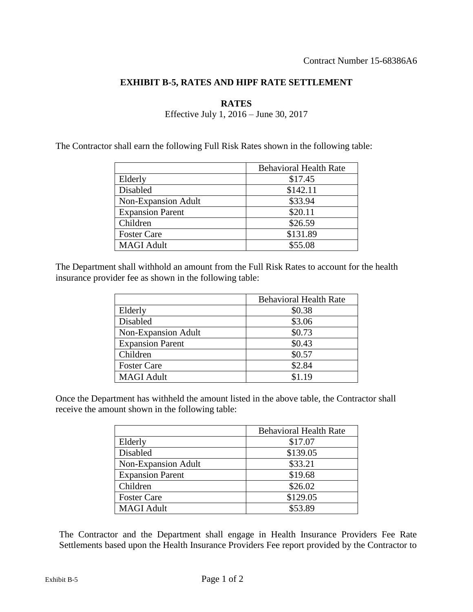#### **EXHIBIT B-5, RATES AND HIPF RATE SETTLEMENT**

#### **RATES**

Effective July 1, 2016 – June 30, 2017

The Contractor shall earn the following Full Risk Rates shown in the following table:

|                         | <b>Behavioral Health Rate</b> |
|-------------------------|-------------------------------|
| Elderly                 | \$17.45                       |
| Disabled                | \$142.11                      |
| Non-Expansion Adult     | \$33.94                       |
| <b>Expansion Parent</b> | \$20.11                       |
| Children                | \$26.59                       |
| <b>Foster Care</b>      | \$131.89                      |
| <b>MAGI Adult</b>       | \$55.08                       |

The Department shall withhold an amount from the Full Risk Rates to account for the health insurance provider fee as shown in the following table:

|                         | <b>Behavioral Health Rate</b> |
|-------------------------|-------------------------------|
| Elderly                 | \$0.38                        |
| Disabled                | \$3.06                        |
| Non-Expansion Adult     | \$0.73                        |
| <b>Expansion Parent</b> | \$0.43                        |
| Children                | \$0.57                        |
| <b>Foster Care</b>      | \$2.84                        |
| <b>MAGI Adult</b>       | \$1.19                        |

Once the Department has withheld the amount listed in the above table, the Contractor shall receive the amount shown in the following table:

|                         | <b>Behavioral Health Rate</b> |
|-------------------------|-------------------------------|
| Elderly                 | \$17.07                       |
| Disabled                | \$139.05                      |
| Non-Expansion Adult     | \$33.21                       |
| <b>Expansion Parent</b> | \$19.68                       |
| Children                | \$26.02                       |
| <b>Foster Care</b>      | \$129.05                      |
| <b>MAGI Adult</b>       | \$53.89                       |

The Contractor and the Department shall engage in Health Insurance Providers Fee Rate Settlements based upon the Health Insurance Providers Fee report provided by the Contractor to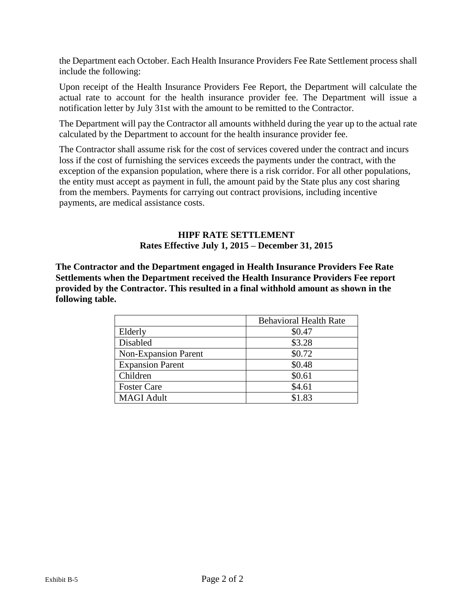the Department each October. Each Health Insurance Providers Fee Rate Settlement process shall include the following:

Upon receipt of the Health Insurance Providers Fee Report, the Department will calculate the actual rate to account for the health insurance provider fee. The Department will issue a notification letter by July 31st with the amount to be remitted to the Contractor.

The Department will pay the Contractor all amounts withheld during the year up to the actual rate calculated by the Department to account for the health insurance provider fee.

The Contractor shall assume risk for the cost of services covered under the contract and incurs loss if the cost of furnishing the services exceeds the payments under the contract, with the exception of the expansion population, where there is a risk corridor. For all other populations, the entity must accept as payment in full, the amount paid by the State plus any cost sharing from the members. Payments for carrying out contract provisions, including incentive payments, are medical assistance costs.

#### **HIPF RATE SETTLEMENT Rates Effective July 1, 2015 – December 31, 2015**

**The Contractor and the Department engaged in Health Insurance Providers Fee Rate Settlements when the Department received the Health Insurance Providers Fee report provided by the Contractor. This resulted in a final withhold amount as shown in the following table.**

|                             | <b>Behavioral Health Rate</b> |
|-----------------------------|-------------------------------|
| Elderly                     | \$0.47                        |
| Disabled                    | \$3.28                        |
| <b>Non-Expansion Parent</b> | \$0.72                        |
| <b>Expansion Parent</b>     | \$0.48                        |
| Children                    | \$0.61                        |
| <b>Foster Care</b>          | \$4.61                        |
| <b>MAGI Adult</b>           | \$1.83                        |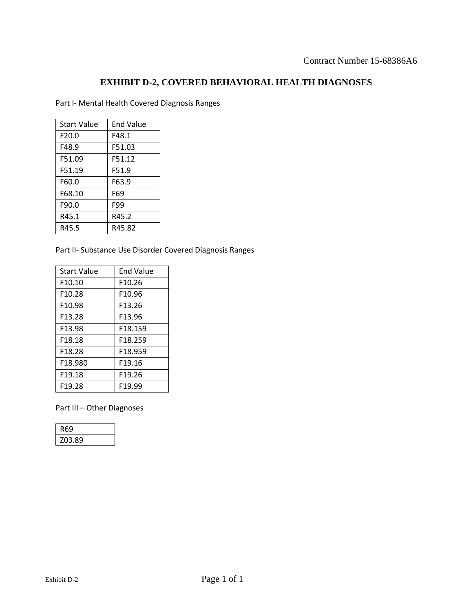## **EXHIBIT D-2, COVERED BEHAVIORAL HEALTH DIAGNOSES**

Part I- Mental Health Covered Diagnosis Ranges

| <b>Start Value</b> | <b>Fnd Value</b> |
|--------------------|------------------|
| F20.0              | F48.1            |
| F48.9              | F51.03           |
| F51.09             | F51.12           |
| F51.19             | F51.9            |
| F60.0              | F63.9            |
| F68.10             | F69              |
| F90.0              | F99              |
| R45.1              | R45.2            |
| R45.5              | R45.82           |

Part II- Substance Use Disorder Covered Diagnosis Ranges

| <b>Start Value</b> | <b>End Value</b>    |
|--------------------|---------------------|
| F <sub>10.10</sub> | F <sub>10.26</sub>  |
| F <sub>10.28</sub> | F10.96              |
| F10.98             | F <sub>13.26</sub>  |
| F13.28             | F13.96              |
| F13.98             | F <sub>18.159</sub> |
| F18.18             | F18.259             |
| F18.28             | F18.959             |
| F18.980            | F19.16              |
| F19.18             | F19.26              |
| F19.28             | F19.99              |

Part III – Other Diagnoses

| R69   |  |
|-------|--|
| 13.89 |  |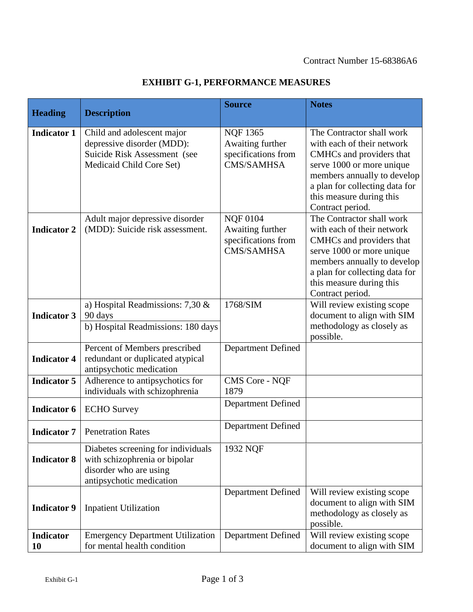| <b>Heading</b>         | <b>Description</b>                                                                                                        | <b>Source</b>                                                            | <b>Notes</b>                                                                                                                                                                                                                      |  |
|------------------------|---------------------------------------------------------------------------------------------------------------------------|--------------------------------------------------------------------------|-----------------------------------------------------------------------------------------------------------------------------------------------------------------------------------------------------------------------------------|--|
|                        |                                                                                                                           |                                                                          |                                                                                                                                                                                                                                   |  |
| <b>Indicator 1</b>     | Child and adolescent major<br>depressive disorder (MDD):<br>Suicide Risk Assessment (see<br>Medicaid Child Core Set)      | <b>NQF 1365</b><br>Awaiting further<br>specifications from<br>CMS/SAMHSA | The Contractor shall work<br>with each of their network<br>CMHCs and providers that<br>serve 1000 or more unique<br>members annually to develop<br>a plan for collecting data for<br>this measure during this<br>Contract period. |  |
| <b>Indicator 2</b>     | Adult major depressive disorder<br>(MDD): Suicide risk assessment.                                                        | <b>NQF 0104</b><br>Awaiting further<br>specifications from<br>CMS/SAMHSA | The Contractor shall work<br>with each of their network<br>CMHCs and providers that<br>serve 1000 or more unique<br>members annually to develop<br>a plan for collecting data for<br>this measure during this<br>Contract period. |  |
| <b>Indicator 3</b>     | a) Hospital Readmissions: 7,30 &<br>90 days<br>b) Hospital Readmissions: 180 days                                         | 1768/SIM                                                                 | Will review existing scope<br>document to align with SIM<br>methodology as closely as<br>possible.                                                                                                                                |  |
| <b>Indicator 4</b>     | Percent of Members prescribed<br>redundant or duplicated atypical<br>antipsychotic medication                             | <b>Department Defined</b>                                                |                                                                                                                                                                                                                                   |  |
| <b>Indicator 5</b>     | Adherence to antipsychotics for<br>individuals with schizophrenia                                                         | CMS Core - NQF<br>1879                                                   |                                                                                                                                                                                                                                   |  |
| <b>Indicator 6</b>     | <b>ECHO</b> Survey                                                                                                        | <b>Department Defined</b>                                                |                                                                                                                                                                                                                                   |  |
| <b>Indicator 7</b>     | <b>Penetration Rates</b>                                                                                                  | Department Defined                                                       |                                                                                                                                                                                                                                   |  |
| <b>Indicator 8</b>     | Diabetes screening for individuals<br>with schizophrenia or bipolar<br>disorder who are using<br>antipsychotic medication | 1932 NQF                                                                 |                                                                                                                                                                                                                                   |  |
| <b>Indicator 9</b>     | <b>Inpatient Utilization</b>                                                                                              | Department Defined                                                       | Will review existing scope<br>document to align with SIM<br>methodology as closely as<br>possible.                                                                                                                                |  |
| <b>Indicator</b><br>10 | <b>Emergency Department Utilization</b><br>for mental health condition                                                    | <b>Department Defined</b>                                                | Will review existing scope<br>document to align with SIM                                                                                                                                                                          |  |

# **EXHIBIT G-1, PERFORMANCE MEASURES**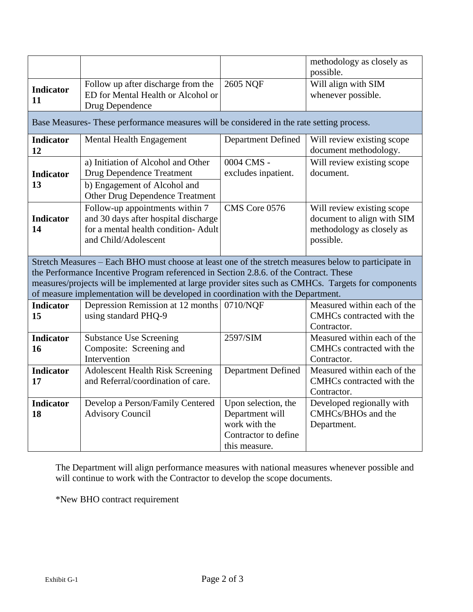|                                                                                                                                                                                                                                                                                                                                                                                          |                                                                                                                                           |                                                                                                  | methodology as closely as<br>possible.                                                             |  |
|------------------------------------------------------------------------------------------------------------------------------------------------------------------------------------------------------------------------------------------------------------------------------------------------------------------------------------------------------------------------------------------|-------------------------------------------------------------------------------------------------------------------------------------------|--------------------------------------------------------------------------------------------------|----------------------------------------------------------------------------------------------------|--|
| <b>Indicator</b><br>11                                                                                                                                                                                                                                                                                                                                                                   | Follow up after discharge from the<br>ED for Mental Health or Alcohol or<br>Drug Dependence                                               | <b>2605 NQF</b>                                                                                  | Will align with SIM<br>whenever possible.                                                          |  |
|                                                                                                                                                                                                                                                                                                                                                                                          | Base Measures- These performance measures will be considered in the rate setting process.                                                 |                                                                                                  |                                                                                                    |  |
| <b>Indicator</b><br>12                                                                                                                                                                                                                                                                                                                                                                   | Mental Health Engagement                                                                                                                  | Will review existing scope<br><b>Department Defined</b><br>document methodology.                 |                                                                                                    |  |
| <b>Indicator</b><br>13                                                                                                                                                                                                                                                                                                                                                                   | a) Initiation of Alcohol and Other<br><b>Drug Dependence Treatment</b><br>b) Engagement of Alcohol and<br>Other Drug Dependence Treatment | 0004 CMS -<br>excludes inpatient.                                                                | Will review existing scope<br>document.                                                            |  |
| <b>Indicator</b><br>14                                                                                                                                                                                                                                                                                                                                                                   | Follow-up appointments within 7<br>and 30 days after hospital discharge<br>for a mental health condition-Adult<br>and Child/Adolescent    | CMS Core 0576                                                                                    | Will review existing scope<br>document to align with SIM<br>methodology as closely as<br>possible. |  |
| Stretch Measures – Each BHO must choose at least one of the stretch measures below to participate in<br>the Performance Incentive Program referenced in Section 2.8.6. of the Contract. These<br>measures/projects will be implemented at large provider sites such as CMHCs. Targets for components<br>of measure implementation will be developed in coordination with the Department. |                                                                                                                                           |                                                                                                  |                                                                                                    |  |
| <b>Indicator</b><br>15                                                                                                                                                                                                                                                                                                                                                                   | Depression Remission at 12 months 0710/NQF<br>using standard PHQ-9                                                                        |                                                                                                  | Measured within each of the<br>CMHCs contracted with the<br>Contractor.                            |  |
| <b>Indicator</b><br>16                                                                                                                                                                                                                                                                                                                                                                   | <b>Substance Use Screening</b><br>Composite: Screening and<br>Intervention                                                                | 2597/SIM                                                                                         | Measured within each of the<br>CMHCs contracted with the<br>Contractor.                            |  |
| <b>Indicator</b><br>17                                                                                                                                                                                                                                                                                                                                                                   | <b>Adolescent Health Risk Screening</b><br>and Referral/coordination of care.                                                             | <b>Department Defined</b>                                                                        | Measured within each of the<br>CMHCs contracted with the<br>Contractor.                            |  |
| <b>Indicator</b><br>18                                                                                                                                                                                                                                                                                                                                                                   | Develop a Person/Family Centered<br><b>Advisory Council</b>                                                                               | Upon selection, the<br>Department will<br>work with the<br>Contractor to define<br>this measure. | Developed regionally with<br>CMHCs/BHOs and the<br>Department.                                     |  |

The Department will align performance measures with national measures whenever possible and will continue to work with the Contractor to develop the scope documents.

\*New BHO contract requirement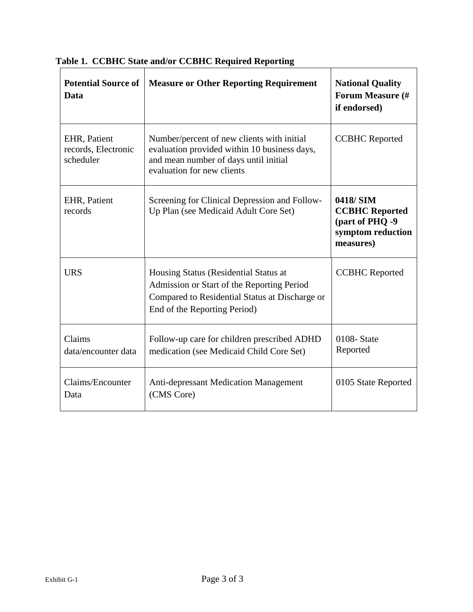| <b>Potential Source of</b><br>Data               | <b>Measure or Other Reporting Requirement</b>                                                                                                                         | <b>National Quality</b><br><b>Forum Measure (#</b><br>if endorsed)                     |
|--------------------------------------------------|-----------------------------------------------------------------------------------------------------------------------------------------------------------------------|----------------------------------------------------------------------------------------|
| EHR, Patient<br>records, Electronic<br>scheduler | Number/percent of new clients with initial<br>evaluation provided within 10 business days,<br>and mean number of days until initial<br>evaluation for new clients     | <b>CCBHC</b> Reported                                                                  |
| EHR, Patient<br>records                          | Screening for Clinical Depression and Follow-<br>Up Plan (see Medicaid Adult Core Set)                                                                                | 0418/SIM<br><b>CCBHC Reported</b><br>(part of PHQ -9<br>symptom reduction<br>measures) |
| <b>URS</b>                                       | Housing Status (Residential Status at<br>Admission or Start of the Reporting Period<br>Compared to Residential Status at Discharge or<br>End of the Reporting Period) | <b>CCBHC</b> Reported                                                                  |
| Claims<br>data/encounter data                    | Follow-up care for children prescribed ADHD<br>medication (see Medicaid Child Core Set)                                                                               | 0108-State<br>Reported                                                                 |
| Claims/Encounter<br>Data                         | <b>Anti-depressant Medication Management</b><br>(CMS Core)                                                                                                            | 0105 State Reported                                                                    |

**Table 1. CCBHC State and/or CCBHC Required Reporting**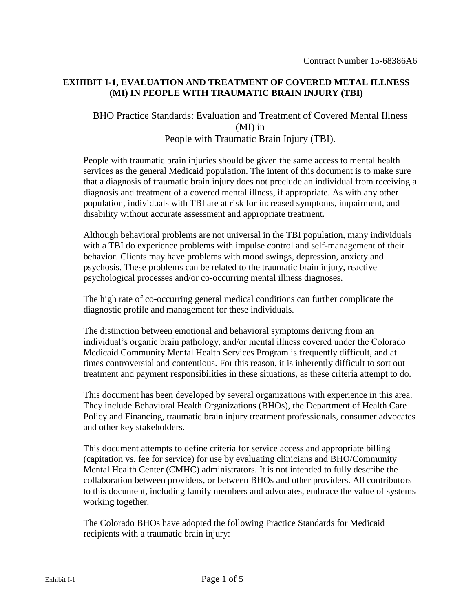### **EXHIBIT I-1, EVALUATION AND TREATMENT OF COVERED METAL ILLNESS (MI) IN PEOPLE WITH TRAUMATIC BRAIN INJURY (TBI)**

### BHO Practice Standards: Evaluation and Treatment of Covered Mental Illness (MI) in People with Traumatic Brain Injury (TBI).

People with traumatic brain injuries should be given the same access to mental health services as the general Medicaid population. The intent of this document is to make sure that a diagnosis of traumatic brain injury does not preclude an individual from receiving a diagnosis and treatment of a covered mental illness, if appropriate. As with any other population, individuals with TBI are at risk for increased symptoms, impairment, and disability without accurate assessment and appropriate treatment.

Although behavioral problems are not universal in the TBI population, many individuals with a TBI do experience problems with impulse control and self-management of their behavior. Clients may have problems with mood swings, depression, anxiety and psychosis. These problems can be related to the traumatic brain injury, reactive psychological processes and/or co-occurring mental illness diagnoses.

The high rate of co-occurring general medical conditions can further complicate the diagnostic profile and management for these individuals.

The distinction between emotional and behavioral symptoms deriving from an individual's organic brain pathology, and/or mental illness covered under the Colorado Medicaid Community Mental Health Services Program is frequently difficult, and at times controversial and contentious. For this reason, it is inherently difficult to sort out treatment and payment responsibilities in these situations, as these criteria attempt to do.

This document has been developed by several organizations with experience in this area. They include Behavioral Health Organizations (BHOs), the Department of Health Care Policy and Financing, traumatic brain injury treatment professionals, consumer advocates and other key stakeholders.

This document attempts to define criteria for service access and appropriate billing (capitation vs. fee for service) for use by evaluating clinicians and BHO/Community Mental Health Center (CMHC) administrators. It is not intended to fully describe the collaboration between providers, or between BHOs and other providers. All contributors to this document, including family members and advocates, embrace the value of systems working together.

The Colorado BHOs have adopted the following Practice Standards for Medicaid recipients with a traumatic brain injury: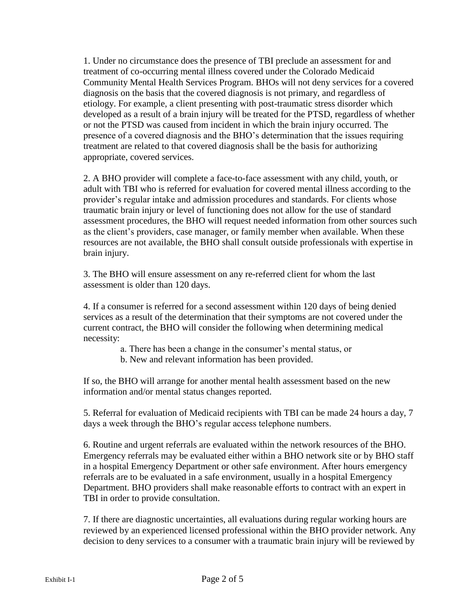1. Under no circumstance does the presence of TBI preclude an assessment for and treatment of co-occurring mental illness covered under the Colorado Medicaid Community Mental Health Services Program. BHOs will not deny services for a covered diagnosis on the basis that the covered diagnosis is not primary, and regardless of etiology. For example, a client presenting with post-traumatic stress disorder which developed as a result of a brain injury will be treated for the PTSD, regardless of whether or not the PTSD was caused from incident in which the brain injury occurred. The presence of a covered diagnosis and the BHO's determination that the issues requiring treatment are related to that covered diagnosis shall be the basis for authorizing appropriate, covered services.

2. A BHO provider will complete a face-to-face assessment with any child, youth, or adult with TBI who is referred for evaluation for covered mental illness according to the provider's regular intake and admission procedures and standards. For clients whose traumatic brain injury or level of functioning does not allow for the use of standard assessment procedures, the BHO will request needed information from other sources such as the client's providers, case manager, or family member when available. When these resources are not available, the BHO shall consult outside professionals with expertise in brain injury.

3. The BHO will ensure assessment on any re-referred client for whom the last assessment is older than 120 days.

4. If a consumer is referred for a second assessment within 120 days of being denied services as a result of the determination that their symptoms are not covered under the current contract, the BHO will consider the following when determining medical necessity:

- a. There has been a change in the consumer's mental status, or
- b. New and relevant information has been provided.

If so, the BHO will arrange for another mental health assessment based on the new information and/or mental status changes reported.

5. Referral for evaluation of Medicaid recipients with TBI can be made 24 hours a day, 7 days a week through the BHO's regular access telephone numbers.

6. Routine and urgent referrals are evaluated within the network resources of the BHO. Emergency referrals may be evaluated either within a BHO network site or by BHO staff in a hospital Emergency Department or other safe environment. After hours emergency referrals are to be evaluated in a safe environment, usually in a hospital Emergency Department. BHO providers shall make reasonable efforts to contract with an expert in TBI in order to provide consultation.

7. If there are diagnostic uncertainties, all evaluations during regular working hours are reviewed by an experienced licensed professional within the BHO provider network. Any decision to deny services to a consumer with a traumatic brain injury will be reviewed by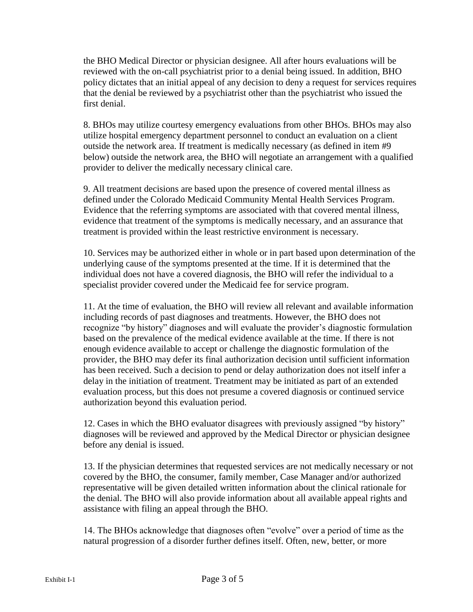the BHO Medical Director or physician designee. All after hours evaluations will be reviewed with the on-call psychiatrist prior to a denial being issued. In addition, BHO policy dictates that an initial appeal of any decision to deny a request for services requires that the denial be reviewed by a psychiatrist other than the psychiatrist who issued the first denial.

8. BHOs may utilize courtesy emergency evaluations from other BHOs. BHOs may also utilize hospital emergency department personnel to conduct an evaluation on a client outside the network area. If treatment is medically necessary (as defined in item #9 below) outside the network area, the BHO will negotiate an arrangement with a qualified provider to deliver the medically necessary clinical care.

9. All treatment decisions are based upon the presence of covered mental illness as defined under the Colorado Medicaid Community Mental Health Services Program. Evidence that the referring symptoms are associated with that covered mental illness, evidence that treatment of the symptoms is medically necessary, and an assurance that treatment is provided within the least restrictive environment is necessary.

10. Services may be authorized either in whole or in part based upon determination of the underlying cause of the symptoms presented at the time. If it is determined that the individual does not have a covered diagnosis, the BHO will refer the individual to a specialist provider covered under the Medicaid fee for service program.

11. At the time of evaluation, the BHO will review all relevant and available information including records of past diagnoses and treatments. However, the BHO does not recognize "by history" diagnoses and will evaluate the provider's diagnostic formulation based on the prevalence of the medical evidence available at the time. If there is not enough evidence available to accept or challenge the diagnostic formulation of the provider, the BHO may defer its final authorization decision until sufficient information has been received. Such a decision to pend or delay authorization does not itself infer a delay in the initiation of treatment. Treatment may be initiated as part of an extended evaluation process, but this does not presume a covered diagnosis or continued service authorization beyond this evaluation period.

12. Cases in which the BHO evaluator disagrees with previously assigned "by history" diagnoses will be reviewed and approved by the Medical Director or physician designee before any denial is issued.

13. If the physician determines that requested services are not medically necessary or not covered by the BHO, the consumer, family member, Case Manager and/or authorized representative will be given detailed written information about the clinical rationale for the denial. The BHO will also provide information about all available appeal rights and assistance with filing an appeal through the BHO.

14. The BHOs acknowledge that diagnoses often "evolve" over a period of time as the natural progression of a disorder further defines itself. Often, new, better, or more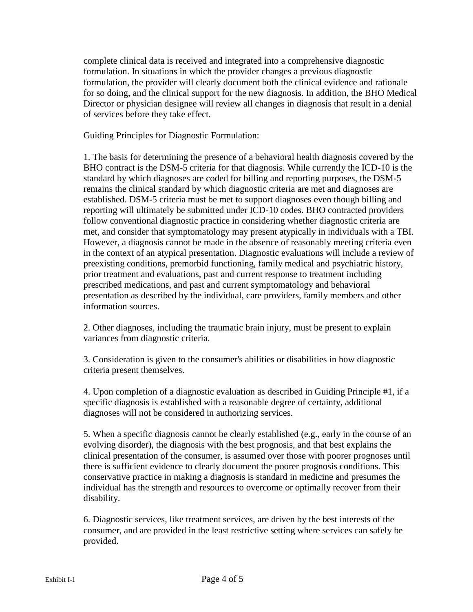complete clinical data is received and integrated into a comprehensive diagnostic formulation. In situations in which the provider changes a previous diagnostic formulation, the provider will clearly document both the clinical evidence and rationale for so doing, and the clinical support for the new diagnosis. In addition, the BHO Medical Director or physician designee will review all changes in diagnosis that result in a denial of services before they take effect.

Guiding Principles for Diagnostic Formulation:

1. The basis for determining the presence of a behavioral health diagnosis covered by the BHO contract is the DSM-5 criteria for that diagnosis. While currently the ICD-10 is the standard by which diagnoses are coded for billing and reporting purposes, the DSM-5 remains the clinical standard by which diagnostic criteria are met and diagnoses are established. DSM-5 criteria must be met to support diagnoses even though billing and reporting will ultimately be submitted under ICD-10 codes. BHO contracted providers follow conventional diagnostic practice in considering whether diagnostic criteria are met, and consider that symptomatology may present atypically in individuals with a TBI. However, a diagnosis cannot be made in the absence of reasonably meeting criteria even in the context of an atypical presentation. Diagnostic evaluations will include a review of preexisting conditions, premorbid functioning, family medical and psychiatric history, prior treatment and evaluations, past and current response to treatment including prescribed medications, and past and current symptomatology and behavioral presentation as described by the individual, care providers, family members and other information sources.

2. Other diagnoses, including the traumatic brain injury, must be present to explain variances from diagnostic criteria.

3. Consideration is given to the consumer's abilities or disabilities in how diagnostic criteria present themselves.

4. Upon completion of a diagnostic evaluation as described in Guiding Principle #1, if a specific diagnosis is established with a reasonable degree of certainty, additional diagnoses will not be considered in authorizing services.

5. When a specific diagnosis cannot be clearly established (e.g., early in the course of an evolving disorder), the diagnosis with the best prognosis, and that best explains the clinical presentation of the consumer, is assumed over those with poorer prognoses until there is sufficient evidence to clearly document the poorer prognosis conditions. This conservative practice in making a diagnosis is standard in medicine and presumes the individual has the strength and resources to overcome or optimally recover from their disability.

6. Diagnostic services, like treatment services, are driven by the best interests of the consumer, and are provided in the least restrictive setting where services can safely be provided.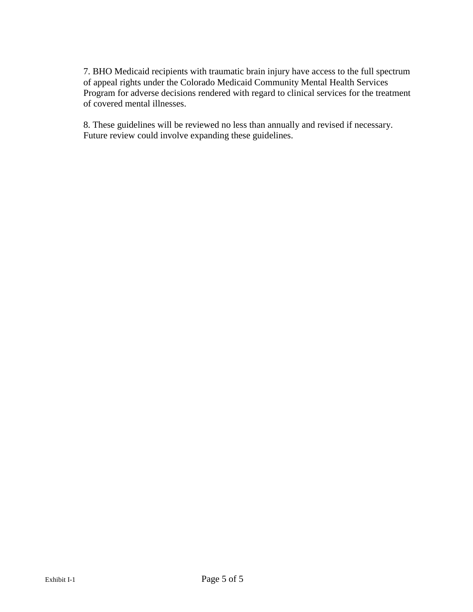7. BHO Medicaid recipients with traumatic brain injury have access to the full spectrum of appeal rights under the Colorado Medicaid Community Mental Health Services Program for adverse decisions rendered with regard to clinical services for the treatment of covered mental illnesses.

8. These guidelines will be reviewed no less than annually and revised if necessary. Future review could involve expanding these guidelines.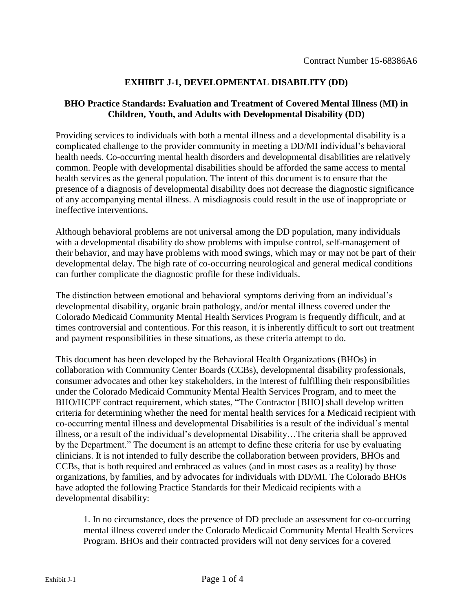#### **EXHIBIT J-1, DEVELOPMENTAL DISABILITY (DD)**

#### **BHO Practice Standards: Evaluation and Treatment of Covered Mental Illness (MI) in Children, Youth, and Adults with Developmental Disability (DD)**

Providing services to individuals with both a mental illness and a developmental disability is a complicated challenge to the provider community in meeting a DD/MI individual's behavioral health needs. Co-occurring mental health disorders and developmental disabilities are relatively common. People with developmental disabilities should be afforded the same access to mental health services as the general population. The intent of this document is to ensure that the presence of a diagnosis of developmental disability does not decrease the diagnostic significance of any accompanying mental illness. A misdiagnosis could result in the use of inappropriate or ineffective interventions.

Although behavioral problems are not universal among the DD population, many individuals with a developmental disability do show problems with impulse control, self-management of their behavior, and may have problems with mood swings, which may or may not be part of their developmental delay. The high rate of co-occurring neurological and general medical conditions can further complicate the diagnostic profile for these individuals.

The distinction between emotional and behavioral symptoms deriving from an individual's developmental disability, organic brain pathology, and/or mental illness covered under the Colorado Medicaid Community Mental Health Services Program is frequently difficult, and at times controversial and contentious. For this reason, it is inherently difficult to sort out treatment and payment responsibilities in these situations, as these criteria attempt to do.

This document has been developed by the Behavioral Health Organizations (BHOs) in collaboration with Community Center Boards (CCBs), developmental disability professionals, consumer advocates and other key stakeholders, in the interest of fulfilling their responsibilities under the Colorado Medicaid Community Mental Health Services Program, and to meet the BHO/HCPF contract requirement, which states, "The Contractor [BHO] shall develop written criteria for determining whether the need for mental health services for a Medicaid recipient with co-occurring mental illness and developmental Disabilities is a result of the individual's mental illness, or a result of the individual's developmental Disability…The criteria shall be approved by the Department." The document is an attempt to define these criteria for use by evaluating clinicians. It is not intended to fully describe the collaboration between providers, BHOs and CCBs, that is both required and embraced as values (and in most cases as a reality) by those organizations, by families, and by advocates for individuals with DD/MI. The Colorado BHOs have adopted the following Practice Standards for their Medicaid recipients with a developmental disability:

1. In no circumstance, does the presence of DD preclude an assessment for co-occurring mental illness covered under the Colorado Medicaid Community Mental Health Services Program. BHOs and their contracted providers will not deny services for a covered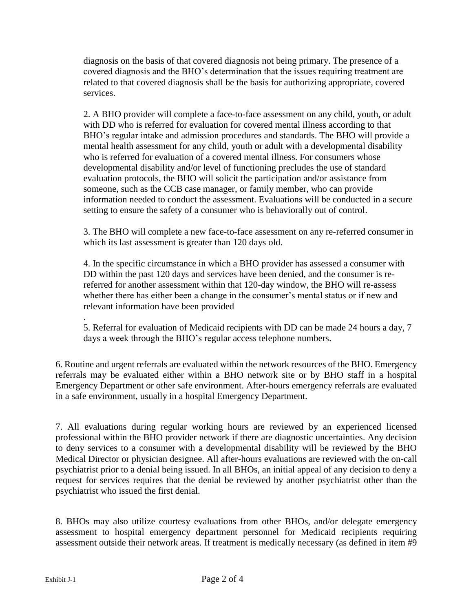diagnosis on the basis of that covered diagnosis not being primary. The presence of a covered diagnosis and the BHO's determination that the issues requiring treatment are related to that covered diagnosis shall be the basis for authorizing appropriate, covered services.

2. A BHO provider will complete a face-to-face assessment on any child, youth, or adult with DD who is referred for evaluation for covered mental illness according to that BHO's regular intake and admission procedures and standards. The BHO will provide a mental health assessment for any child, youth or adult with a developmental disability who is referred for evaluation of a covered mental illness. For consumers whose developmental disability and/or level of functioning precludes the use of standard evaluation protocols, the BHO will solicit the participation and/or assistance from someone, such as the CCB case manager, or family member, who can provide information needed to conduct the assessment. Evaluations will be conducted in a secure setting to ensure the safety of a consumer who is behaviorally out of control.

3. The BHO will complete a new face-to-face assessment on any re-referred consumer in which its last assessment is greater than 120 days old.

4. In the specific circumstance in which a BHO provider has assessed a consumer with DD within the past 120 days and services have been denied, and the consumer is rereferred for another assessment within that 120-day window, the BHO will re-assess whether there has either been a change in the consumer's mental status or if new and relevant information have been provided

. 5. Referral for evaluation of Medicaid recipients with DD can be made 24 hours a day, 7 days a week through the BHO's regular access telephone numbers.

6. Routine and urgent referrals are evaluated within the network resources of the BHO. Emergency referrals may be evaluated either within a BHO network site or by BHO staff in a hospital Emergency Department or other safe environment. After-hours emergency referrals are evaluated in a safe environment, usually in a hospital Emergency Department.

7. All evaluations during regular working hours are reviewed by an experienced licensed professional within the BHO provider network if there are diagnostic uncertainties. Any decision to deny services to a consumer with a developmental disability will be reviewed by the BHO Medical Director or physician designee. All after-hours evaluations are reviewed with the on-call psychiatrist prior to a denial being issued. In all BHOs, an initial appeal of any decision to deny a request for services requires that the denial be reviewed by another psychiatrist other than the psychiatrist who issued the first denial.

8. BHOs may also utilize courtesy evaluations from other BHOs, and/or delegate emergency assessment to hospital emergency department personnel for Medicaid recipients requiring assessment outside their network areas. If treatment is medically necessary (as defined in item #9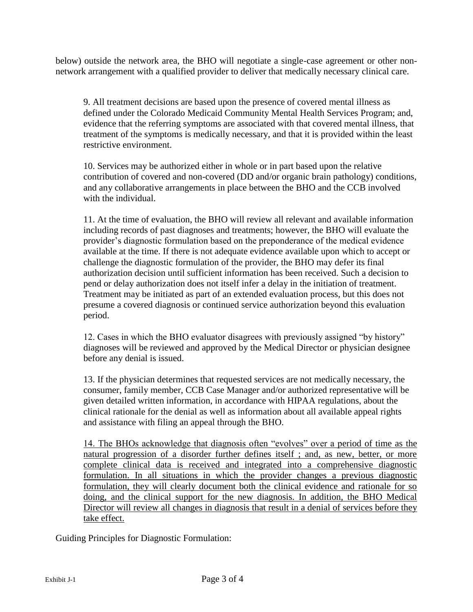below) outside the network area, the BHO will negotiate a single-case agreement or other nonnetwork arrangement with a qualified provider to deliver that medically necessary clinical care.

9. All treatment decisions are based upon the presence of covered mental illness as defined under the Colorado Medicaid Community Mental Health Services Program; and, evidence that the referring symptoms are associated with that covered mental illness, that treatment of the symptoms is medically necessary, and that it is provided within the least restrictive environment.

10. Services may be authorized either in whole or in part based upon the relative contribution of covered and non-covered (DD and/or organic brain pathology) conditions, and any collaborative arrangements in place between the BHO and the CCB involved with the individual.

11. At the time of evaluation, the BHO will review all relevant and available information including records of past diagnoses and treatments; however, the BHO will evaluate the provider's diagnostic formulation based on the preponderance of the medical evidence available at the time. If there is not adequate evidence available upon which to accept or challenge the diagnostic formulation of the provider, the BHO may defer its final authorization decision until sufficient information has been received. Such a decision to pend or delay authorization does not itself infer a delay in the initiation of treatment. Treatment may be initiated as part of an extended evaluation process, but this does not presume a covered diagnosis or continued service authorization beyond this evaluation period.

12. Cases in which the BHO evaluator disagrees with previously assigned "by history" diagnoses will be reviewed and approved by the Medical Director or physician designee before any denial is issued.

13. If the physician determines that requested services are not medically necessary, the consumer, family member, CCB Case Manager and/or authorized representative will be given detailed written information, in accordance with HIPAA regulations, about the clinical rationale for the denial as well as information about all available appeal rights and assistance with filing an appeal through the BHO.

14. The BHOs acknowledge that diagnosis often "evolves" over a period of time as the natural progression of a disorder further defines itself ; and, as new, better, or more complete clinical data is received and integrated into a comprehensive diagnostic formulation. In all situations in which the provider changes a previous diagnostic formulation, they will clearly document both the clinical evidence and rationale for so doing, and the clinical support for the new diagnosis. In addition, the BHO Medical Director will review all changes in diagnosis that result in a denial of services before they take effect.

Guiding Principles for Diagnostic Formulation: